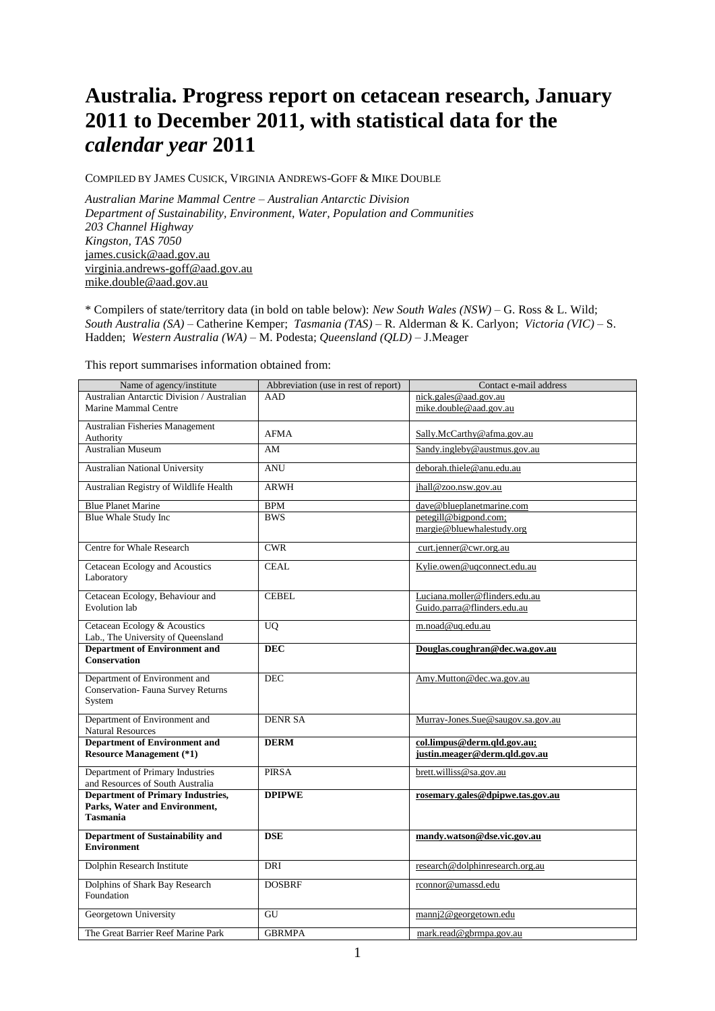# **Australia. Progress report on cetacean research, January 2011 to December 2011, with statistical data for the**  *calendar year* **2011**

COMPILED BY JAMES CUSICK, VIRGINIA ANDREWS-GOFF & MIKE DOUBLE

*Australian Marine Mammal Centre – Australian Antarctic Division Department of Sustainability, Environment, Water, Population and Communities 203 Channel Highway Kingston, TAS 7050* [james.cusick@aad.gov.au](mailto:james.cusick@aad.gov.au) [virginia.andrews-goff@aad.gov.au](mailto:virginia.andrews-goff@aad.gov.au) [mike.double@aad.gov.au](mailto:mike.double@aad.gov.au)

\* Compilers of state/territory data (in bold on table below): *New South Wales (NSW)* – G. Ross & L. Wild; *South Australia (SA)* – Catherine Kemper; *Tasmania (TAS)* – R. Alderman & K. Carlyon; *Victoria (VIC)* – S. Hadden; *Western Australia (WA)* – M. Podesta; *Queensland (QLD)* – J.Meager

This report summarises information obtained from:

| Name of agency/institute                                             | Abbreviation (use in rest of report) | Contact e-mail address            |  |
|----------------------------------------------------------------------|--------------------------------------|-----------------------------------|--|
| Australian Antarctic Division / Australian                           | AAD                                  | nick.gales@aad.gov.au             |  |
| Marine Mammal Centre                                                 |                                      | mike.double@aad.gov.au            |  |
| Australian Fisheries Management                                      |                                      |                                   |  |
| Authority                                                            | <b>AFMA</b>                          | Sally.McCarthy@afma.gov.au        |  |
| <b>Australian Museum</b>                                             | AM                                   | Sandy.ingleby@austmus.gov.au      |  |
|                                                                      |                                      |                                   |  |
| Australian National University                                       | <b>ANU</b>                           | deborah.thiele@anu.edu.au         |  |
|                                                                      | <b>ARWH</b>                          |                                   |  |
| Australian Registry of Wildlife Health                               |                                      | jhall@zoo.nsw.gov.au              |  |
| <b>Blue Planet Marine</b>                                            | <b>BPM</b>                           | dave@blueplanetmarine.com         |  |
| Blue Whale Study Inc                                                 | <b>BWS</b>                           | petegill@bigpond.com;             |  |
|                                                                      |                                      | margie@bluewhalestudy.org         |  |
|                                                                      |                                      |                                   |  |
| Centre for Whale Research                                            | <b>CWR</b>                           | curt.jenner@cwr.org.au            |  |
| Cetacean Ecology and Acoustics                                       | <b>CEAL</b>                          | Kylie.owen@uqconnect.edu.au       |  |
| Laboratory                                                           |                                      |                                   |  |
|                                                                      |                                      |                                   |  |
| Cetacean Ecology, Behaviour and                                      | <b>CEBEL</b>                         | Luciana.moller@flinders.edu.au    |  |
| Evolution lab                                                        |                                      | Guido.parra@flinders.edu.au       |  |
| Cetacean Ecology & Acoustics                                         | <b>UQ</b>                            | m.noad@uq.edu.au                  |  |
| Lab., The University of Queensland                                   |                                      |                                   |  |
| <b>Department of Environment and</b>                                 | <b>DEC</b>                           | Douglas.coughran@dec.wa.gov.au    |  |
| <b>Conservation</b>                                                  |                                      |                                   |  |
|                                                                      |                                      |                                   |  |
| Department of Environment and                                        | <b>DEC</b>                           | Amy.Mutton@dec.wa.gov.au          |  |
| <b>Conservation- Fauna Survey Returns</b>                            |                                      |                                   |  |
| System                                                               |                                      |                                   |  |
| Department of Environment and                                        | <b>DENR SA</b>                       | Murray-Jones.Sue@saugov.sa.gov.au |  |
| <b>Natural Resources</b>                                             |                                      |                                   |  |
| <b>Department of Environment and</b>                                 | <b>DERM</b>                          | col.limpus@derm.qld.gov.au;       |  |
| <b>Resource Management (*1)</b>                                      |                                      | justin.meager@derm.qld.gov.au     |  |
|                                                                      | <b>PIRSA</b>                         |                                   |  |
| Department of Primary Industries<br>and Resources of South Australia |                                      | brett.williss@sa.gov.au           |  |
| <b>Department of Primary Industries,</b>                             | <b>DPIPWE</b>                        | rosemary.gales@dpipwe.tas.gov.au  |  |
| Parks, Water and Environment,                                        |                                      |                                   |  |
| <b>Tasmania</b>                                                      |                                      |                                   |  |
|                                                                      |                                      |                                   |  |
| Department of Sustainability and                                     | <b>DSE</b>                           | mandy.watson@dse.vic.gov.au       |  |
| <b>Environment</b>                                                   |                                      |                                   |  |
| Dolphin Research Institute                                           | <b>DRI</b>                           | research@dolphinresearch.org.au   |  |
|                                                                      |                                      |                                   |  |
| Dolphins of Shark Bay Research                                       | <b>DOSBRF</b>                        | rconnor@umassd.edu                |  |
| Foundation                                                           |                                      |                                   |  |
| Georgetown University                                                | GU                                   | manni2@georgetown.edu             |  |
|                                                                      |                                      |                                   |  |
| The Great Barrier Reef Marine Park                                   | <b>GBRMPA</b>                        | mark.read@gbrmpa.gov.au           |  |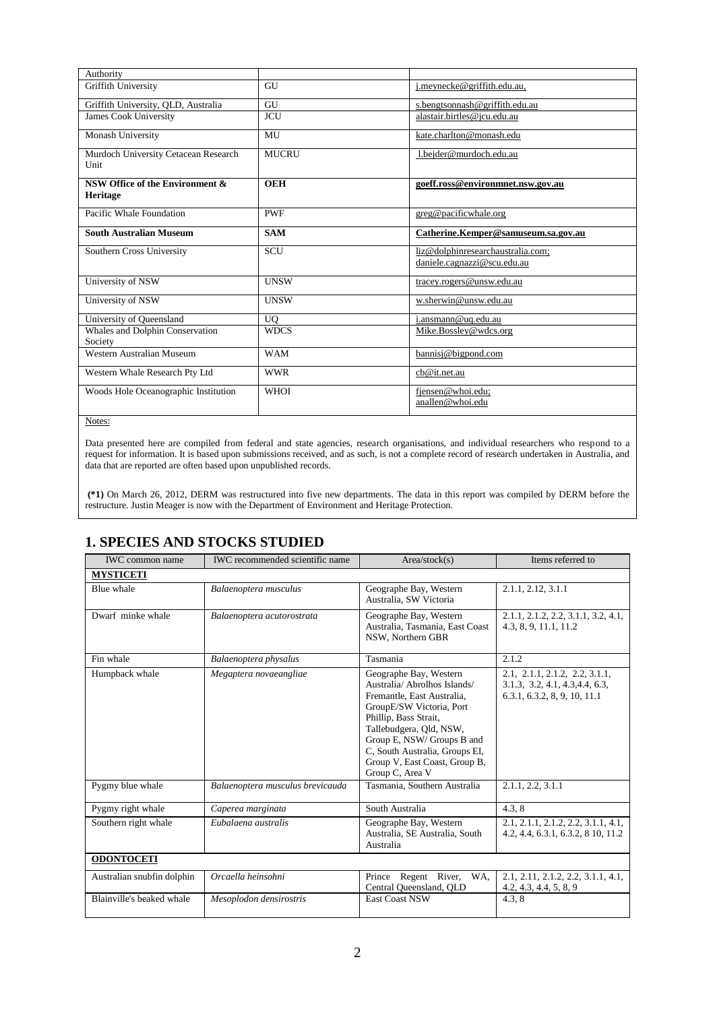| Authority                                    |                |                                       |
|----------------------------------------------|----------------|---------------------------------------|
| Griffith University                          | GU             | j.meynecke@griffith.edu.au,           |
| Griffith University, QLD, Australia          | GU             | s.bengtsonnash@griffith.edu.au        |
| <b>James Cook University</b>                 | <b>JCU</b>     | alastair.birtles@jcu.edu.au           |
| Monash University                            | MU             | kate.charlton@monash.edu              |
| Murdoch University Cetacean Research<br>Unit | MUCRU          | 1.bejder@murdoch.edu.au               |
| NSW Office of the Environment &<br>Heritage  | <b>OEH</b>     | goeff.ross@environmnet.nsw.gov.au     |
| Pacific Whale Foundation                     | <b>PWF</b>     | greg@pacificwhale.org                 |
| <b>South Australian Museum</b>               | <b>SAM</b>     | Catherine.Kemper@samuseum.sa.gov.au   |
| Southern Cross University                    | SCU            | liz@dolphinresearchaustralia.com;     |
|                                              |                | daniele.cagnazzi@scu.edu.au           |
| University of NSW                            | <b>UNSW</b>    | tracey.rogers@unsw.edu.au             |
| University of NSW                            | <b>UNSW</b>    | w.sherwin@unsw.edu.au                 |
| University of Queensland                     | U <sub>O</sub> | i.ansmann@uq.edu.au                   |
| Whales and Dolphin Conservation<br>Society   | <b>WDCS</b>    | Mike.Bossley@wdcs.org                 |
| Western Australian Museum                    | <b>WAM</b>     | bannisj@bigpond.com                   |
| Western Whale Research Pty Ltd               | <b>WWR</b>     | cb@it.net.au                          |
| Woods Hole Oceanographic Institution         | <b>WHOI</b>    | fjensen@whoi.edu;<br>anallen@whoi.edu |
|                                              |                |                                       |

Data presented here are compiled from federal and state agencies, research organisations, and individual researchers who respond to a request for information. It is based upon submissions received, and as such, is not a complete record of research undertaken in Australia, and data that are reported are often based upon unpublished records.

**(\*1)** On March 26, 2012, DERM was restructured into five new departments. The data in this report was compiled by DERM before the restructure. Justin Meager is now with the Department of Environment and Heritage Protection.

# **1. SPECIES AND STOCKS STUDIED**

| <b>IWC</b> common name                      | <b>IWC</b> recommended scientific name                                                                       | Area/stock(s)                                                                                                                                                                                                                                                                            | Items referred to                                                                                 |  |
|---------------------------------------------|--------------------------------------------------------------------------------------------------------------|------------------------------------------------------------------------------------------------------------------------------------------------------------------------------------------------------------------------------------------------------------------------------------------|---------------------------------------------------------------------------------------------------|--|
| <b>MYSTICETI</b>                            |                                                                                                              |                                                                                                                                                                                                                                                                                          |                                                                                                   |  |
| Blue whale                                  | Balaenoptera musculus                                                                                        | 2.1.1, 2.12, 3.1.1<br>Geographe Bay, Western<br>Australia, SW Victoria                                                                                                                                                                                                                   |                                                                                                   |  |
| Dwarf minke whale                           | Geographe Bay, Western<br>Balaenoptera acutorostrata<br>Australia, Tasmania, East Coast<br>NSW, Northern GBR |                                                                                                                                                                                                                                                                                          |                                                                                                   |  |
| Fin whale                                   | Balaenoptera physalus                                                                                        | Tasmania                                                                                                                                                                                                                                                                                 | 2.1.2                                                                                             |  |
| Humpback whale                              | Megaptera novaeangliae                                                                                       | Geographe Bay, Western<br>Australia/ Abrolhos Islands/<br>Fremantle, East Australia,<br>GroupE/SW Victoria, Port<br>Phillip, Bass Strait,<br>Tallebudgera, Qld, NSW,<br>Group E, NSW/ Groups B and<br>C, South Australia, Groups EI,<br>Group V, East Coast, Group B,<br>Group C, Area V | 2.1, 2.1.1, 2.1.2, 2.2, 3.1.1,<br>3.1.3, 3.2, 4.1, 4.3, 4.4, 6.3,<br>6.3.1, 6.3.2, 8, 9, 10, 11.1 |  |
| Pygmy blue whale                            | Balaenoptera musculus brevicauda                                                                             | Tasmania, Southern Australia                                                                                                                                                                                                                                                             | 2.1.1, 2.2, 3.1.1                                                                                 |  |
| Pygmy right whale                           | Caperea marginata                                                                                            | South Australia                                                                                                                                                                                                                                                                          | 4.3, 8                                                                                            |  |
| Eubalaena australis<br>Southern right whale |                                                                                                              | Geographe Bay, Western<br>Australia, SE Australia, South<br>Australia                                                                                                                                                                                                                    | 2.1, 2.1.1, 2.1.2, 2.2, 3.1.1, 4.1,<br>4.2, 4.4, 6.3.1, 6.3.2, 8 10, 11.2                         |  |
| <b>ODONTOCETI</b>                           |                                                                                                              |                                                                                                                                                                                                                                                                                          |                                                                                                   |  |
| Australian snubfin dolphin                  | Orcaella heinsohni                                                                                           | Prince Regent River,<br>WA,<br>Central Queensland, QLD                                                                                                                                                                                                                                   | 2.1, 2.11, 2.1.2, 2.2, 3.1.1, 4.1,<br>4.2, 4.3, 4.4, 5, 8, 9                                      |  |
| Blainville's beaked whale                   | Mesoplodon densirostris                                                                                      | <b>East Coast NSW</b>                                                                                                                                                                                                                                                                    | 4.3, 8                                                                                            |  |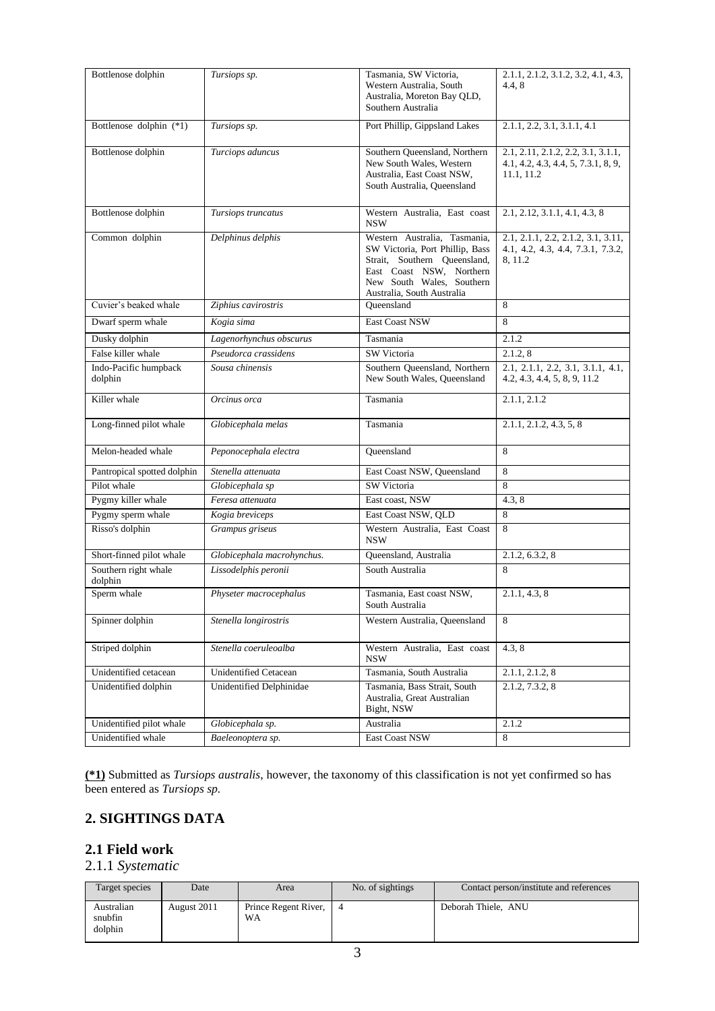| Bottlenose dolphin               | Tursiops sp.               | Tasmania, SW Victoria,<br>Western Australia, South<br>Australia, Moreton Bay QLD,                                                                                                      | 2.1.1, 2.1.2, 3.1.2, 3.2, 4.1, 4.3,<br>4.4, 8                                           |
|----------------------------------|----------------------------|----------------------------------------------------------------------------------------------------------------------------------------------------------------------------------------|-----------------------------------------------------------------------------------------|
|                                  |                            | Southern Australia                                                                                                                                                                     |                                                                                         |
| Bottlenose dolphin (*1)          | Tursiops sp.               | Port Phillip, Gippsland Lakes                                                                                                                                                          | 2.1.1, 2.2, 3.1, 3.1.1, 4.1                                                             |
| Bottlenose dolphin               | Turciops aduncus           | Southern Queensland, Northern<br>New South Wales, Western<br>Australia, East Coast NSW,<br>South Australia, Queensland                                                                 | 2.1, 2.11, 2.1.2, 2.2, 3.1, 3.1.1,<br>4.1, 4.2, 4.3, 4.4, 5, 7.3.1, 8, 9,<br>11.1, 11.2 |
| Bottlenose dolphin               | Tursiops truncatus         | Western Australia, East coast<br><b>NSW</b>                                                                                                                                            | 2.1, 2.12, 3.1.1, 4.1, 4.3, 8                                                           |
| Common dolphin                   | Delphinus delphis          | Western Australia, Tasmania,<br>SW Victoria, Port Phillip, Bass<br>Strait, Southern Queensland,<br>East Coast NSW, Northern<br>New South Wales, Southern<br>Australia, South Australia | 2.1, 2.1.1, 2.2, 2.1.2, 3.1, 3.11,<br>4.1, 4.2, 4.3, 4.4, 7.3.1, 7.3.2,<br>8, 11.2      |
| Cuvier's beaked whale            | Ziphius cavirostris        | Oueensland                                                                                                                                                                             | 8                                                                                       |
| Dwarf sperm whale                | Kogia sima                 | East Coast NSW                                                                                                                                                                         | 8                                                                                       |
| Dusky dolphin                    | Lagenorhynchus obscurus    | Tasmania                                                                                                                                                                               | 2.1.2                                                                                   |
| False killer whale               | Pseudorca crassidens       | SW Victoria                                                                                                                                                                            | 2.1.2, 8                                                                                |
| Indo-Pacific humpback<br>dolphin | Sousa chinensis            | Southern Queensland, Northern<br>New South Wales, Queensland                                                                                                                           | 2.1, 2.1.1, 2.2, 3.1, 3.1.1, 4.1,<br>4.2, 4.3, 4.4, 5, 8, 9, 11.2                       |
| Killer whale                     | Orcinus orca               | Tasmania                                                                                                                                                                               | 2.1.1, 2.1.2                                                                            |
| Long-finned pilot whale          | Globicephala melas         | Tasmania                                                                                                                                                                               | 2.1.1, 2.1.2, 4.3, 5, 8                                                                 |
| Melon-headed whale               | Peponocephala electra      | Queensland                                                                                                                                                                             | 8                                                                                       |
| Pantropical spotted dolphin      | Stenella attenuata         | East Coast NSW, Queensland                                                                                                                                                             | 8                                                                                       |
| Pilot whale                      | Globicephala sp            | SW Victoria                                                                                                                                                                            | 8                                                                                       |
| Pygmy killer whale               | Feresa attenuata           | East coast, NSW                                                                                                                                                                        | 4.3, 8                                                                                  |
| Pygmy sperm whale                | Kogia breviceps            | East Coast NSW, QLD                                                                                                                                                                    | 8                                                                                       |
| Risso's dolphin                  | Grampus griseus            | Western Australia, East Coast<br><b>NSW</b>                                                                                                                                            | 8                                                                                       |
| Short-finned pilot whale         | Globicephala macrohynchus. | Queensland, Australia                                                                                                                                                                  | 2.1.2, 6.3.2, 8                                                                         |
| Southern right whale<br>dolphin  | Lissodelphis peronii       | South Australia                                                                                                                                                                        | 8                                                                                       |
| Sperm whale                      | Physeter macrocephalus     | Tasmania, East coast NSW,<br>South Australia                                                                                                                                           | 2.1.1, 4.3, 8                                                                           |
| Spinner dolphin                  | Stenella longirostris      | Western Australia, Queensland                                                                                                                                                          | 8                                                                                       |
| Striped dolphin                  | Stenella coeruleoalba      | Western Australia, East coast<br><b>NSW</b>                                                                                                                                            | 4.3, 8                                                                                  |
| Unidentified cetacean            | Unidentified Cetacean      | Tasmania, South Australia                                                                                                                                                              | 2.1.1, 2.1.2, 8                                                                         |
| Unidentified dolphin             | Unidentified Delphinidae   | Tasmania, Bass Strait, South<br>Australia, Great Australian<br>Bight, NSW                                                                                                              | 2.1.2, 7.3.2, 8                                                                         |
| Unidentified pilot whale         | Globicephala sp.           | Australia                                                                                                                                                                              | 2.1.2                                                                                   |
| Unidentified whale               | Baeleonoptera sp.          | East Coast NSW                                                                                                                                                                         | 8                                                                                       |

**(\*1)** Submitted as *Tursiops australis*, however, the taxonomy of this classification is not yet confirmed so has been entered as *Tursiops sp.*

# **2. SIGHTINGS DATA**

# **2.1 Field work**

# 2.1.1 *Systematic*

| Target species                   | Date        | Area                       | No. of sightings | Contact person/institute and references |
|----------------------------------|-------------|----------------------------|------------------|-----------------------------------------|
| Australian<br>snubfin<br>dolphin | August 2011 | Prince Regent River,<br>WA |                  | Deborah Thiele, ANU                     |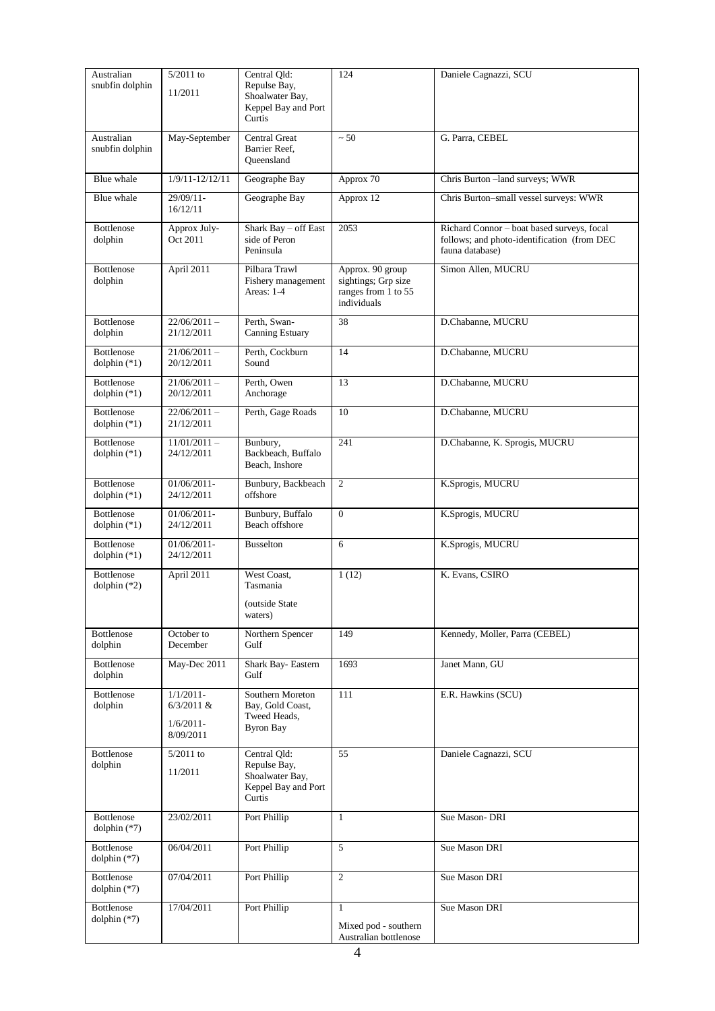| Australian<br>snubfin dolphin          | 5/2011 to<br>11/2011                                     | Central Qld:<br>Repulse Bay,<br>Shoalwater Bay,<br>Keppel Bay and Port<br>Curtis | 124                                                                           | Daniele Cagnazzi, SCU                                                                                        |  |
|----------------------------------------|----------------------------------------------------------|----------------------------------------------------------------------------------|-------------------------------------------------------------------------------|--------------------------------------------------------------------------------------------------------------|--|
| Australian<br>snubfin dolphin          | May-September                                            | <b>Central Great</b><br>Barrier Reef,<br>Queensland                              | ~50                                                                           | G. Parra, CEBEL                                                                                              |  |
| Blue whale                             | $1/9/11 - 12/12/11$                                      | Geographe Bay                                                                    | Approx 70                                                                     | Chris Burton-land surveys; WWR                                                                               |  |
| Blue whale                             | 29/09/11-<br>16/12/11                                    | Geographe Bay                                                                    | Approx 12                                                                     | Chris Burton-small vessel surveys: WWR                                                                       |  |
| Bottlenose<br>dolphin                  | Approx July-<br>Oct 2011                                 | Shark Bay - off East<br>side of Peron<br>Peninsula                               | 2053                                                                          | Richard Connor - boat based surveys, focal<br>follows; and photo-identification (from DEC<br>fauna database) |  |
| <b>Bottlenose</b><br>dolphin           | April 2011                                               | Pilbara Trawl<br>Fishery management<br>Areas: 1-4                                | Approx. 90 group<br>sightings; Grp size<br>ranges from 1 to 55<br>individuals | Simon Allen, MUCRU                                                                                           |  |
| <b>Bottlenose</b><br>dolphin           | $22/06/2011 -$<br>21/12/2011                             | Perth, Swan-<br>Canning Estuary                                                  | 38                                                                            | D.Chabanne, MUCRU                                                                                            |  |
| <b>Bottlenose</b><br>$d$ olphin $(*1)$ | $21/06/2011 -$<br>20/12/2011                             | Perth, Cockburn<br>Sound                                                         | 14                                                                            | D.Chabanne, MUCRU                                                                                            |  |
| <b>Bottlenose</b><br>dolphin $(*1)$    | $21/06/2011 -$<br>20/12/2011                             | Perth, Owen<br>Anchorage                                                         | 13                                                                            | D.Chabanne, MUCRU                                                                                            |  |
| <b>Bottlenose</b><br>dolphin $(*1)$    | $22/06/2011 -$<br>21/12/2011                             | Perth, Gage Roads                                                                | 10                                                                            | D.Chabanne, MUCRU                                                                                            |  |
| Bottlenose<br>dolphin $(*1)$           | $11/01/2011 -$<br>24/12/2011                             | Bunbury,<br>Backbeach, Buffalo<br>Beach, Inshore                                 | 241                                                                           | D.Chabanne, K. Sprogis, MUCRU                                                                                |  |
| <b>Bottlenose</b><br>dolphin $(*1)$    | $01/06/2011$ -<br>24/12/2011                             | Bunbury, Backbeach<br>offshore                                                   | $\overline{c}$                                                                | K.Sprogis, MUCRU                                                                                             |  |
| <b>Bottlenose</b><br>dolphin $(*1)$    | $01/06/2011$ -<br>24/12/2011                             | Bunbury, Buffalo<br>Beach offshore                                               | $\boldsymbol{0}$                                                              | K.Sprogis, MUCRU                                                                                             |  |
| Bottlenose<br>$d$ olphin $(*1)$        | $01/06/2011$ -<br>24/12/2011                             | <b>Busselton</b>                                                                 | 6                                                                             | K.Sprogis, MUCRU                                                                                             |  |
| Bottlenose<br>dolphin $(*2)$           | April 2011                                               | West Coast,<br>Tasmania                                                          | 1(12)                                                                         | K. Evans, CSIRO                                                                                              |  |
|                                        |                                                          | (outside State)<br>waters)                                                       |                                                                               |                                                                                                              |  |
| Bottlenose<br>dolphin                  | October to<br>December                                   | Northern Spencer<br>Gulf                                                         | 149                                                                           | Kennedy, Moller, Parra (CEBEL)                                                                               |  |
| Bottlenose<br>dolphin                  | May-Dec 2011                                             | Shark Bay-Eastern<br>Gulf                                                        | 1693                                                                          | Janet Mann, GU                                                                                               |  |
| Bottlenose<br>dolphin                  | $1/1/2011$ -<br>$6/3/2011$ &<br>$1/6/2011-$<br>8/09/2011 | Southern Moreton<br>Bay, Gold Coast,<br>Tweed Heads,<br><b>Byron Bay</b>         | 111                                                                           | E.R. Hawkins (SCU)                                                                                           |  |
| Bottlenose<br>dolphin                  | $5/2011$ to<br>11/2011                                   | Central Qld:<br>Repulse Bay,<br>Shoalwater Bay,<br>Keppel Bay and Port<br>Curtis | 55                                                                            | Daniele Cagnazzi, SCU                                                                                        |  |
| Bottlenose<br>dolphin $(*7)$           | 23/02/2011                                               | Port Phillip                                                                     | $\mathbf{1}$                                                                  | Sue Mason-DRI                                                                                                |  |
| Bottlenose<br>dolphin $(*7)$           | 06/04/2011                                               | Port Phillip                                                                     | 5                                                                             | Sue Mason DRI                                                                                                |  |
| Bottlenose<br>dolphin $(*7)$           | 07/04/2011                                               | Port Phillip                                                                     | $\overline{2}$                                                                | Sue Mason DRI                                                                                                |  |
| Bottlenose<br>dolphin $(*7)$           | 17/04/2011                                               | Port Phillip                                                                     | $\mathbf{1}$<br>Mixed pod - southern<br>Australian bottlenose                 | Sue Mason DRI                                                                                                |  |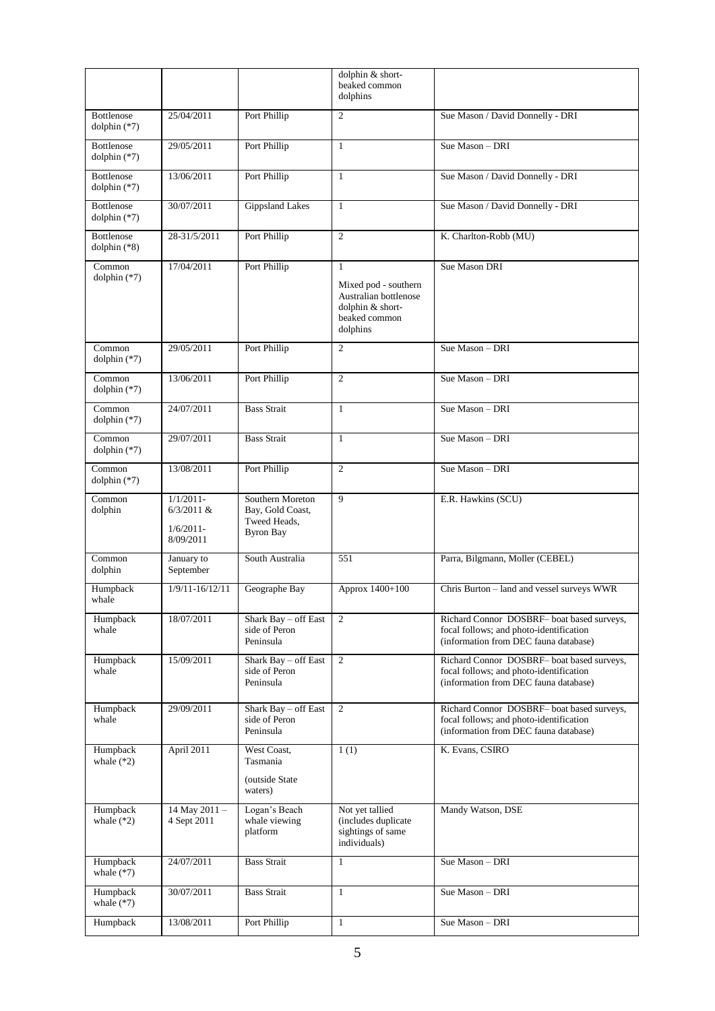|                                     |                                                          |                                                                          | dolphin & short-<br>beaked common<br>dolphins                                                                  |                                                                                                                                |
|-------------------------------------|----------------------------------------------------------|--------------------------------------------------------------------------|----------------------------------------------------------------------------------------------------------------|--------------------------------------------------------------------------------------------------------------------------------|
| <b>Bottlenose</b><br>dolphin $(*7)$ | 25/04/2011                                               | Port Phillip                                                             | $\mathfrak{2}$                                                                                                 | Sue Mason / David Donnelly - DRI                                                                                               |
| <b>Bottlenose</b><br>dolphin (*7)   | 29/05/2011                                               | Port Phillip                                                             | $\mathbf{1}$                                                                                                   | Sue Mason - DRI                                                                                                                |
| <b>Bottlenose</b><br>dolphin $(*7)$ | 13/06/2011                                               | Port Phillip                                                             | $\mathbf{1}$                                                                                                   | Sue Mason / David Donnelly - DRI                                                                                               |
| <b>Bottlenose</b><br>dolphin $(*7)$ | 30/07/2011                                               | <b>Gippsland Lakes</b>                                                   | $\mathbf{1}$                                                                                                   | Sue Mason / David Donnelly - DRI                                                                                               |
| <b>Bottlenose</b><br>dolphin $(*8)$ | 28-31/5/2011                                             | Port Phillip                                                             | $\overline{2}$                                                                                                 | K. Charlton-Robb (MU)                                                                                                          |
| Common<br>dolphin $(*7)$            | Port Phillip<br>17/04/2011                               |                                                                          | $\mathbf{1}$<br>Mixed pod - southern<br>Australian bottlenose<br>dolphin & short-<br>beaked common<br>dolphins | Sue Mason DRI                                                                                                                  |
| Common<br>dolphin $(*7)$            | 29/05/2011                                               | Port Phillip                                                             | $\overline{2}$                                                                                                 | Sue Mason - DRI                                                                                                                |
| Common<br>dolphin $(*7)$            | 13/06/2011                                               | Port Phillip                                                             | $\overline{c}$                                                                                                 | Sue Mason - DRI                                                                                                                |
| Common<br>dolphin $(*7)$            | 24/07/2011                                               | <b>Bass Strait</b>                                                       | $\mathbf{1}$                                                                                                   | Sue Mason - DRI                                                                                                                |
| Common<br>dolphin (*7)              | 29/07/2011                                               | <b>Bass Strait</b>                                                       | $\mathbf{1}$                                                                                                   | Sue Mason - DRI                                                                                                                |
| Common<br>dolphin $(*7)$            | 13/08/2011                                               | Port Phillip                                                             | $\overline{2}$                                                                                                 | Sue Mason - DRI                                                                                                                |
| Common<br>dolphin                   | $1/1/2011-$<br>$6/3/2011$ &<br>$1/6/2011$ -<br>8/09/2011 | Southern Moreton<br>Bay, Gold Coast,<br>Tweed Heads,<br><b>Byron Bay</b> | 9                                                                                                              | E.R. Hawkins (SCU)                                                                                                             |
| Common<br>dolphin                   | January to<br>September                                  | South Australia                                                          | 551                                                                                                            | Parra, Bilgmann, Moller (CEBEL)                                                                                                |
| Humpback<br>whale                   | $1/9/11 - 16/12/11$                                      | Geographe Bay                                                            | Approx 1400+100                                                                                                | Chris Burton - land and vessel surveys WWR                                                                                     |
| Humpback<br>whale                   | 18/07/2011                                               | Shark Bay - off East<br>side of Peron<br>Peninsula                       | 2                                                                                                              | Richard Connor DOSBRF- boat based surveys,<br>focal follows; and photo-identification<br>(information from DEC fauna database) |
| Humpback<br>whale                   | 15/09/2011                                               | Shark Bay - off East<br>side of Peron<br>Peninsula                       | 2                                                                                                              | Richard Connor DOSBRF- boat based surveys,<br>focal follows; and photo-identification<br>(information from DEC fauna database) |
| Humpback<br>whale                   | 29/09/2011                                               | Shark Bay - off East<br>side of Peron<br>Peninsula                       | 2                                                                                                              | Richard Connor DOSBRF- boat based surveys,<br>focal follows; and photo-identification<br>(information from DEC fauna database) |
| Humpback<br>whale $(*2)$            | April $2011$                                             | West Coast,<br>Tasmania<br>(outside State<br>waters)                     | 1(1)                                                                                                           | K. Evans, CSIRO                                                                                                                |
| Humpback<br>whale $(*2)$            | 14 May 2011 -<br>4 Sept 2011                             | Logan's Beach<br>whale viewing<br>platform                               | Not yet tallied<br>(includes duplicate<br>sightings of same<br>individuals)                                    | Mandy Watson, DSE                                                                                                              |
| Humpback<br>whale $(*7)$            | 24/07/2011                                               | <b>Bass Strait</b>                                                       | $\mathbf{1}$                                                                                                   | Sue Mason - DRI                                                                                                                |
| Humpback<br>whale $(*7)$            | 30/07/2011                                               | <b>Bass Strait</b>                                                       | $\mathbf{1}$                                                                                                   | Sue Mason - DRI                                                                                                                |
| Humpback                            | 13/08/2011                                               | Port Phillip                                                             | $\mathbf{1}$                                                                                                   | Sue Mason - DRI                                                                                                                |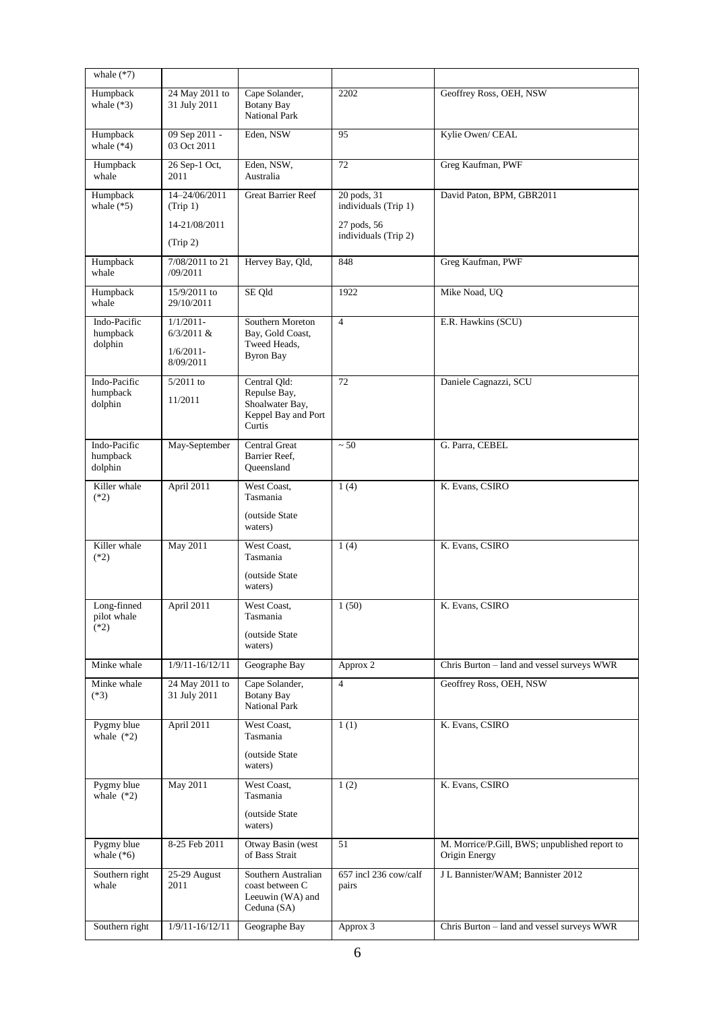| whale $(*7)$                         |                                                                                                          |                                                                           |                                                                            |                                                                |
|--------------------------------------|----------------------------------------------------------------------------------------------------------|---------------------------------------------------------------------------|----------------------------------------------------------------------------|----------------------------------------------------------------|
| Humpback<br>whale $(*3)$             | 24 May 2011 to<br>31 July 2011                                                                           | Cape Solander,<br><b>Botany Bay</b><br>National Park                      | 2202                                                                       | Geoffrey Ross, OEH, NSW                                        |
| Humpback<br>whale $(*4)$             | 09 Sep 2011 -<br>03 Oct 2011                                                                             | Eden, NSW                                                                 | 95                                                                         | Kylie Owen/ CEAL                                               |
| Humpback<br>whale                    | 26 Sep-1 Oct,<br>2011                                                                                    | Eden, NSW,<br>Australia                                                   | 72                                                                         | Greg Kaufman, PWF                                              |
| Humpback<br>whale $(*5)$             | 14-24/06/2011<br>(Trip 1)<br>14-21/08/2011<br>(Trip 2)                                                   | <b>Great Barrier Reef</b>                                                 | 20 pods, 31<br>individuals (Trip 1)<br>27 pods, 56<br>individuals (Trip 2) | David Paton, BPM, GBR2011                                      |
| Humpback<br>whale                    | 7/08/2011 to 21<br>/09/2011                                                                              | Hervey Bay, Qld,                                                          | 848                                                                        | Greg Kaufman, PWF                                              |
| Humpback<br>whale                    | 15/9/2011 to<br>29/10/2011                                                                               | SE Qld                                                                    | 1922                                                                       | Mike Noad, UQ                                                  |
| Indo-Pacific<br>humpback<br>dolphin  | $1/1/2011-$<br>$6/3/2011$ &<br>$1/6/2011$ -<br>8/09/2011                                                 | Southern Moreton<br>Bay, Gold Coast,<br>Tweed Heads,<br><b>Byron Bay</b>  | $\overline{4}$                                                             | E.R. Hawkins (SCU)                                             |
| Indo-Pacific<br>humpback<br>dolphin  | 5/2011 to<br>Central Qld:<br>Repulse Bay,<br>11/2011<br>Shoalwater Bay,<br>Keppel Bay and Port<br>Curtis |                                                                           | 72                                                                         | Daniele Cagnazzi, SCU                                          |
| Indo-Pacific<br>humpback<br>dolphin  | May-September                                                                                            | <b>Central Great</b><br>Barrier Reef,<br>Queensland                       | ~50                                                                        | G. Parra, CEBEL                                                |
| Killer whale<br>$(*2)$               | April 2011                                                                                               | West Coast,<br>Tasmania<br>(outside State<br>waters)                      | 1(4)                                                                       | K. Evans, CSIRO                                                |
| Killer whale<br>$(*2)$               | May 2011                                                                                                 | West Coast,<br>Tasmania<br>(outside State<br>waters)                      | 1(4)                                                                       | K. Evans, CSIRO                                                |
| Long-finned<br>pilot whale<br>$(*2)$ | April 2011                                                                                               | West Coast,<br>Tasmania<br>(outside State<br>waters)                      | 1(50)                                                                      | K. Evans, CSIRO                                                |
| Minke whale                          | $1/9/11 - 16/12/11$                                                                                      | Geographe Bay                                                             | Approx 2                                                                   | Chris Burton - land and vessel surveys WWR                     |
| Minke whale<br>$(*3)$                | 24 May 2011 to<br>31 July 2011                                                                           | Cape Solander,<br><b>Botany Bay</b><br>National Park                      | $\overline{4}$                                                             | Geoffrey Ross, OEH, NSW                                        |
| Pygmy blue<br>whale $(*2)$           | April 2011                                                                                               | West Coast,<br>Tasmania<br>(outside State<br>waters)                      | 1(1)                                                                       | K. Evans, CSIRO                                                |
| Pygmy blue<br>whale $(*2)$           | May 2011                                                                                                 | West Coast,<br>Tasmania<br>(outside State<br>waters)                      | 1(2)                                                                       | K. Evans, CSIRO                                                |
| Pygmy blue<br>whale $(*6)$           | 8-25 Feb 2011                                                                                            | Otway Basin (west<br>of Bass Strait                                       | 51                                                                         | M. Morrice/P.Gill, BWS; unpublished report to<br>Origin Energy |
| Southern right<br>whale              | 25-29 August<br>2011                                                                                     | Southern Australian<br>coast between C<br>Leeuwin (WA) and<br>Ceduna (SA) | 657 incl 236 cow/calf<br>pairs                                             | J L Bannister/WAM; Bannister 2012                              |
| Southern right                       | $1/9/11 - 16/12/11$                                                                                      | Geographe Bay                                                             | Approx 3                                                                   | Chris Burton - land and vessel surveys WWR                     |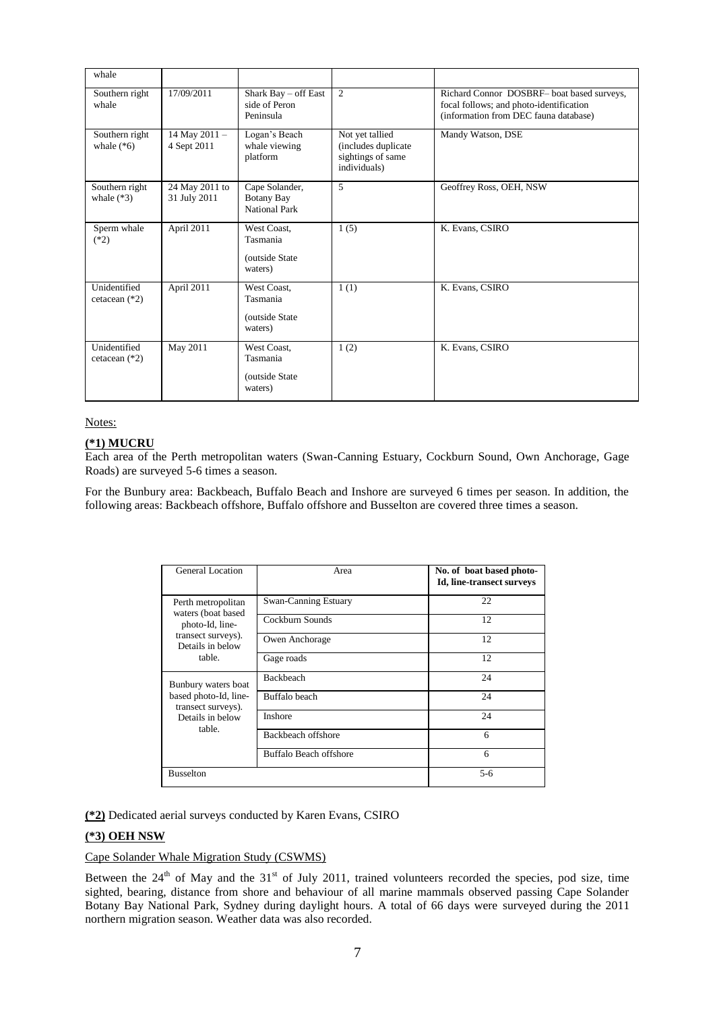| whale                           |                                |                                                       |                                                                             |                                                                                                                                |
|---------------------------------|--------------------------------|-------------------------------------------------------|-----------------------------------------------------------------------------|--------------------------------------------------------------------------------------------------------------------------------|
| Southern right<br>whale         | 17/09/2011                     | Shark Bay - off East<br>side of Peron<br>Peninsula    | 2                                                                           | Richard Connor DOSBRF- boat based surveys,<br>focal follows; and photo-identification<br>(information from DEC fauna database) |
| Southern right<br>whale $(*6)$  | 14 May 2011 -<br>4 Sept 2011   | Logan's Beach<br>whale viewing<br>platform            | Not yet tallied<br>(includes duplicate<br>sightings of same<br>individuals) | Mandy Watson, DSE                                                                                                              |
| Southern right<br>whale $(*3)$  | 24 May 2011 to<br>31 July 2011 | Cape Solander,<br><b>Botany Bay</b><br>National Park  | 5                                                                           | Geoffrey Ross, OEH, NSW                                                                                                        |
| Sperm whale<br>$(*2)$           | April 2011                     | West Coast.<br>Tasmania<br>(outside State)<br>waters) | 1(5)                                                                        | K. Evans, CSIRO                                                                                                                |
| Unidentified<br>cetacean $(*2)$ | April 2011                     | West Coast.<br>Tasmania<br>(outside State)<br>waters) | 1(1)                                                                        | K. Evans, CSIRO                                                                                                                |
| Unidentified<br>cetacean $(*2)$ | May 2011                       | West Coast,<br>Tasmania<br>(outside State)<br>waters) | 1(2)                                                                        | K. Evans, CSIRO                                                                                                                |

# **(\*1) MUCRU**

Each area of the Perth metropolitan waters (Swan-Canning Estuary, Cockburn Sound, Own Anchorage, Gage Roads) are surveyed 5-6 times a season.

For the Bunbury area: Backbeach, Buffalo Beach and Inshore are surveyed 6 times per season. In addition, the following areas: Backbeach offshore, Buffalo offshore and Busselton are covered three times a season.

| General Location                                                                                 | Area                        | No. of boat based photo-<br>Id, line-transect surveys |
|--------------------------------------------------------------------------------------------------|-----------------------------|-------------------------------------------------------|
| Perth metropolitan<br>waters (boat based                                                         | <b>Swan-Canning Estuary</b> | 22                                                    |
| photo-Id, line-                                                                                  | Cockburn Sounds             | 12                                                    |
| transect surveys).<br>Details in below                                                           | Owen Anchorage              | 12                                                    |
| table.                                                                                           | Gage roads                  | 12                                                    |
| Bunbury waters boat<br>based photo-Id, line-<br>transect surveys).<br>Details in below<br>table. | <b>Backbeach</b>            | 24                                                    |
|                                                                                                  | Buffalo beach               | 24                                                    |
|                                                                                                  | <b>Inshore</b>              | 24                                                    |
|                                                                                                  | Backbeach offshore          | 6                                                     |
|                                                                                                  | Buffalo Beach offshore      | 6                                                     |
| <b>Busselton</b>                                                                                 |                             | $5-6$                                                 |

**(\*2)** Dedicated aerial surveys conducted by Karen Evans, CSIRO

# **(\*3) OEH NSW**

### Cape Solander Whale Migration Study (CSWMS)

Between the  $24<sup>th</sup>$  of May and the  $31<sup>st</sup>$  of July 2011, trained volunteers recorded the species, pod size, time sighted, bearing, distance from shore and behaviour of all marine mammals observed passing Cape Solander Botany Bay National Park, Sydney during daylight hours. A total of 66 days were surveyed during the 2011 northern migration season. Weather data was also recorded.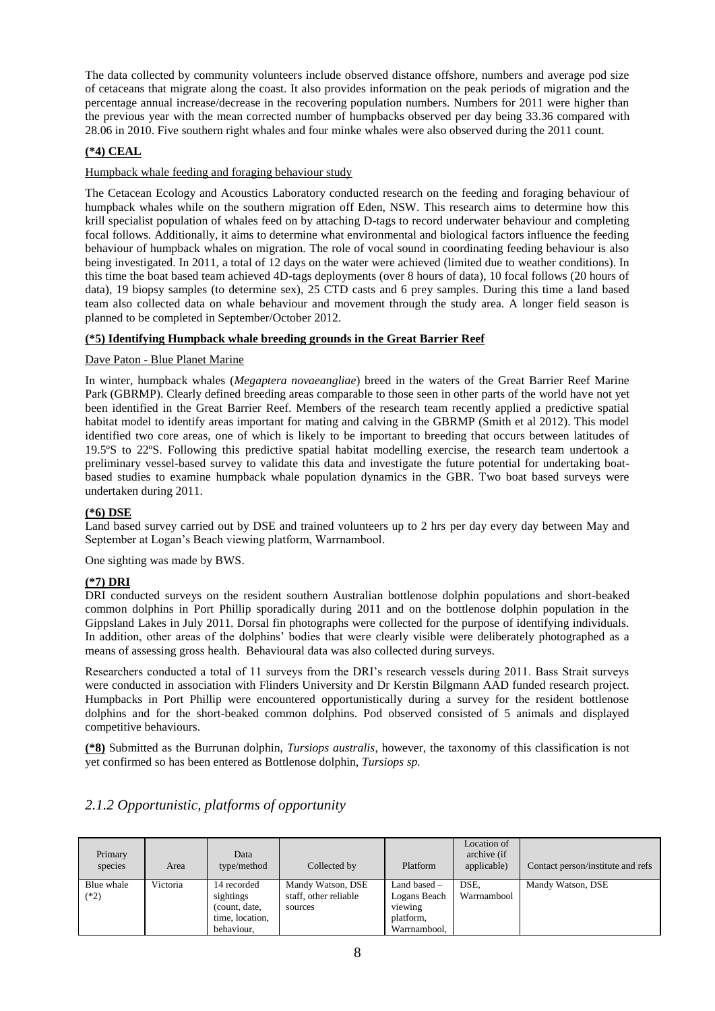The data collected by community volunteers include observed distance offshore, numbers and average pod size of cetaceans that migrate along the coast. It also provides information on the peak periods of migration and the percentage annual increase/decrease in the recovering population numbers. Numbers for 2011 were higher than the previous year with the mean corrected number of humpbacks observed per day being 33.36 compared with 28.06 in 2010. Five southern right whales and four minke whales were also observed during the 2011 count.

# **(\*4) CEAL**

## Humpback whale feeding and foraging behaviour study

The Cetacean Ecology and Acoustics Laboratory conducted research on the feeding and foraging behaviour of humpback whales while on the southern migration off Eden, NSW. This research aims to determine how this krill specialist population of whales feed on by attaching D-tags to record underwater behaviour and completing focal follows. Additionally, it aims to determine what environmental and biological factors influence the feeding behaviour of humpback whales on migration. The role of vocal sound in coordinating feeding behaviour is also being investigated. In 2011, a total of 12 days on the water were achieved (limited due to weather conditions). In this time the boat based team achieved 4D-tags deployments (over 8 hours of data), 10 focal follows (20 hours of data), 19 biopsy samples (to determine sex), 25 CTD casts and 6 prey samples. During this time a land based team also collected data on whale behaviour and movement through the study area. A longer field season is planned to be completed in September/October 2012.

# **(\*5) Identifying Humpback whale breeding grounds in the Great Barrier Reef**

#### Dave Paton - Blue Planet Marine

In winter, humpback whales (*Megaptera novaeangliae*) breed in the waters of the Great Barrier Reef Marine Park (GBRMP). Clearly defined breeding areas comparable to those seen in other parts of the world have not yet been identified in the Great Barrier Reef. Members of the research team recently applied a predictive spatial habitat model to identify areas important for mating and calving in the GBRMP (Smith et al 2012). This model identified two core areas, one of which is likely to be important to breeding that occurs between latitudes of 19.5ºS to 22ºS. Following this predictive spatial habitat modelling exercise, the research team undertook a preliminary vessel-based survey to validate this data and investigate the future potential for undertaking boatbased studies to examine humpback whale population dynamics in the GBR. Two boat based surveys were undertaken during 2011.

### **(\*6) DSE**

Land based survey carried out by DSE and trained volunteers up to 2 hrs per day every day between May and September at Logan's Beach viewing platform, Warrnambool.

One sighting was made by BWS.

#### **(\*7) DRI**

DRI conducted surveys on the resident southern Australian bottlenose dolphin populations and short-beaked common dolphins in Port Phillip sporadically during 2011 and on the bottlenose dolphin population in the Gippsland Lakes in July 2011. Dorsal fin photographs were collected for the purpose of identifying individuals. In addition, other areas of the dolphins' bodies that were clearly visible were deliberately photographed as a means of assessing gross health. Behavioural data was also collected during surveys.

Researchers conducted a total of 11 surveys from the DRI's research vessels during 2011. Bass Strait surveys were conducted in association with Flinders University and Dr Kerstin Bilgmann AAD funded research project. Humpbacks in Port Phillip were encountered opportunistically during a survey for the resident bottlenose dolphins and for the short-beaked common dolphins. Pod observed consisted of 5 animals and displayed competitive behaviours.

**(\*8)** Submitted as the Burrunan dolphin, *Tursiops australis*, however, the taxonomy of this classification is not yet confirmed so has been entered as Bottlenose dolphin, *Tursiops sp.*

| Primary<br>species   | Area     | Data<br>type/method                                                        | Collected by                                          | Platform                                                             | Location of<br>archive (if<br>applicable) | Contact person/institute and refs |
|----------------------|----------|----------------------------------------------------------------------------|-------------------------------------------------------|----------------------------------------------------------------------|-------------------------------------------|-----------------------------------|
| Blue whale<br>$(*2)$ | Victoria | 14 recorded<br>sightings<br>(count, date,<br>time, location.<br>behaviour. | Mandy Watson, DSE<br>staff, other reliable<br>sources | Land based -<br>Logans Beach<br>viewing<br>platform,<br>Warrnambool, | DSE.<br>Warrnambool                       | Mandy Watson, DSE                 |

# *2.1.2 Opportunistic, platforms of opportunity*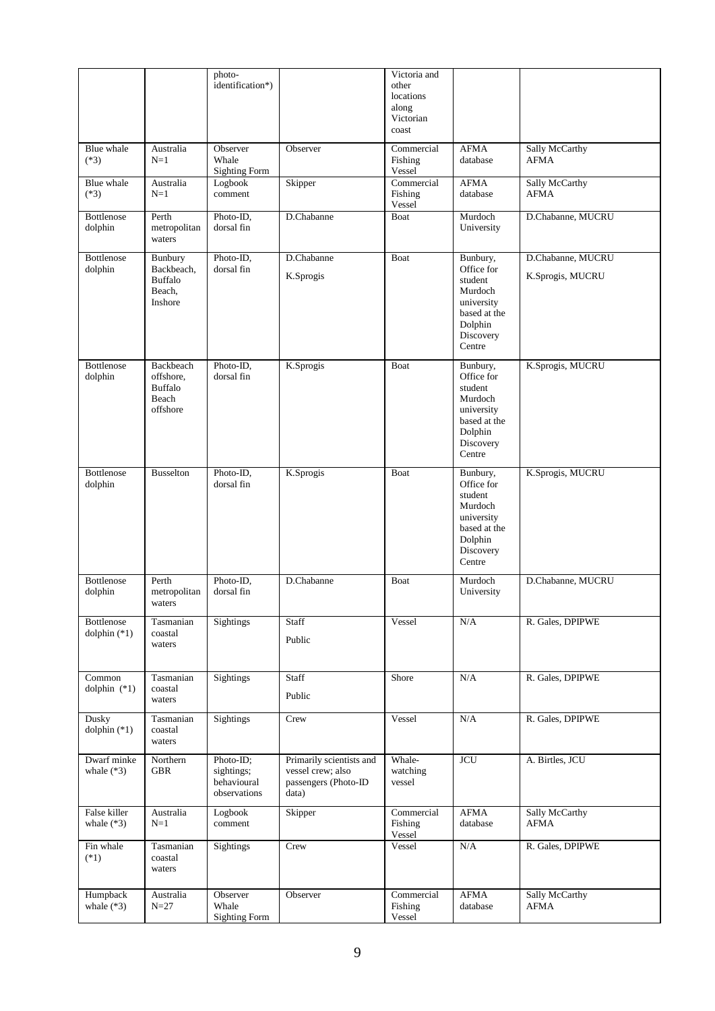|                              |                                                                     | photo-<br>identification*)                             |                                                                                | Victoria and<br>other<br>locations<br>along<br>Victorian<br>coast |                                                                                                              |                                       |
|------------------------------|---------------------------------------------------------------------|--------------------------------------------------------|--------------------------------------------------------------------------------|-------------------------------------------------------------------|--------------------------------------------------------------------------------------------------------------|---------------------------------------|
| Blue whale<br>$(*3)$         | Australia<br>$N=1$                                                  | Observer<br>Whale<br><b>Sighting Form</b>              | Observer                                                                       | Commercial<br>Fishing<br>Vessel                                   | <b>AFMA</b><br>database                                                                                      | Sally McCarthy<br>AFMA                |
| Blue whale<br>$(*3)$         | Australia<br>$N=1$                                                  | Logbook<br>comment                                     | Skipper                                                                        | Commercial<br>Fishing<br>Vessel                                   | AFMA<br>database                                                                                             | Sally McCarthy<br><b>AFMA</b>         |
| <b>Bottlenose</b><br>dolphin | Perth<br>metropolitan<br>waters                                     | Photo-ID,<br>dorsal fin                                | D.Chabanne                                                                     | <b>Boat</b>                                                       | Murdoch<br>University                                                                                        | D.Chabanne, MUCRU                     |
| <b>Bottlenose</b><br>dolphin | Bunbury<br>Backbeach,<br><b>Buffalo</b><br>Beach,<br><b>Inshore</b> | Photo-ID,<br>dorsal fin                                | D.Chabanne<br>K.Sprogis                                                        | Boat                                                              | Bunbury,<br>Office for<br>student<br>Murdoch<br>university<br>based at the<br>Dolphin<br>Discovery<br>Centre | D.Chabanne, MUCRU<br>K.Sprogis, MUCRU |
| <b>Bottlenose</b><br>dolphin | Backbeach<br>offshore,<br><b>Buffalo</b><br>Beach<br>offshore       | Photo-ID,<br>dorsal fin                                | K.Sprogis                                                                      | Boat                                                              | Bunbury,<br>Office for<br>student<br>Murdoch<br>university<br>based at the<br>Dolphin<br>Discovery<br>Centre | K.Sprogis, MUCRU                      |
| <b>Bottlenose</b><br>dolphin | <b>Busselton</b>                                                    | Photo-ID,<br>dorsal fin                                | K.Sprogis                                                                      | Boat                                                              | Bunbury,<br>Office for<br>student<br>Murdoch<br>university<br>based at the<br>Dolphin<br>Discovery<br>Centre | K.Sprogis, MUCRU                      |
| <b>Bottlenose</b><br>dolphin | Perth<br>metropolitan<br>waters                                     | Photo-ID,<br>dorsal fin                                | D.Chabanne                                                                     | Boat                                                              | Murdoch<br>University                                                                                        | D.Chabanne, MUCRU                     |
| Bottlenose<br>dolphin $(*1)$ | Tasmanian<br>coastal<br>waters                                      | Sightings                                              | Staff<br>Public                                                                | Vessel                                                            | N/A                                                                                                          | R. Gales, DPIPWE                      |
| Common<br>dolphin $(*1)$     | Tasmanian<br>coastal<br>waters                                      | Sightings                                              | Staff<br>Public                                                                | Shore                                                             | N/A                                                                                                          | R. Gales, DPIPWE                      |
| Dusky<br>dolphin $(*1)$      | Tasmanian<br>coastal<br>waters                                      | <b>Sightings</b>                                       | Crew                                                                           | Vessel                                                            | N/A                                                                                                          | R. Gales, DPIPWE                      |
| Dwarf minke<br>whale $(*3)$  | Northern<br><b>GBR</b>                                              | Photo-ID;<br>sightings;<br>behavioural<br>observations | Primarily scientists and<br>vessel crew; also<br>passengers (Photo-ID<br>data) | Whale-<br>watching<br>vessel                                      | <b>JCU</b>                                                                                                   | A. Birtles, JCU                       |
| False killer<br>whale $(*3)$ | Australia<br>$N=1$                                                  | Logbook<br>comment                                     | Skipper                                                                        | Commercial<br>Fishing<br>Vessel                                   | <b>AFMA</b><br>database                                                                                      | Sally McCarthy<br><b>AFMA</b>         |
| Fin whale<br>$(*1)$          | Tasmanian<br>coastal<br>waters                                      | Sightings                                              | Crew                                                                           | Vessel                                                            | $\rm N/A$                                                                                                    | R. Gales, DPIPWE                      |
| Humpback<br>whale $(*3)$     | Australia<br>$N=27$                                                 | Observer<br>Whale<br><b>Sighting Form</b>              | Observer                                                                       | Commercial<br>Fishing<br>Vessel                                   | <b>AFMA</b><br>database                                                                                      | Sally McCarthy<br><b>AFMA</b>         |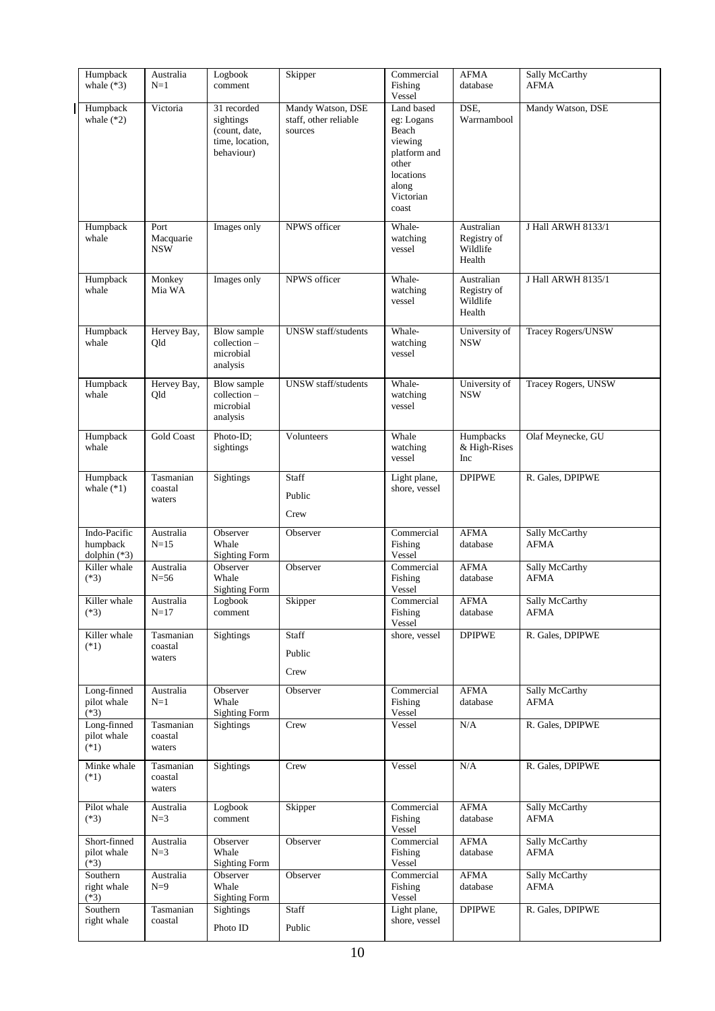| Humpback<br>whale $(*3)$                 | Australia<br>$N=1$              | Logbook<br>comment                                                         | Skipper                                               | Commercial<br>Fishing<br>Vessel                                                                                   | <b>AFMA</b><br>database                         | Sally McCarthy<br>AFMA               |
|------------------------------------------|---------------------------------|----------------------------------------------------------------------------|-------------------------------------------------------|-------------------------------------------------------------------------------------------------------------------|-------------------------------------------------|--------------------------------------|
| Humpback<br>whale $(*2)$                 | Victoria                        | 31 recorded<br>sightings<br>(count, date,<br>time, location,<br>behaviour) | Mandy Watson, DSE<br>staff, other reliable<br>sources | Land based<br>eg: Logans<br>Beach<br>viewing<br>platform and<br>other<br>locations<br>along<br>Victorian<br>coast | DSE,<br>Warrnambool                             | Mandy Watson, DSE                    |
| Humpback<br>whale                        | Port<br>Macquarie<br><b>NSW</b> | Images only                                                                | NPWS officer                                          | Whale-<br>watching<br>vessel                                                                                      | Australian<br>Registry of<br>Wildlife<br>Health | J Hall ARWH 8133/1                   |
| Humpback<br>whale                        | Monkey<br>Mia WA                | Images only                                                                | NPWS officer                                          | Whale-<br>watching<br>vessel                                                                                      | Australian<br>Registry of<br>Wildlife<br>Health | J Hall ARWH 8135/1                   |
| Humpback<br>whale                        | Hervey Bay,<br>Qld              | Blow sample<br>collection-<br>microbial<br>analysis                        | UNSW staff/students                                   | Whale-<br>watching<br>vessel                                                                                      | University of<br><b>NSW</b>                     | Tracey Rogers/UNSW                   |
| Humpback<br>whale                        | Hervey Bay,<br>Qld              | Blow sample<br>$collection -$<br>microbial<br>analysis                     | UNSW staff/students                                   | Whale-<br>watching<br>vessel                                                                                      | University of<br><b>NSW</b>                     | Tracey Rogers, UNSW                  |
| Humpback<br>whale                        | Gold Coast                      | Photo-ID;<br>sightings                                                     | Volunteers                                            | Whale<br>watching<br>vessel                                                                                       | Humpbacks<br>& High-Rises<br>Inc                | Olaf Meynecke, GU                    |
| Humpback<br>whale $(*1)$                 | Tasmanian<br>coastal<br>waters  | Sightings                                                                  | Staff<br>Public<br>Crew                               | Light plane,<br>shore, vessel                                                                                     | <b>DPIPWE</b>                                   | R. Gales, DPIPWE                     |
| Indo-Pacific<br>humpback<br>dolphin (*3) | Australia<br>$N = 15$           | Observer<br>Whale<br><b>Sighting Form</b>                                  | Observer                                              | Commercial<br>Fishing<br>Vessel                                                                                   | <b>AFMA</b><br>database                         | Sally McCarthy<br><b>AFMA</b>        |
| Killer whale<br>$(*3)$                   | Australia<br>$N=56$             | Observer<br>Whale<br><b>Sighting Form</b>                                  | Observer                                              | Commercial<br>Fishing<br>Vessel                                                                                   | <b>AFMA</b><br>database                         | Sally McCarthy<br><b>AFMA</b>        |
| Killer whale<br>$(*3)$                   | Australia<br>$N=17$             | Logbook<br>comment                                                         | $\operatorname{Skipper}$                              | Commercial<br>Fishing<br>Vessel                                                                                   | <b>AFMA</b><br>database                         | Sally McCarthy<br><b>AFMA</b>        |
| Killer whale<br>$(*1)$                   | Tasmanian<br>coastal<br>waters  | <b>Sightings</b>                                                           | Staff<br>Public<br>Crew                               | shore, vessel                                                                                                     | <b>DPIPWE</b>                                   | R. Gales, DPIPWE                     |
| Long-finned<br>pilot whale<br>$(*3)$     | Australia<br>$N=1$              | Observer<br>Whale<br><b>Sighting Form</b>                                  | Observer                                              | Commercial<br>Fishing<br>Vessel                                                                                   | <b>AFMA</b><br>database                         | Sally McCarthy<br><b>AFMA</b>        |
| Long-finned<br>pilot whale<br>$(*1)$     | Tasmanian<br>coastal<br>waters  | <b>Sightings</b>                                                           | Crew                                                  | Vessel                                                                                                            | $\rm N/A$                                       | R. Gales, DPIPWE                     |
| Minke whale<br>$(*1)$                    | Tasmanian<br>coastal<br>waters  | Sightings                                                                  | Crew                                                  | Vessel                                                                                                            | N/A                                             | R. Gales, DPIPWE                     |
| Pilot whale<br>$(*3)$                    | Australia<br>$N=3$              | Logbook<br>comment                                                         | Skipper                                               | Commercial<br>Fishing<br>Vessel                                                                                   | ${\rm AFMA}$<br>database                        | Sally McCarthy<br><b>AFMA</b>        |
| Short-finned<br>pilot whale<br>$(*3)$    | Australia<br>$N=3$              | Observer<br>Whale<br><b>Sighting Form</b>                                  | Observer                                              | Commercial<br>Fishing<br>Vessel                                                                                   | <b>AFMA</b><br>database                         | Sally McCarthy<br><b>AFMA</b>        |
| Southern<br>right whale<br>$(*3)$        | Australia<br>$N=9$              | Observer<br>Whale<br><b>Sighting Form</b>                                  | Observer                                              | Commercial<br>Fishing<br>Vessel                                                                                   | AFMA<br>database                                | <b>Sally McCarthy</b><br><b>AFMA</b> |
| Southern<br>right whale                  | Tasmanian<br>coastal            | Sightings<br>Photo ID                                                      | Staff<br>Public                                       | Light plane,<br>shore, vessel                                                                                     | <b>DPIPWE</b>                                   | R. Gales, DPIPWE                     |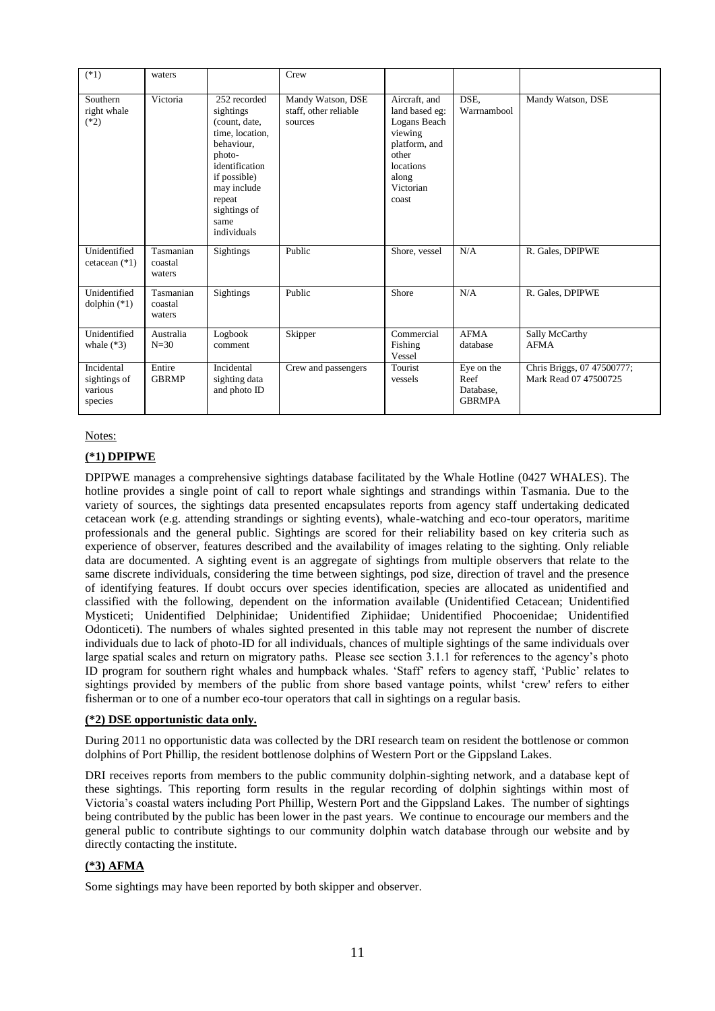| $(*1)$                                           | waters                         |                                                                                                                                                                                         | Crew                                                  |                                                                                                                                  |                                                  |                                                     |
|--------------------------------------------------|--------------------------------|-----------------------------------------------------------------------------------------------------------------------------------------------------------------------------------------|-------------------------------------------------------|----------------------------------------------------------------------------------------------------------------------------------|--------------------------------------------------|-----------------------------------------------------|
| Southern<br>right whale<br>$(*2)$                | Victoria                       | 252 recorded<br>sightings<br>(count, date,<br>time, location,<br>behaviour,<br>photo-<br>identification<br>if possible)<br>may include<br>repeat<br>sightings of<br>same<br>individuals | Mandy Watson, DSE<br>staff, other reliable<br>sources | Aircraft, and<br>land based eg:<br>Logans Beach<br>viewing<br>platform, and<br>other<br>locations<br>along<br>Victorian<br>coast | DSE.<br>Warrnambool                              | Mandy Watson, DSE                                   |
| Unidentified<br>cetacean $(*1)$                  | Tasmanian<br>coastal<br>waters | <b>Sightings</b>                                                                                                                                                                        | Public                                                | Shore, vessel                                                                                                                    | N/A                                              | R. Gales, DPIPWE                                    |
| Unidentified<br>dolphin $(*1)$                   | Tasmanian<br>coastal<br>waters | <b>Sightings</b>                                                                                                                                                                        | Public                                                | Shore                                                                                                                            | N/A                                              | R. Gales, DPIPWE                                    |
| Unidentified<br>whale $(*3)$                     | Australia<br>$N=30$            | Logbook<br>comment                                                                                                                                                                      | Skipper                                               | Commercial<br>Fishing<br>Vessel                                                                                                  | <b>AFMA</b><br>database                          | Sally McCarthy<br><b>AFMA</b>                       |
| Incidental<br>sightings of<br>various<br>species | Entire<br><b>GBRMP</b>         | Incidental<br>sighting data<br>and photo ID                                                                                                                                             | Crew and passengers                                   | Tourist<br>vessels                                                                                                               | Eye on the<br>Reef<br>Database,<br><b>GBRMPA</b> | Chris Briggs, 07 47500777;<br>Mark Read 07 47500725 |

#### **(\*1) DPIPWE**

DPIPWE manages a comprehensive sightings database facilitated by the Whale Hotline (0427 WHALES). The hotline provides a single point of call to report whale sightings and strandings within Tasmania. Due to the variety of sources, the sightings data presented encapsulates reports from agency staff undertaking dedicated cetacean work (e.g. attending strandings or sighting events), whale-watching and eco-tour operators, maritime professionals and the general public. Sightings are scored for their reliability based on key criteria such as experience of observer, features described and the availability of images relating to the sighting. Only reliable data are documented. A sighting event is an aggregate of sightings from multiple observers that relate to the same discrete individuals, considering the time between sightings, pod size, direction of travel and the presence of identifying features. If doubt occurs over species identification, species are allocated as unidentified and classified with the following, dependent on the information available (Unidentified Cetacean; Unidentified Mysticeti; Unidentified Delphinidae; Unidentified Ziphiidae; Unidentified Phocoenidae; Unidentified Odonticeti). The numbers of whales sighted presented in this table may not represent the number of discrete individuals due to lack of photo-ID for all individuals, chances of multiple sightings of the same individuals over large spatial scales and return on migratory paths. Please see section 3.1.1 for references to the agency's photo ID program for southern right whales and humpback whales. 'Staff' refers to agency staff, 'Public' relates to sightings provided by members of the public from shore based vantage points, whilst 'crew' refers to either fisherman or to one of a number eco-tour operators that call in sightings on a regular basis.

#### **(\*2) DSE opportunistic data only.**

During 2011 no opportunistic data was collected by the DRI research team on resident the bottlenose or common dolphins of Port Phillip, the resident bottlenose dolphins of Western Port or the Gippsland Lakes.

DRI receives reports from members to the public community dolphin-sighting network, and a database kept of these sightings. This reporting form results in the regular recording of dolphin sightings within most of Victoria's coastal waters including Port Phillip, Western Port and the Gippsland Lakes. The number of sightings being contributed by the public has been lower in the past years. We continue to encourage our members and the general public to contribute sightings to our community dolphin watch database through our website and by directly contacting the institute.

### **(\*3) AFMA**

Some sightings may have been reported by both skipper and observer.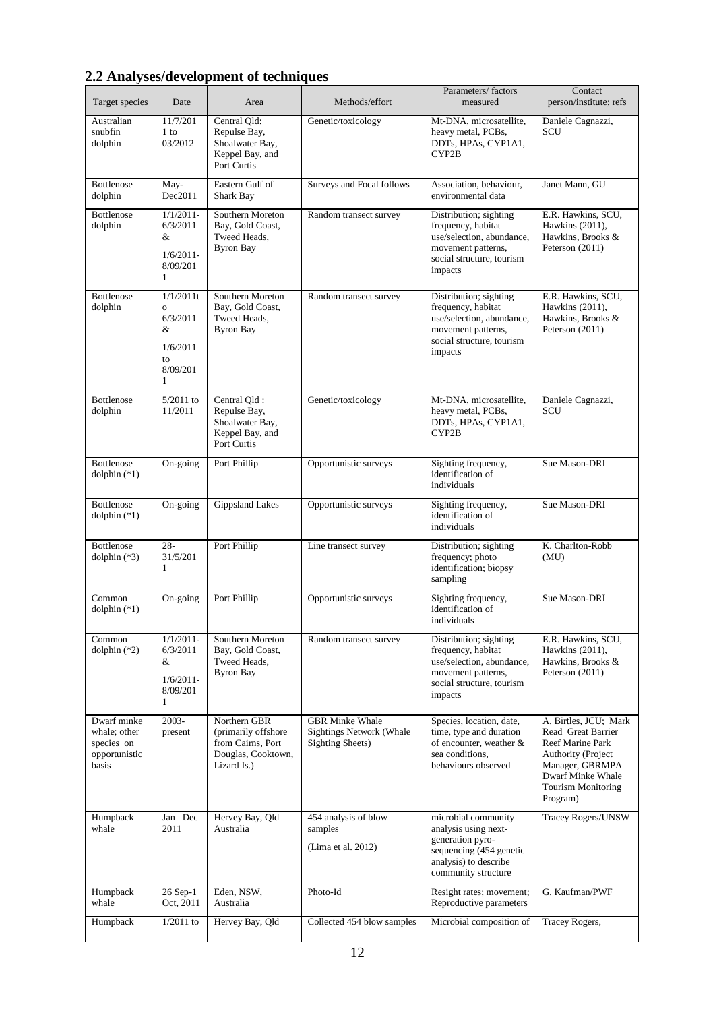# **2.2 Analyses/development of techniques**

| Target species                                                      | Date                                                                            | Area                                                                                           | Methods/effort                                                                        | Parameters/factors<br>measured                                                                                                             | Contact<br>person/institute; refs                                                                                                                                             |
|---------------------------------------------------------------------|---------------------------------------------------------------------------------|------------------------------------------------------------------------------------------------|---------------------------------------------------------------------------------------|--------------------------------------------------------------------------------------------------------------------------------------------|-------------------------------------------------------------------------------------------------------------------------------------------------------------------------------|
| Australian<br>snubfin<br>dolphin                                    | 11/7/201<br>1 to<br>03/2012                                                     | Central Qld:<br>Repulse Bay,<br>Shoalwater Bay,<br>Keppel Bay, and<br>Port Curtis              | Genetic/toxicology                                                                    | Mt-DNA, microsatellite,<br>heavy metal, PCBs,<br>DDTs, HPAs, CYP1A1,<br>CYP2B                                                              | Daniele Cagnazzi,<br>SCU                                                                                                                                                      |
| <b>Bottlenose</b><br>dolphin                                        | May-<br>Dec2011                                                                 | Eastern Gulf of<br>Shark Bay                                                                   | Surveys and Focal follows                                                             | Association, behaviour,<br>environmental data                                                                                              | Janet Mann, GU                                                                                                                                                                |
| <b>Bottlenose</b><br>dolphin                                        | $1/1/2011$ -<br>6/3/2011<br>&<br>$1/6/2011$ -<br>8/09/201<br>1                  | Southern Moreton<br>Bay, Gold Coast,<br>Tweed Heads,<br><b>Byron Bay</b>                       | Random transect survey                                                                | Distribution; sighting<br>frequency, habitat<br>use/selection, abundance,<br>movement patterns,<br>social structure, tourism<br>impacts    | E.R. Hawkins, SCU,<br>Hawkins (2011),<br>Hawkins, Brooks &<br>Peterson (2011)                                                                                                 |
| <b>Bottlenose</b><br>dolphin                                        | 1/1/2011t<br>$\overline{O}$<br>6/3/2011<br>&<br>1/6/2011<br>to<br>8/09/201<br>1 | Southern Moreton<br>Bay, Gold Coast,<br>Tweed Heads,<br><b>Byron Bay</b>                       | Random transect survey                                                                | Distribution; sighting<br>frequency, habitat<br>use/selection, abundance,<br>movement patterns,<br>social structure, tourism<br>impacts    | E.R. Hawkins, SCU,<br>Hawkins (2011),<br>Hawkins, Brooks &<br>Peterson (2011)                                                                                                 |
| <b>Bottlenose</b><br>dolphin                                        | $5/2011$ to<br>11/2011                                                          | Central Qld:<br>Repulse Bay,<br>Shoalwater Bay,<br>Keppel Bay, and<br>Port Curtis              | Genetic/toxicology                                                                    | Mt-DNA, microsatellite,<br>heavy metal, PCBs,<br>DDTs, HPAs, CYP1A1,<br>CYP2B                                                              | Daniele Cagnazzi,<br>SCU                                                                                                                                                      |
| <b>Bottlenose</b><br>dolphin $(*1)$                                 | On-going                                                                        | Port Phillip                                                                                   | Opportunistic surveys                                                                 | Sighting frequency,<br>identification of<br>individuals                                                                                    | Sue Mason-DRI                                                                                                                                                                 |
| <b>Bottlenose</b><br>dolphin $(*1)$                                 | On-going                                                                        | <b>Gippsland Lakes</b>                                                                         | Opportunistic surveys                                                                 | Sighting frequency,<br>identification of<br>individuals                                                                                    | Sue Mason-DRI                                                                                                                                                                 |
| <b>Bottlenose</b><br>dolphin $(*3)$                                 | $28 -$<br>31/5/201<br>1                                                         | Port Phillip                                                                                   | Line transect survey                                                                  | Distribution; sighting<br>frequency; photo<br>identification; biopsy<br>sampling                                                           | K. Charlton-Robb<br>(MU)                                                                                                                                                      |
| Common<br>dolphin $(*1)$                                            | On-going                                                                        | Port Phillip                                                                                   | Opportunistic surveys                                                                 | Sighting frequency,<br>identification of<br>individuals                                                                                    | Sue Mason-DRI                                                                                                                                                                 |
| Common<br>dolphin $(*2)$                                            | $1/1/2011$ -<br>6/3/2011<br>&<br>$1/6/2011-$<br>8/09/201<br>1                   | Southern Moreton<br>Bay, Gold Coast,<br>Tweed Heads,<br><b>Byron Bay</b>                       | Random transect survey                                                                | Distribution; sighting<br>frequency, habitat<br>use/selection, abundance,<br>movement patterns,<br>social structure, tourism<br>impacts    | E.R. Hawkins, SCU,<br>Hawkins (2011),<br>Hawkins, Brooks &<br>Peterson (2011)                                                                                                 |
| Dwarf minke<br>whale; other<br>species on<br>opportunistic<br>basis | 2003-<br>present                                                                | Northern GBR<br>(primarily offshore)<br>from Cairns, Port<br>Douglas, Cooktown,<br>Lizard Is.) | <b>GBR Minke Whale</b><br><b>Sightings Network (Whale</b><br><b>Sighting Sheets</b> ) | Species, location, date,<br>time, type and duration<br>of encounter, weather &<br>sea conditions,<br>behaviours observed                   | A. Birtles, JCU; Mark<br>Read Great Barrier<br>Reef Marine Park<br><b>Authority (Project</b><br>Manager, GBRMPA<br>Dwarf Minke Whale<br><b>Tourism Monitoring</b><br>Program) |
| Humpback<br>whale                                                   | Jan-Dec<br>2011                                                                 | Hervey Bay, Qld<br>Australia                                                                   | 454 analysis of blow<br>samples<br>(Lima et al. 2012)                                 | microbial community<br>analysis using next-<br>generation pyro-<br>sequencing (454 genetic<br>analysis) to describe<br>community structure | Tracey Rogers/UNSW                                                                                                                                                            |
| Humpback<br>whale                                                   | 26 Sep-1<br>Oct, 2011                                                           | Eden, NSW,<br>Australia                                                                        | Photo-Id                                                                              | Resight rates; movement;<br>Reproductive parameters                                                                                        | G. Kaufman/PWF                                                                                                                                                                |
| Humpback                                                            | $1/2011$ to                                                                     | Hervey Bay, Qld                                                                                | Collected 454 blow samples                                                            | Microbial composition of                                                                                                                   | Tracey Rogers,                                                                                                                                                                |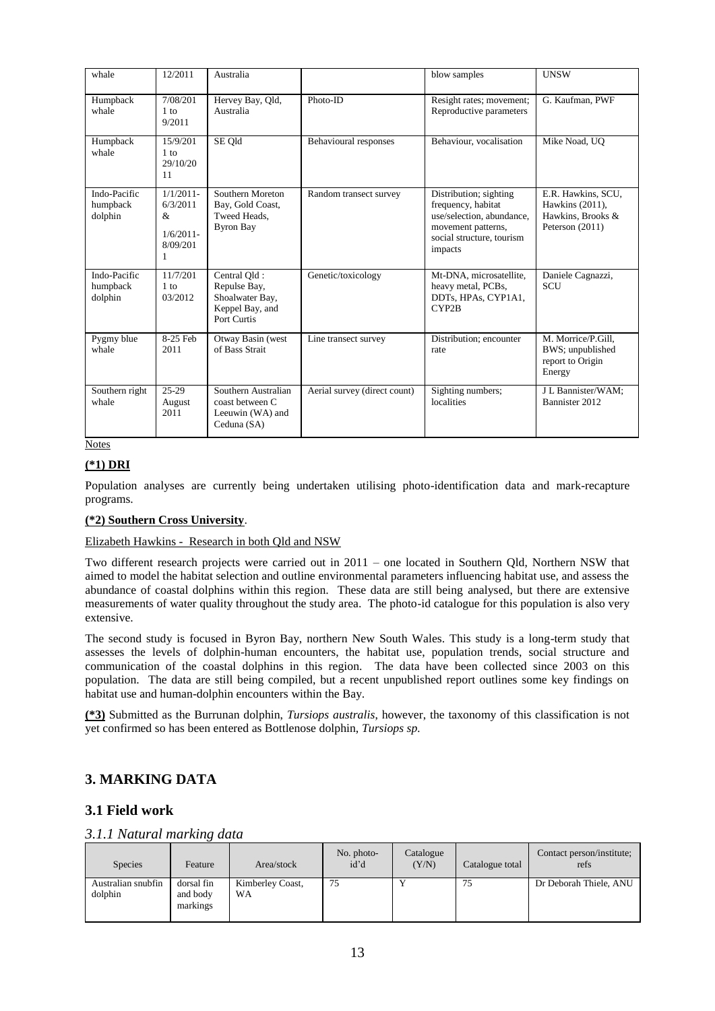| whale                               | 12/2011                                                        | Australia                                                                         |                              | blow samples                                                                                                                            | <b>UNSW</b>                                                                   |
|-------------------------------------|----------------------------------------------------------------|-----------------------------------------------------------------------------------|------------------------------|-----------------------------------------------------------------------------------------------------------------------------------------|-------------------------------------------------------------------------------|
| Humpback<br>whale                   | 7/08/201<br>1 to<br>9/2011                                     | Hervey Bay, Qld,<br>Australia                                                     | Photo-ID                     | Resight rates; movement;<br>Reproductive parameters                                                                                     | G. Kaufman, PWF                                                               |
| Humpback<br>whale                   | 15/9/201<br>1 to<br>29/10/20<br>11                             | SE Qld                                                                            | Behavioural responses        | Behaviour, vocalisation                                                                                                                 | Mike Noad, UQ                                                                 |
| Indo-Pacific<br>humpback<br>dolphin | $1/1/2011$ -<br>6/3/2011<br>&<br>$1/6/2011$ -<br>8/09/201<br>1 | Southern Moreton<br>Bay, Gold Coast,<br>Tweed Heads.<br><b>Byron Bay</b>          | Random transect survey       | Distribution; sighting<br>frequency, habitat<br>use/selection, abundance,<br>movement patterns,<br>social structure, tourism<br>impacts | E.R. Hawkins, SCU,<br>Hawkins (2011),<br>Hawkins, Brooks &<br>Peterson (2011) |
| Indo-Pacific<br>humpback<br>dolphin | 11/7/201<br>$1$ to<br>03/2012                                  | Central Old:<br>Repulse Bay,<br>Shoalwater Bay,<br>Keppel Bay, and<br>Port Curtis | Genetic/toxicology           | Mt-DNA, microsatellite,<br>heavy metal, PCBs,<br>DDTs, HPAs, CYP1A1,<br>CYP2B                                                           | Daniele Cagnazzi,<br><b>SCU</b>                                               |
| Pygmy blue<br>whale                 | 8-25 Feb<br>2011                                               | Otway Basin (west<br>of Bass Strait                                               | Line transect survey         | Distribution; encounter<br>rate                                                                                                         | M. Morrice/P.Gill,<br>BWS; unpublished<br>report to Origin<br>Energy          |
| Southern right<br>whale             | 25-29<br>August<br>2011                                        | Southern Australian<br>coast between C<br>Leeuwin (WA) and<br>Ceduna (SA)         | Aerial survey (direct count) | Sighting numbers;<br>localities                                                                                                         | J L Bannister/WAM:<br>Bannister 2012                                          |

# **(\*1) DRI**

Population analyses are currently being undertaken utilising photo-identification data and mark-recapture programs.

#### **(\*2) Southern Cross University**.

#### Elizabeth Hawkins - Research in both Qld and NSW

Two different research projects were carried out in 2011 – one located in Southern Qld, Northern NSW that aimed to model the habitat selection and outline environmental parameters influencing habitat use, and assess the abundance of coastal dolphins within this region. These data are still being analysed, but there are extensive measurements of water quality throughout the study area. The photo-id catalogue for this population is also very extensive.

The second study is focused in Byron Bay, northern New South Wales. This study is a long-term study that assesses the levels of dolphin-human encounters, the habitat use, population trends, social structure and communication of the coastal dolphins in this region. The data have been collected since 2003 on this population. The data are still being compiled, but a recent unpublished report outlines some key findings on habitat use and human-dolphin encounters within the Bay.

**(\*3)** Submitted as the Burrunan dolphin, *Tursiops australis*, however, the taxonomy of this classification is not yet confirmed so has been entered as Bottlenose dolphin, *Tursiops sp.*

# **3. MARKING DATA**

# **3.1 Field work**

# *3.1.1 Natural marking data*

| <b>Species</b>                | Feature                            | Area/stock             | No. photo-<br>id'd | Catalogue<br>(Y/N) | Catalogue total | Contact person/institute;<br>refs |
|-------------------------------|------------------------------------|------------------------|--------------------|--------------------|-----------------|-----------------------------------|
| Australian snubfin<br>dolphin | dorsal fin<br>and body<br>markings | Kimberley Coast,<br>WA | 75                 |                    | 75              | Dr Deborah Thiele, ANU            |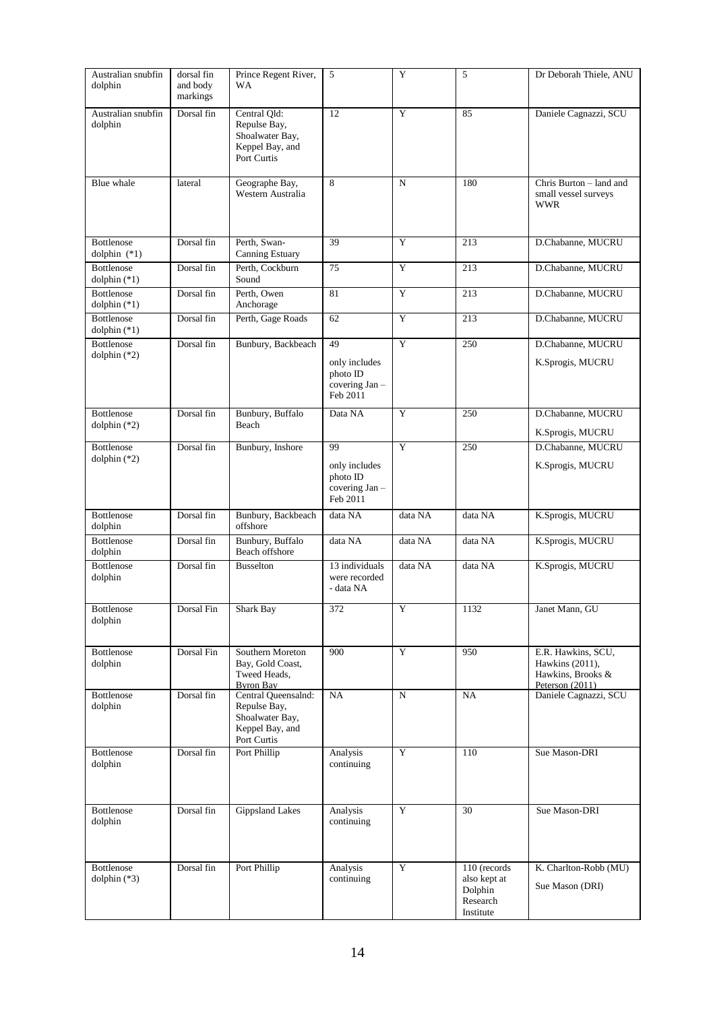| Australian snubfin<br>dolphin       | dorsal fin<br>and body<br>markings | Prince Regent River,<br>WA                                                               | 5                                                            | Y       | 5                                                                | Dr Deborah Thiele, ANU                                                          |
|-------------------------------------|------------------------------------|------------------------------------------------------------------------------------------|--------------------------------------------------------------|---------|------------------------------------------------------------------|---------------------------------------------------------------------------------|
| Australian snubfin<br>dolphin       | Dorsal fin                         | Central Qld:<br>Repulse Bay,<br>Shoalwater Bay,<br>Keppel Bay, and<br>Port Curtis        | 12                                                           | Y       | 85                                                               | Daniele Cagnazzi, SCU                                                           |
| Blue whale                          | lateral                            | Geographe Bay,<br>Western Australia                                                      | 8                                                            | N       | 180                                                              | Chris Burton – land and<br>small vessel surveys<br><b>WWR</b>                   |
| Bottlenose<br>dolphin $(*1)$        | Dorsal fin                         | Perth, Swan-<br><b>Canning Estuary</b>                                                   | 39                                                           | Y       | 213                                                              | D.Chabanne, MUCRU                                                               |
| <b>Bottlenose</b><br>dolphin $(*1)$ | Dorsal fin                         | Perth, Cockburn<br>Sound                                                                 | 75                                                           | Y       | 213                                                              | D.Chabanne, MUCRU                                                               |
| <b>Bottlenose</b><br>dolphin $(*1)$ | Dorsal fin                         | Perth, Owen<br>Anchorage                                                                 | 81                                                           | Y       | 213                                                              | D.Chabanne, MUCRU                                                               |
| Bottlenose<br>dolphin $(*1)$        | Dorsal fin                         | Perth, Gage Roads                                                                        | 62                                                           | Y       | 213                                                              | D.Chabanne, MUCRU                                                               |
| Bottlenose<br>dolphin $(*2)$        | Dorsal fin                         | Bunbury, Backbeach                                                                       | 49<br>only includes<br>photo ID<br>covering Jan-<br>Feb 2011 | Y       | 250                                                              | D.Chabanne, MUCRU<br>K.Sprogis, MUCRU                                           |
| <b>Bottlenose</b><br>dolphin $(*2)$ | Dorsal fin                         | Bunbury, Buffalo<br>Beach                                                                | Data NA                                                      | Y       | 250                                                              | D.Chabanne, MUCRU<br>K.Sprogis, MUCRU                                           |
| <b>Bottlenose</b><br>dolphin $(*2)$ | Dorsal fin                         | Bunbury, Inshore                                                                         | 99<br>only includes<br>photo ID<br>covering Jan-<br>Feb 2011 | Y       | 250                                                              | D.Chabanne, MUCRU<br>K.Sprogis, MUCRU                                           |
| <b>Bottlenose</b><br>dolphin        | Dorsal fin                         | Bunbury, Backbeach<br>offshore                                                           | data NA                                                      | data NA | data NA                                                          | K.Sprogis, MUCRU                                                                |
| Bottlenose<br>dolphin               | Dorsal fin                         | Bunbury, Buffalo<br>Beach offshore                                                       | data NA                                                      | data NA | data NA                                                          | K.Sprogis, MUCRU                                                                |
| <b>Bottlenose</b><br>dolphin        | Dorsal fin                         | <b>Busselton</b>                                                                         | 13 individuals<br>were recorded<br>- data NA                 | data NA | data NA                                                          | K.Sprogis, MUCRU                                                                |
| Bottlenose<br>dolphin               | Dorsal Fin                         | Shark Bay                                                                                | 372                                                          | Y       | 1132                                                             | Janet Mann, GU                                                                  |
| Bottlenose<br>dolphin               | Dorsal Fin                         | Southern Moreton<br>Bay, Gold Coast,<br>Tweed Heads,<br><b>Byron Bay</b>                 | 900                                                          | Y       | 950                                                              | E.R. Hawkins, SCU,<br>Hawkins (2011),<br>Hawkins, Brooks &<br>Peterson $(2011)$ |
| Bottlenose<br>dolphin               | Dorsal fin                         | Central Queensalnd:<br>Repulse Bay,<br>Shoalwater Bay,<br>Keppel Bay, and<br>Port Curtis | NA                                                           | N       | NA                                                               | Daniele Cagnazzi, SCU                                                           |
| Bottlenose<br>dolphin               | Dorsal fin                         | Port Phillip                                                                             | Analysis<br>continuing                                       | Y       | 110                                                              | Sue Mason-DRI                                                                   |
| Bottlenose<br>dolphin               | Dorsal fin                         | <b>Gippsland Lakes</b>                                                                   | Analysis<br>continuing                                       | Y       | 30                                                               | Sue Mason-DRI                                                                   |
| Bottlenose<br>dolphin $(*3)$        | Dorsal fin                         | Port Phillip                                                                             | Analysis<br>continuing                                       | Y       | 110 (records<br>also kept at<br>Dolphin<br>Research<br>Institute | K. Charlton-Robb (MU)<br>Sue Mason (DRI)                                        |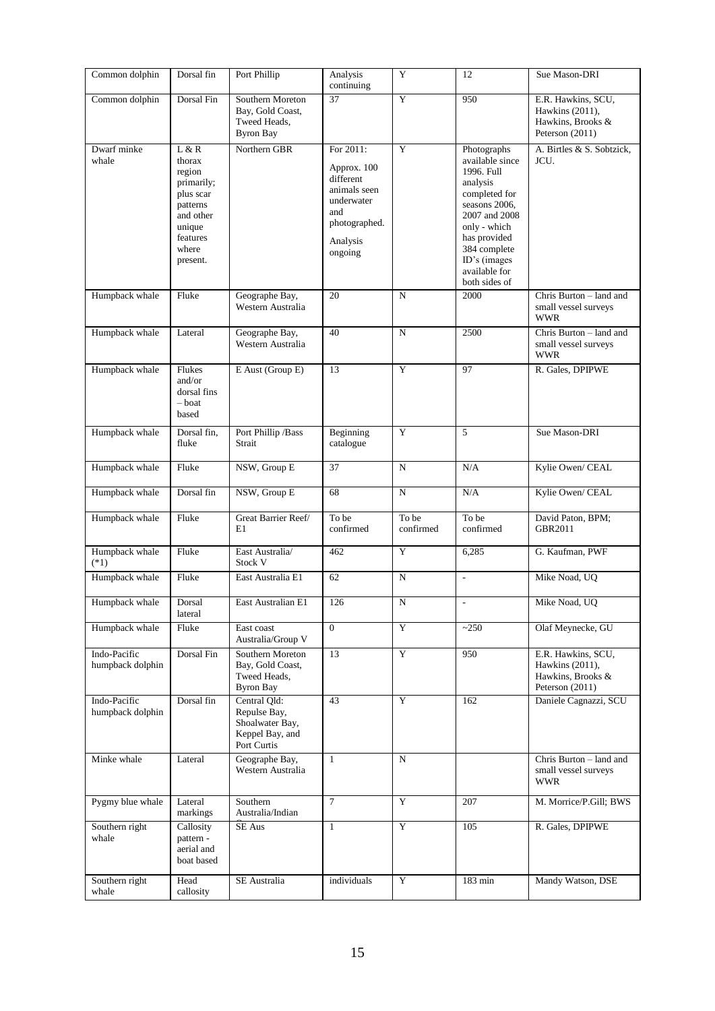| Common dolphin                   | Dorsal fin                                                                                                               | Port Phillip                                                                      | Analysis<br>continuing                                                                                             | Y                  | 12                                                                                                                                                                                                            | Sue Mason-DRI                                                                 |
|----------------------------------|--------------------------------------------------------------------------------------------------------------------------|-----------------------------------------------------------------------------------|--------------------------------------------------------------------------------------------------------------------|--------------------|---------------------------------------------------------------------------------------------------------------------------------------------------------------------------------------------------------------|-------------------------------------------------------------------------------|
| Common dolphin                   | Dorsal Fin                                                                                                               | Southern Moreton<br>Bay, Gold Coast,<br>Tweed Heads,<br><b>Byron Bay</b>          | 37                                                                                                                 | Y                  | 950                                                                                                                                                                                                           | E.R. Hawkins, SCU,<br>Hawkins (2011),<br>Hawkins, Brooks &<br>Peterson (2011) |
| Dwarf minke<br>whale             | L & R<br>thorax<br>region<br>primarily;<br>plus scar<br>patterns<br>and other<br>unique<br>features<br>where<br>present. | Northern GBR                                                                      | For 2011:<br>Approx. 100<br>different<br>animals seen<br>underwater<br>and<br>photographed.<br>Analysis<br>ongoing | Y                  | Photographs<br>available since<br>1996. Full<br>analysis<br>completed for<br>seasons 2006,<br>2007 and 2008<br>only - which<br>has provided<br>384 complete<br>ID's (images<br>available for<br>both sides of | A. Birtles & S. Sobtzick,<br>JCU.                                             |
| Humpback whale                   | Fluke                                                                                                                    | Geographe Bay,<br>Western Australia                                               | 20                                                                                                                 | N                  | 2000                                                                                                                                                                                                          | Chris Burton - land and<br>small vessel surveys<br><b>WWR</b>                 |
| Humpback whale                   | Lateral                                                                                                                  | Geographe Bay,<br>Western Australia                                               | 40                                                                                                                 | $\overline{N}$     | 2500                                                                                                                                                                                                          | Chris Burton - land and<br>small vessel surveys<br><b>WWR</b>                 |
| Humpback whale                   | Flukes<br>and/or<br>dorsal fins<br>- boat<br>based                                                                       | E Aust (Group E)                                                                  | 13                                                                                                                 | Y                  | 97                                                                                                                                                                                                            | R. Gales, DPIPWE                                                              |
| Humpback whale                   | Dorsal fin,<br>fluke                                                                                                     | Port Phillip / Bass<br>Strait                                                     | Beginning<br>catalogue                                                                                             | Y                  | 5                                                                                                                                                                                                             | Sue Mason-DRI                                                                 |
| Humpback whale                   | Fluke                                                                                                                    | NSW, Group E                                                                      | 37                                                                                                                 | N                  | N/A                                                                                                                                                                                                           | Kylie Owen/ CEAL                                                              |
| Humpback whale                   | Dorsal fin                                                                                                               | NSW, Group E                                                                      | 68                                                                                                                 | ${\bf N}$          | N/A                                                                                                                                                                                                           | Kylie Owen/ CEAL                                                              |
| Humpback whale                   | Fluke                                                                                                                    | Great Barrier Reef/<br>E1                                                         | To be<br>confirmed                                                                                                 | To be<br>confirmed | To be<br>confirmed                                                                                                                                                                                            | David Paton, BPM;<br>GBR2011                                                  |
| Humpback whale<br>$(*1)$         | Fluke                                                                                                                    | East Australia/<br>Stock V                                                        | 462                                                                                                                | $\mathbf Y$        | 6,285                                                                                                                                                                                                         | G. Kaufman, PWF                                                               |
| Humpback whale                   | Fluke                                                                                                                    | East Australia E1                                                                 | 62                                                                                                                 | N                  | $\overline{\phantom{a}}$                                                                                                                                                                                      | Mike Noad, UQ                                                                 |
| Humpback whale                   | Dorsal<br>lateral                                                                                                        | East Australian E1                                                                | 126                                                                                                                | N                  | $\overline{\phantom{a}}$                                                                                                                                                                                      | Mike Noad, UQ                                                                 |
| Humpback whale                   | Fluke                                                                                                                    | East coast<br>Australia/Group V                                                   | $\Omega$                                                                                                           | Y                  | ~250                                                                                                                                                                                                          | Olaf Meynecke, GU                                                             |
| Indo-Pacific<br>humpback dolphin | Dorsal Fin                                                                                                               | Southern Moreton<br>Bay, Gold Coast,<br>Tweed Heads,<br><b>Byron Bay</b>          | 13                                                                                                                 | Y                  | 950                                                                                                                                                                                                           | E.R. Hawkins, SCU,<br>Hawkins (2011),<br>Hawkins, Brooks &<br>Peterson (2011) |
| Indo-Pacific<br>humpback dolphin | Dorsal fin                                                                                                               | Central Qld:<br>Repulse Bay,<br>Shoalwater Bay,<br>Keppel Bay, and<br>Port Curtis | 43                                                                                                                 | Y                  | 162                                                                                                                                                                                                           | Daniele Cagnazzi, SCU                                                         |
| Minke whale                      | Lateral                                                                                                                  | Geographe Bay,<br>Western Australia                                               | $\mathbf{1}$                                                                                                       | N                  |                                                                                                                                                                                                               | Chris Burton - land and<br>small vessel surveys<br><b>WWR</b>                 |
| Pygmy blue whale                 | Lateral<br>markings                                                                                                      | Southern<br>Australia/Indian                                                      | $\tau$                                                                                                             | Y                  | 207                                                                                                                                                                                                           | M. Morrice/P.Gill; BWS                                                        |
| Southern right<br>whale          | Callosity<br>pattern -<br>aerial and<br>boat based                                                                       | SE Aus                                                                            | $\mathbf{1}$                                                                                                       | $\mathbf Y$        | 105                                                                                                                                                                                                           | R. Gales, DPIPWE                                                              |
| Southern right<br>whale          | Head<br>callosity                                                                                                        | SE Australia                                                                      | individuals                                                                                                        | Y                  | 183 min                                                                                                                                                                                                       | Mandy Watson, DSE                                                             |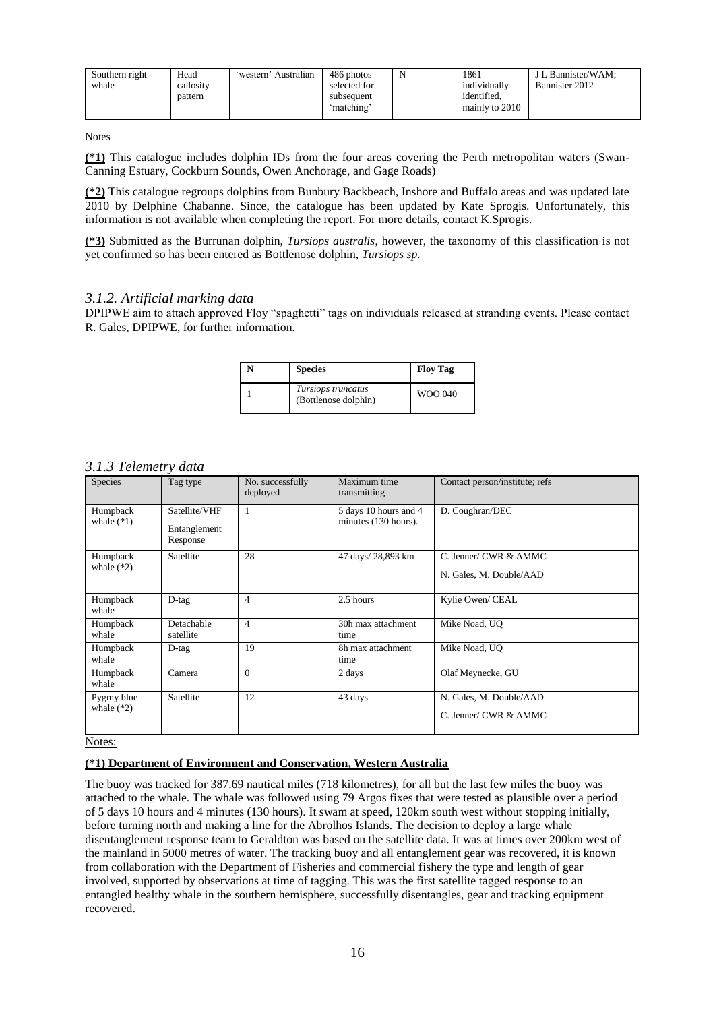| 'western' Australian<br>Southern right<br>Head<br>callosity<br>whale<br>pattern | 486 photos<br>selected for<br>subsequent<br>ʻmatchingʻ | 1861<br>individually<br>identified.<br>mainly to 2010 | J L Bannister/WAM:<br>Bannister 2012 |
|---------------------------------------------------------------------------------|--------------------------------------------------------|-------------------------------------------------------|--------------------------------------|
|---------------------------------------------------------------------------------|--------------------------------------------------------|-------------------------------------------------------|--------------------------------------|

**(\*1)** This catalogue includes dolphin IDs from the four areas covering the Perth metropolitan waters (Swan-Canning Estuary, Cockburn Sounds, Owen Anchorage, and Gage Roads)

**(\*2)** This catalogue regroups dolphins from Bunbury Backbeach, Inshore and Buffalo areas and was updated late 2010 by Delphine Chabanne. Since, the catalogue has been updated by Kate Sprogis. Unfortunately, this information is not available when completing the report. For more details, contact K.Sprogis.

**(\*3)** Submitted as the Burrunan dolphin, *Tursiops australis*, however, the taxonomy of this classification is not yet confirmed so has been entered as Bottlenose dolphin, *Tursiops sp.*

# *3.1.2. Artificial marking data*

DPIPWE aim to attach approved Floy "spaghetti" tags on individuals released at stranding events. Please contact R. Gales, DPIPWE, for further information.

| <b>Species</b>                             | <b>Floy Tag</b> |
|--------------------------------------------|-----------------|
| Tursiops truncatus<br>(Bottlenose dolphin) | WOO 040         |

### *3.1.3 Telemetry data*

| Species                    | Tag type                                  | No. successfully<br>deployed | Maximum time<br>transmitting                  | Contact person/institute; refs                   |
|----------------------------|-------------------------------------------|------------------------------|-----------------------------------------------|--------------------------------------------------|
| Humpback<br>whale $(*1)$   | Satellite/VHF<br>Entanglement<br>Response |                              | 5 days 10 hours and 4<br>minutes (130 hours). | D. Coughran/DEC                                  |
| Humpback<br>whale $(*2)$   | Satellite                                 | 28                           | 47 days/ 28,893 km                            | C. Jenner/ CWR & AMMC<br>N. Gales, M. Double/AAD |
| Humpback<br>whale          | $D$ -tag                                  | $\overline{4}$               | 2.5 hours                                     | Kylie Owen/ CEAL                                 |
| Humpback<br>whale          | Detachable<br>satellite                   | 4                            | 30h max attachment<br>time                    | Mike Noad, UO                                    |
| Humpback<br>whale          | $D$ -tag                                  | 19                           | 8h max attachment<br>time                     | Mike Noad, UO                                    |
| Humpback<br>whale          | Camera                                    | $\Omega$                     | 2 days                                        | Olaf Meynecke, GU                                |
| Pygmy blue<br>whale $(*2)$ | Satellite                                 | 12                           | 43 days                                       | N. Gales, M. Double/AAD<br>C. Jenner/ CWR & AMMC |

Notes:

#### **(\*1) Department of Environment and Conservation, Western Australia**

The buoy was tracked for 387.69 nautical miles (718 kilometres), for all but the last few miles the buoy was attached to the whale. The whale was followed using 79 Argos fixes that were tested as plausible over a period of 5 days 10 hours and 4 minutes (130 hours). It swam at speed, 120km south west without stopping initially, before turning north and making a line for the Abrolhos Islands. The decision to deploy a large whale disentanglement response team to Geraldton was based on the satellite data. It was at times over 200km west of the mainland in 5000 metres of water. The tracking buoy and all entanglement gear was recovered, it is known from collaboration with the Department of Fisheries and commercial fishery the type and length of gear involved, supported by observations at time of tagging. This was the first satellite tagged response to an entangled healthy whale in the southern hemisphere, successfully disentangles, gear and tracking equipment recovered.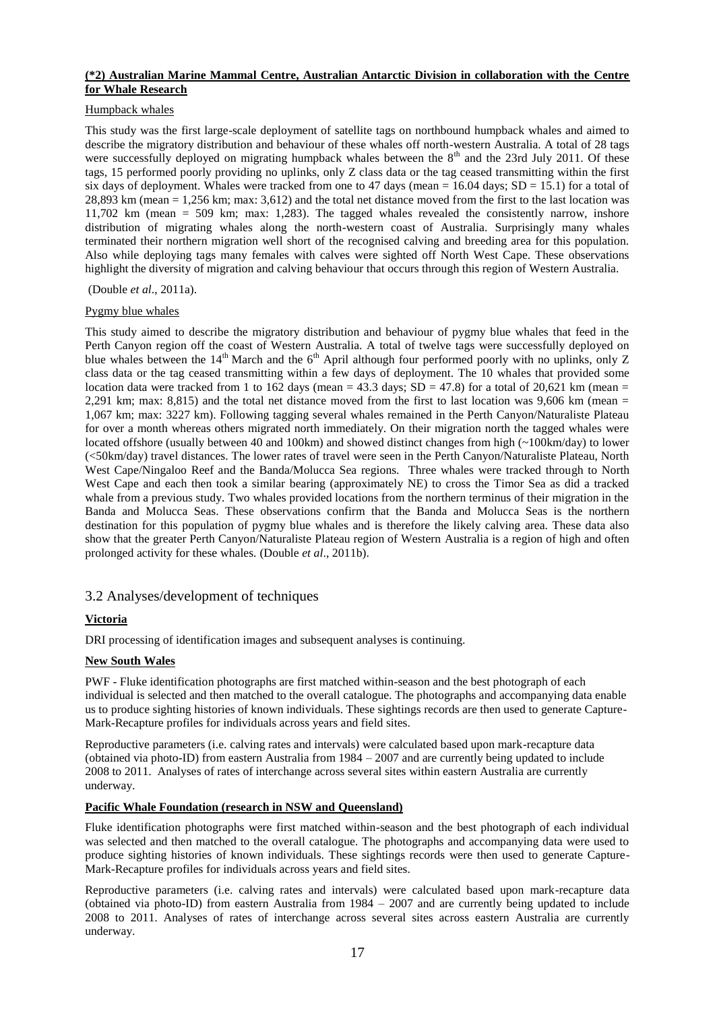### **(\*2) Australian Marine Mammal Centre, Australian Antarctic Division in collaboration with the Centre for Whale Research**

### Humpback whales

This study was the first large-scale deployment of satellite tags on northbound humpback whales and aimed to describe the migratory distribution and behaviour of these whales off north-western Australia. A total of 28 tags were successfully deployed on migrating humpback whales between the  $8<sup>th</sup>$  and the 23rd July 2011. Of these tags, 15 performed poorly providing no uplinks, only Z class data or the tag ceased transmitting within the first six days of deployment. Whales were tracked from one to 47 days (mean = 16.04 days;  $SD = 15.1$ ) for a total of 28,893 km (mean = 1,256 km; max: 3,612) and the total net distance moved from the first to the last location was 11,702 km (mean = 509 km; max: 1,283). The tagged whales revealed the consistently narrow, inshore distribution of migrating whales along the north-western coast of Australia. Surprisingly many whales terminated their northern migration well short of the recognised calving and breeding area for this population. Also while deploying tags many females with calves were sighted off North West Cape. These observations highlight the diversity of migration and calving behaviour that occurs through this region of Western Australia.

(Double *et al*., 2011a).

# Pygmy blue whales

This study aimed to describe the migratory distribution and behaviour of pygmy blue whales that feed in the Perth Canyon region off the coast of Western Australia. A total of twelve tags were successfully deployed on blue whales between the 14<sup>th</sup> March and the 6<sup>th</sup> April although four performed poorly with no uplinks, only Z class data or the tag ceased transmitting within a few days of deployment. The 10 whales that provided some location data were tracked from 1 to 162 days (mean = 43.3 days;  $SD = 47.8$ ) for a total of 20,621 km (mean = 2,291 km; max:  $8,815$ ) and the total net distance moved from the first to last location was 9,606 km (mean = 1,067 km; max: 3227 km). Following tagging several whales remained in the Perth Canyon/Naturaliste Plateau for over a month whereas others migrated north immediately. On their migration north the tagged whales were located offshore (usually between 40 and 100km) and showed distinct changes from high (~100km/day) to lower (<50km/day) travel distances. The lower rates of travel were seen in the Perth Canyon/Naturaliste Plateau, North West Cape/Ningaloo Reef and the Banda/Molucca Sea regions. Three whales were tracked through to North West Cape and each then took a similar bearing (approximately NE) to cross the Timor Sea as did a tracked whale from a previous study. Two whales provided locations from the northern terminus of their migration in the Banda and Molucca Seas. These observations confirm that the Banda and Molucca Seas is the northern destination for this population of pygmy blue whales and is therefore the likely calving area. These data also show that the greater Perth Canyon/Naturaliste Plateau region of Western Australia is a region of high and often prolonged activity for these whales. (Double *et al*., 2011b).

# 3.2 Analyses/development of techniques

# **Victoria**

DRI processing of identification images and subsequent analyses is continuing.

# **New South Wales**

PWF - Fluke identification photographs are first matched within-season and the best photograph of each individual is selected and then matched to the overall catalogue. The photographs and accompanying data enable us to produce sighting histories of known individuals. These sightings records are then used to generate Capture-Mark-Recapture profiles for individuals across years and field sites.

Reproductive parameters (i.e. calving rates and intervals) were calculated based upon mark-recapture data (obtained via photo-ID) from eastern Australia from 1984 – 2007 and are currently being updated to include 2008 to 2011. Analyses of rates of interchange across several sites within eastern Australia are currently underway.

# **Pacific Whale Foundation (research in NSW and Queensland)**

Fluke identification photographs were first matched within-season and the best photograph of each individual was selected and then matched to the overall catalogue. The photographs and accompanying data were used to produce sighting histories of known individuals. These sightings records were then used to generate Capture-Mark-Recapture profiles for individuals across years and field sites.

Reproductive parameters (i.e. calving rates and intervals) were calculated based upon mark-recapture data (obtained via photo-ID) from eastern Australia from 1984 – 2007 and are currently being updated to include 2008 to 2011. Analyses of rates of interchange across several sites across eastern Australia are currently underway.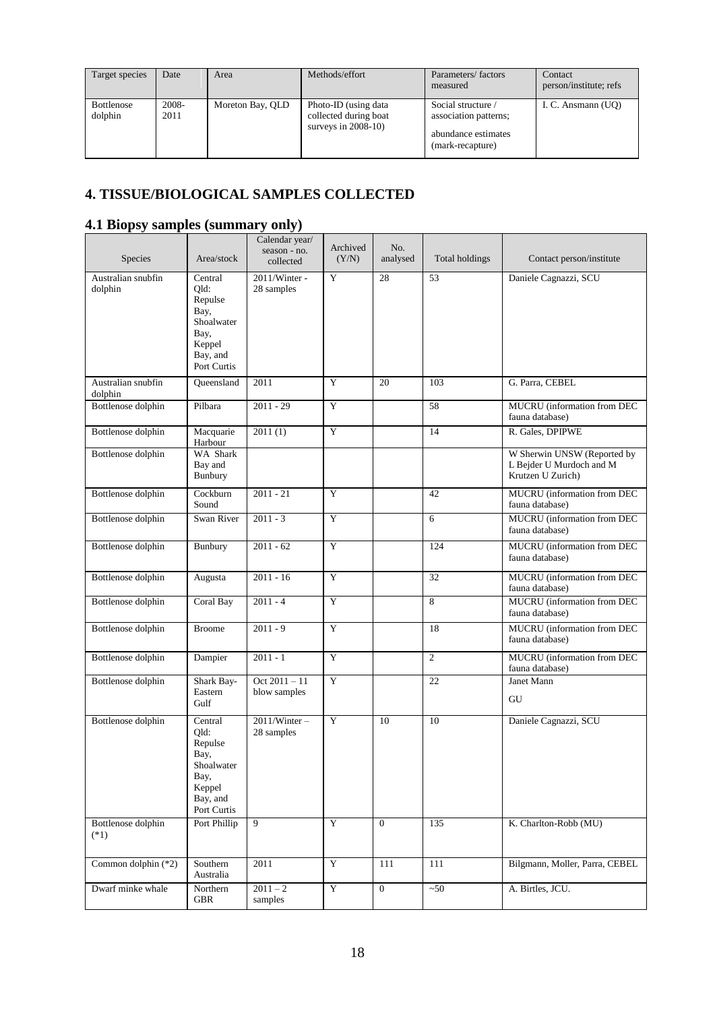| Target species               | Date          | Area             | Methods/effort                                                          | Parameters/factors<br>measured                                                         | Contact<br>person/institute; refs |
|------------------------------|---------------|------------------|-------------------------------------------------------------------------|----------------------------------------------------------------------------------------|-----------------------------------|
| <b>Bottlenose</b><br>dolphin | 2008-<br>2011 | Moreton Bay, QLD | Photo-ID (using data<br>collected during boat<br>surveys in $2008-10$ ) | Social structure /<br>association patterns;<br>abundance estimates<br>(mark-recapture) | I. C. Ansmann (UO)                |

# **4. TISSUE/BIOLOGICAL SAMPLES COLLECTED**

# **4.1 Biopsy samples (summary only)**

| Species                       | Area/stock                                                                                    | Calendar year/<br>season - no.<br>collected | Archived<br>(Y/N) | No.<br>analysed | Total holdings | Contact person/institute                                                     |
|-------------------------------|-----------------------------------------------------------------------------------------------|---------------------------------------------|-------------------|-----------------|----------------|------------------------------------------------------------------------------|
| Australian snubfin<br>dolphin | Central<br>Qld:<br>Repulse<br>Bay,<br>Shoalwater<br>Bay,<br>Keppel<br>Bay, and<br>Port Curtis | 2011/Winter -<br>28 samples                 | Y                 | 28              | 53             | Daniele Cagnazzi, SCU                                                        |
| Australian snubfin<br>dolphin | Oueensland                                                                                    | 2011                                        | Y                 | 20              | 103            | G. Parra, CEBEL                                                              |
| Bottlenose dolphin            | Pilbara                                                                                       | $2011 - 29$                                 | Y                 |                 | 58             | MUCRU (information from DEC<br>fauna database)                               |
| Bottlenose dolphin            | Macquarie<br>Harbour                                                                          | 2011(1)                                     | $\mathbf Y$       |                 | 14             | R. Gales, DPIPWE                                                             |
| Bottlenose dolphin            | WA Shark<br>Bay and<br>Bunbury                                                                |                                             |                   |                 |                | W Sherwin UNSW (Reported by<br>L Bejder U Murdoch and M<br>Krutzen U Zurich) |
| <b>Bottlenose</b> dolphin     | Cockburn<br>Sound                                                                             | $2011 - 21$                                 | Y                 |                 | 42             | MUCRU (information from DEC<br>fauna database)                               |
| Bottlenose dolphin            | Swan River                                                                                    | $2011 - 3$                                  | Y                 |                 | 6              | MUCRU (information from DEC<br>fauna database)                               |
| Bottlenose dolphin            | Bunbury                                                                                       | $2011 - 62$                                 | $\mathbf Y$       |                 | 124            | MUCRU (information from DEC<br>fauna database)                               |
| Bottlenose dolphin            | Augusta                                                                                       | $2011 - 16$                                 | Y                 |                 | 32             | MUCRU (information from DEC<br>fauna database)                               |
| <b>Bottlenose</b> dolphin     | Coral Bay                                                                                     | $2011 - 4$                                  | Y                 |                 | 8              | MUCRU (information from DEC<br>fauna database)                               |
| Bottlenose dolphin            | <b>Broome</b>                                                                                 | $2011 - 9$                                  | $\mathbf Y$       |                 | 18             | MUCRU (information from DEC<br>fauna database)                               |
| Bottlenose dolphin            | Dampier                                                                                       | $2011 - 1$                                  | Y                 |                 | $\overline{2}$ | MUCRU (information from DEC<br>fauna database)                               |
| Bottlenose dolphin            | Shark Bay-<br>Eastern<br>Gulf                                                                 | $Oct 2011 - 11$<br>blow samples             | $\mathbf Y$       |                 | 22             | Janet Mann<br>GU                                                             |
| Bottlenose dolphin            | Central<br>Qld:<br>Repulse<br>Bay,<br>Shoalwater<br>Bay,<br>Keppel<br>Bay, and<br>Port Curtis | $2011/Winter -$<br>28 samples               | Y                 | 10              | 10             | Daniele Cagnazzi, SCU                                                        |
| Bottlenose dolphin<br>$(*1)$  | Port Phillip                                                                                  | 9                                           | Y                 | $\Omega$        | 135            | K. Charlton-Robb (MU)                                                        |
| Common dolphin (*2)           | Southern<br>Australia                                                                         | 2011                                        | $\mathbf Y$       | 111             | 111            | Bilgmann, Moller, Parra, CEBEL                                               |
| Dwarf minke whale             | Northern<br><b>GBR</b>                                                                        | $2011 - 2$<br>samples                       | $\mathbf Y$       | $\theta$        | ~50            | A. Birtles, JCU.                                                             |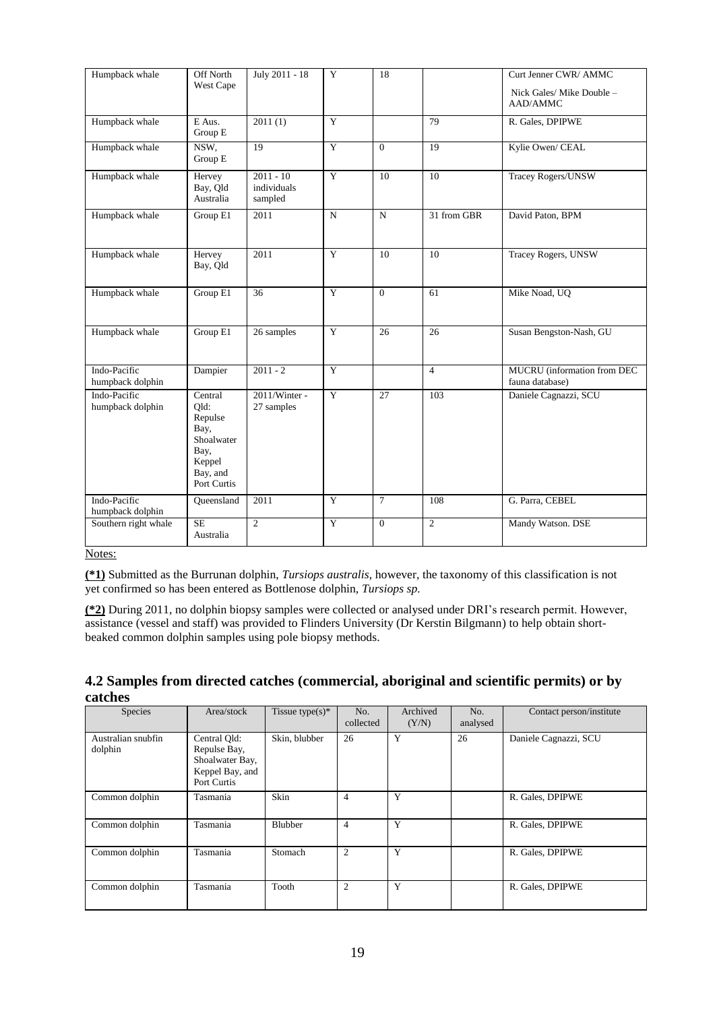| Humpback whale                   | Off North<br>West Cape                                                                        | July 2011 - 18                        | Y                    | 18             |                | Curt Jenner CWR/ AMMC<br>Nick Gales/ Mike Double -<br>AAD/AMMC |
|----------------------------------|-----------------------------------------------------------------------------------------------|---------------------------------------|----------------------|----------------|----------------|----------------------------------------------------------------|
| Humpback whale                   | E Aus.<br>Group E                                                                             | 2011(1)                               | $\overline{Y}$<br>79 |                |                | R. Gales, DPIPWE                                               |
| Humpback whale                   | NSW.<br>Group E                                                                               | 19                                    | $\overline{Y}$       | $\Omega$       | 19             | Kylie Owen/ CEAL                                               |
| Humpback whale                   | Hervey<br>Bay, Qld<br>Australia                                                               | $2011 - 10$<br>individuals<br>sampled | Y                    | 10             | 10             | Tracey Rogers/UNSW                                             |
| Humpback whale                   | Group E1                                                                                      | 2011                                  | $\mathbf N$          | $\mathbf N$    | 31 from GBR    | David Paton, BPM                                               |
| Humpback whale                   | Hervey<br>Bay, Qld                                                                            | $\overline{2011}$                     | $\overline{Y}$       | 10             | 10             | Tracey Rogers, UNSW                                            |
| Humpback whale                   | Group E1                                                                                      | 36                                    | $\overline{Y}$       | $\overline{0}$ | 61             | Mike Noad, UQ                                                  |
| Humpback whale                   | Group E1                                                                                      | 26 samples                            | Y                    | 26             | 26             | Susan Bengston-Nash, GU                                        |
| Indo-Pacific<br>humpback dolphin | Dampier                                                                                       | $2011 - 2$                            | $\overline{Y}$       |                | $\overline{4}$ | MUCRU (information from DEC<br>fauna database)                 |
| Indo-Pacific<br>humpback dolphin | Central<br>Qld:<br>Repulse<br>Bay,<br>Shoalwater<br>Bay,<br>Keppel<br>Bay, and<br>Port Curtis | 2011/Winter -<br>27 samples           | $\overline{Y}$       | 27             | 103            | Daniele Cagnazzi, SCU                                          |
| Indo-Pacific<br>humpback dolphin | Queensland                                                                                    | 2011                                  | $\overline{Y}$       | $\tau$         | 108            | G. Parra, CEBEL                                                |
| Southern right whale             | <b>SE</b><br>Australia                                                                        | $\overline{c}$                        | $\overline{Y}$       | $\Omega$       | $\overline{c}$ | Mandy Watson. DSE                                              |

**(\*1)** Submitted as the Burrunan dolphin, *Tursiops australis*, however, the taxonomy of this classification is not yet confirmed so has been entered as Bottlenose dolphin, *Tursiops sp.*

**(\*2)** During 2011, no dolphin biopsy samples were collected or analysed under DRI's research permit. However, assistance (vessel and staff) was provided to Flinders University (Dr Kerstin Bilgmann) to help obtain shortbeaked common dolphin samples using pole biopsy methods.

| Species                       | Area/stock                                                                        | Tissue type(s)* | No.<br>collected | Archived<br>(Y/N) | No.<br>analysed | Contact person/institute |
|-------------------------------|-----------------------------------------------------------------------------------|-----------------|------------------|-------------------|-----------------|--------------------------|
| Australian snubfin<br>dolphin | Central Old:<br>Repulse Bay,<br>Shoalwater Bay,<br>Keppel Bay, and<br>Port Curtis | Skin, blubber   | 26               | Y                 | 26              | Daniele Cagnazzi, SCU    |
| Common dolphin                | Tasmania                                                                          | Skin            | $\overline{4}$   | Y                 |                 | R. Gales, DPIPWE         |
| Common dolphin                | Tasmania                                                                          | <b>Blubber</b>  | $\overline{4}$   | Y                 |                 | R. Gales, DPIPWE         |
| Common dolphin                | Tasmania                                                                          | Stomach         | 2                | Y                 |                 | R. Gales, DPIPWE         |
| Common dolphin                | Tasmania                                                                          | Tooth           | $\overline{c}$   | Y                 |                 | R. Gales, DPIPWE         |

# **4.2 Samples from directed catches (commercial, aboriginal and scientific permits) or by catches**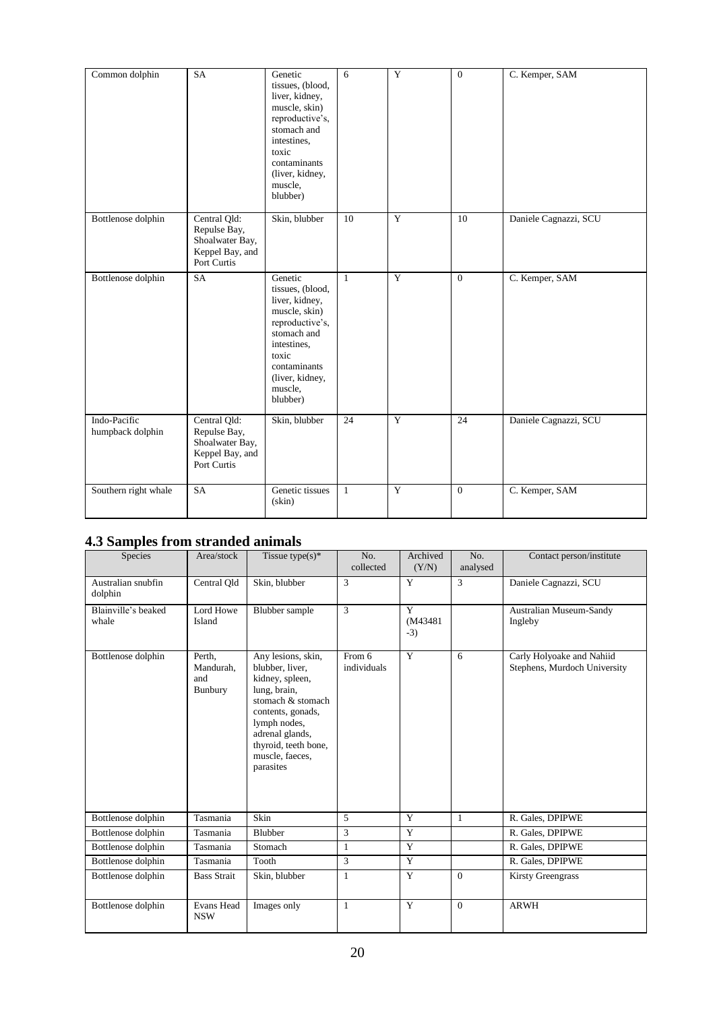| Common dolphin                   | SA                                                                                | Genetic<br>tissues, (blood,<br>liver, kidney,<br>muscle, skin)<br>reproductive's,<br>stomach and<br>intestines,<br>toxic<br>contaminants<br>(liver, kidney,<br>muscle,<br>blubber) | 6               | Y              | $\theta$        | C. Kemper, SAM        |
|----------------------------------|-----------------------------------------------------------------------------------|------------------------------------------------------------------------------------------------------------------------------------------------------------------------------------|-----------------|----------------|-----------------|-----------------------|
| Bottlenose dolphin               | Central Qld:<br>Repulse Bay,<br>Shoalwater Bay,<br>Keppel Bay, and<br>Port Curtis | Skin, blubber                                                                                                                                                                      | 10              | Y              | 10              | Daniele Cagnazzi, SCU |
| Bottlenose dolphin               | <b>SA</b>                                                                         | Genetic<br>tissues, (blood,<br>liver, kidney,<br>muscle, skin)<br>reproductive's,<br>stomach and<br>intestines.<br>toxic<br>contaminants<br>(liver, kidney,<br>muscle,<br>blubber) | $\mathbf{1}$    | Y              | $\overline{0}$  | C. Kemper, SAM        |
| Indo-Pacific<br>humpback dolphin | Central Qld:<br>Repulse Bay,<br>Shoalwater Bay,<br>Keppel Bay, and<br>Port Curtis | Skin, blubber                                                                                                                                                                      | $\overline{24}$ | $\overline{Y}$ | $\overline{24}$ | Daniele Cagnazzi, SCU |
| Southern right whale             | SA                                                                                | Genetic tissues<br>$(\sin)$                                                                                                                                                        | $\mathbf{1}$    | Y              | $\overline{0}$  | C. Kemper, SAM        |

# **4.3 Samples from stranded animals**

| <b>Species</b>                | Area/stock                            | Tissue type $(s)$ <sup>*</sup>                                                                                                                                                                                | No.<br>collected      | Archived<br>(Y/N)      | No.<br>analysed | Contact person/institute                                  |
|-------------------------------|---------------------------------------|---------------------------------------------------------------------------------------------------------------------------------------------------------------------------------------------------------------|-----------------------|------------------------|-----------------|-----------------------------------------------------------|
| Australian snubfin<br>dolphin | Central Old                           | Skin, blubber                                                                                                                                                                                                 | 3                     | Y                      | 3               | Daniele Cagnazzi, SCU                                     |
| Blainville's beaked<br>whale  | Lord Howe<br>Island                   | Blubber sample                                                                                                                                                                                                | 3                     | Y<br>(M43481)<br>$-3)$ |                 | Australian Museum-Sandy<br>Ingleby                        |
| Bottlenose dolphin            | Perth.<br>Mandurah,<br>and<br>Bunbury | Any lesions, skin,<br>blubber, liver,<br>kidney, spleen,<br>lung, brain,<br>stomach & stomach<br>contents, gonads,<br>lymph nodes,<br>adrenal glands,<br>thyroid, teeth bone,<br>muscle, faeces,<br>parasites | From 6<br>individuals | Y                      | 6               | Carly Holyoake and Nahiid<br>Stephens, Murdoch University |
| Bottlenose dolphin            | Tasmania                              | Skin                                                                                                                                                                                                          | 5                     | Y                      | $\mathbf{1}$    | R. Gales, DPIPWE                                          |
| Bottlenose dolphin            | Tasmania                              | Blubber                                                                                                                                                                                                       | 3                     | Y                      |                 | R. Gales, DPIPWE                                          |
| Bottlenose dolphin            | Tasmania                              | Stomach                                                                                                                                                                                                       | $\mathbf{1}$          | Y                      |                 | R. Gales, DPIPWE                                          |
| Bottlenose dolphin            | Tasmania                              | Tooth                                                                                                                                                                                                         | 3                     | Y                      |                 | R. Gales, DPIPWE                                          |
| Bottlenose dolphin            | <b>Bass Strait</b>                    | Skin, blubber                                                                                                                                                                                                 | $\mathbf{1}$          | Y                      | $\Omega$        | <b>Kirsty Greengrass</b>                                  |
| Bottlenose dolphin            | Evans Head<br><b>NSW</b>              | Images only                                                                                                                                                                                                   | 1                     | Y                      | $\mathbf{0}$    | <b>ARWH</b>                                               |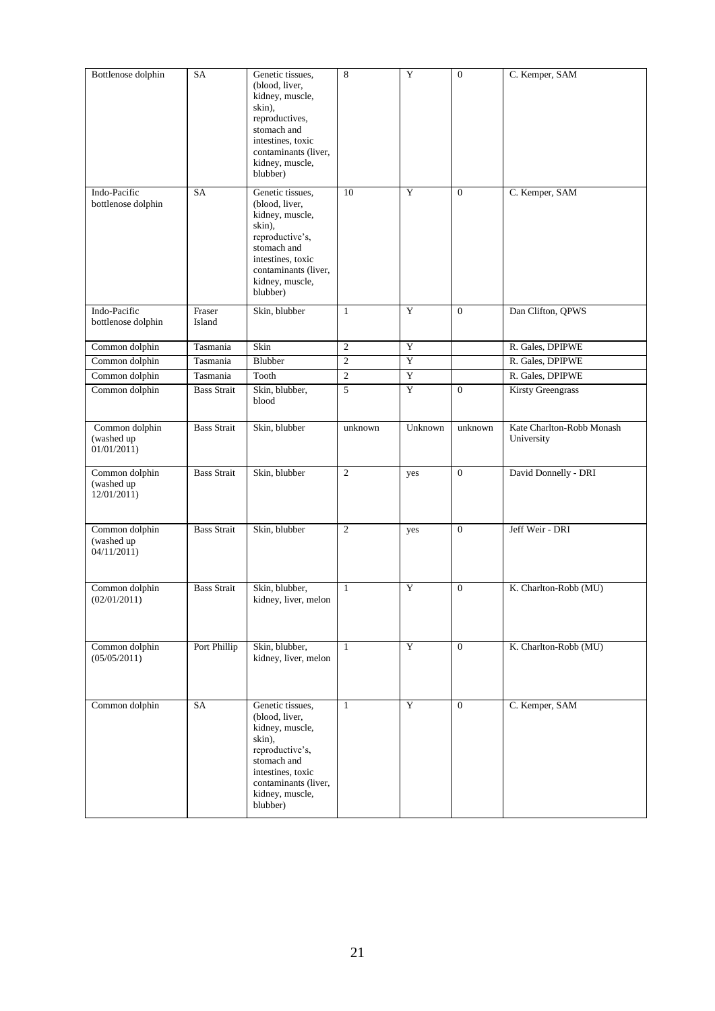| Bottlenose dolphin                          | SA                 | Genetic tissues,<br>(blood, liver,<br>kidney, muscle,<br>skin),<br>reproductives,<br>stomach and<br>intestines, toxic<br>contaminants (liver,<br>kidney, muscle,<br>blubber)  | 8                | $\mathbf Y$ | $\overline{0}$ | C. Kemper, SAM                          |
|---------------------------------------------|--------------------|-------------------------------------------------------------------------------------------------------------------------------------------------------------------------------|------------------|-------------|----------------|-----------------------------------------|
| Indo-Pacific<br>bottlenose dolphin          | SA                 | Genetic tissues,<br>(blood, liver,<br>kidney, muscle,<br>skin),<br>reproductive's,<br>stomach and<br>intestines, toxic<br>contaminants (liver,<br>kidney, muscle,<br>blubber) | 10               | Y           | $\mathbf{0}$   | C. Kemper, SAM                          |
| Indo-Pacific<br>bottlenose dolphin          | Fraser<br>Island   | Skin, blubber                                                                                                                                                                 | $\mathbf{1}$     | Y           | $\overline{0}$ | Dan Clifton, QPWS                       |
| Common dolphin                              | Tasmania           | Skin                                                                                                                                                                          | $\mathfrak{2}$   | Y           |                | R. Gales, DPIPWE                        |
| Common dolphin                              | Tasmania           | Blubber                                                                                                                                                                       | $\boldsymbol{2}$ | $\mathbf Y$ |                | R. Gales, DPIPWE                        |
| Common dolphin                              | Tasmania           | Tooth                                                                                                                                                                         | $\mathfrak{2}$   | $\mathbf Y$ |                | R. Gales, DPIPWE                        |
| Common dolphin                              | <b>Bass Strait</b> | Skin, blubber,<br>blood                                                                                                                                                       | 5                | Y           | $\mathbf{0}$   | <b>Kirsty Greengrass</b>                |
| Common dolphin<br>(washed up<br>01/01/2011) | <b>Bass Strait</b> | Skin, blubber                                                                                                                                                                 | unknown          | Unknown     | unknown        | Kate Charlton-Robb Monash<br>University |
| Common dolphin<br>(washed up<br>12/01/2011) | <b>Bass Strait</b> | Skin, blubber                                                                                                                                                                 | 2                | yes         | $\mathbf{0}$   | David Donnelly - DRI                    |
| Common dolphin<br>(washed up<br>04/11/2011  | <b>Bass Strait</b> | Skin, blubber                                                                                                                                                                 | $\overline{c}$   | yes         | $\mathbf{0}$   | Jeff Weir - DRI                         |
| Common dolphin<br>(02/01/2011)              | <b>Bass Strait</b> | Skin, blubber,<br>kidney, liver, melon                                                                                                                                        | $\mathbf{1}$     | Y           | $\mathbf{0}$   | K. Charlton-Robb (MU)                   |
| Common dolphin<br>(05/05/2011)              | Port Phillip       | Skin, blubber,<br>kidney, liver, melon                                                                                                                                        | $\mathbf{1}$     | Y           | $\overline{0}$ | K. Charlton-Robb (MU)                   |
| Common dolphin                              | SA                 | Genetic tissues,<br>(blood, liver,<br>kidney, muscle,<br>skin),<br>reproductive's,<br>stomach and<br>intestines, toxic<br>contaminants (liver,<br>kidney, muscle,<br>blubber) | $\mathbf{1}$     | Y           | $\overline{0}$ | C. Kemper, SAM                          |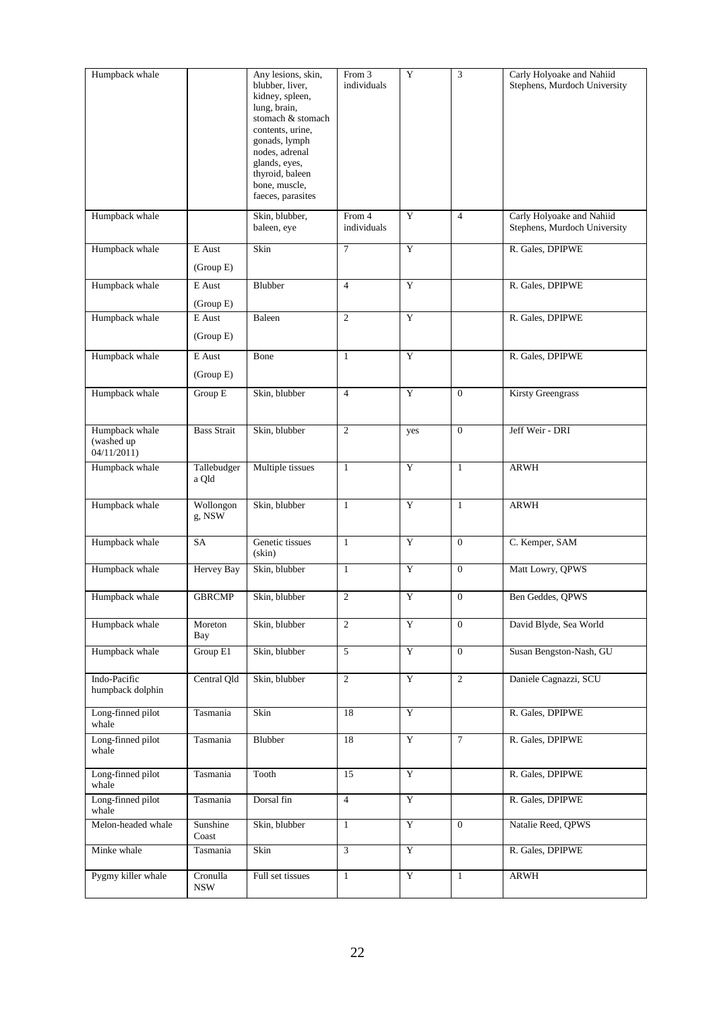| Humpback whale                               |                        | Any lesions, skin,<br>blubber, liver,<br>kidney, spleen,<br>lung, brain,<br>stomach & stomach<br>contents, urine,<br>gonads, lymph<br>nodes, adrenal<br>glands, eyes,<br>thyroid, baleen<br>bone, muscle,<br>faeces, parasites | From 3<br>individuals | Y              | 3                | Carly Holyoake and Nahiid<br>Stephens, Murdoch University |
|----------------------------------------------|------------------------|--------------------------------------------------------------------------------------------------------------------------------------------------------------------------------------------------------------------------------|-----------------------|----------------|------------------|-----------------------------------------------------------|
| Humpback whale                               |                        | Skin, blubber,<br>baleen, eye                                                                                                                                                                                                  | From 4<br>individuals | $\mathbf Y$    | $\overline{4}$   | Carly Holyoake and Nahiid<br>Stephens, Murdoch University |
| Humpback whale                               | E Aust<br>(Group E)    | Skin                                                                                                                                                                                                                           | $\tau$                | Y              |                  | R. Gales, DPIPWE                                          |
| Humpback whale                               | E Aust<br>(Group E)    | Blubber                                                                                                                                                                                                                        | $\overline{4}$        | Y              |                  | R. Gales, DPIPWE                                          |
| Humpback whale                               | E Aust<br>(Group E)    | Baleen                                                                                                                                                                                                                         | 2                     | Y              |                  | R. Gales, DPIPWE                                          |
| Humpback whale                               | E Aust<br>(Group E)    | Bone                                                                                                                                                                                                                           | $\mathbf{1}$          | Y              |                  | R. Gales, DPIPWE                                          |
| Humpback whale                               | Group E                | Skin, blubber                                                                                                                                                                                                                  | $\overline{4}$        | Y              | $\overline{0}$   | <b>Kirsty Greengrass</b>                                  |
| Humpback whale<br>(washed up)<br>04/11/2011) | <b>Bass Strait</b>     | Skin, blubber                                                                                                                                                                                                                  | $\mathbf{2}$          | yes            | $\mathbf{0}$     | Jeff Weir - DRI                                           |
| Humpback whale                               | Tallebudger<br>a Qld   | Multiple tissues                                                                                                                                                                                                               | $\mathbf{1}$          | $\overline{Y}$ | $\mathbf{1}$     | ARWH                                                      |
| Humpback whale                               | Wollongon<br>g, NSW    | Skin, blubber                                                                                                                                                                                                                  | $\mathbf{1}$          | $\overline{Y}$ | $\mathbf{1}$     | <b>ARWH</b>                                               |
| Humpback whale                               | SA                     | Genetic tissues<br>$(\sin)$                                                                                                                                                                                                    | $\mathbf{1}$          | Y              | $\mathbf{0}$     | C. Kemper, SAM                                            |
| Humpback whale                               | Hervey Bay             | Skin, blubber                                                                                                                                                                                                                  | $\mathbf{1}$          | $\mathbf Y$    | $\overline{0}$   | Matt Lowry, QPWS                                          |
| Humpback whale                               | <b>GBRCMP</b>          | Skin, blubber                                                                                                                                                                                                                  | $\mathfrak{2}$        | Y              | $\boldsymbol{0}$ | Ben Geddes, QPWS                                          |
| Humpback whale                               | Moreton<br>Bay         | Skin, blubber                                                                                                                                                                                                                  | $\overline{2}$        | Y              | $\Omega$         | David Blyde, Sea World                                    |
| Humpback whale                               | Group E1               | Skin, blubber                                                                                                                                                                                                                  | 5                     | Y              | $\overline{0}$   | Susan Bengston-Nash, GU                                   |
| Indo-Pacific<br>humpback dolphin             | Central Qld            | Skin, blubber                                                                                                                                                                                                                  | $\overline{2}$        | $\overline{Y}$ | $\overline{2}$   | Daniele Cagnazzi, SCU                                     |
| Long-finned pilot<br>whale                   | Tasmania               | Skin                                                                                                                                                                                                                           | 18                    | Y              |                  | R. Gales, DPIPWE                                          |
| Long-finned pilot<br>whale                   | Tasmania               | Blubber                                                                                                                                                                                                                        | 18                    | Y              | $\tau$           | R. Gales, DPIPWE                                          |
| Long-finned pilot<br>whale                   | Tasmania               | Tooth                                                                                                                                                                                                                          | 15                    | Y              |                  | R. Gales, DPIPWE                                          |
| Long-finned pilot<br>whale                   | Tasmania               | Dorsal fin                                                                                                                                                                                                                     | $\overline{4}$        | $\overline{Y}$ |                  | R. Gales, DPIPWE                                          |
| Melon-headed whale                           | Sunshine<br>Coast      | Skin, blubber                                                                                                                                                                                                                  | $\mathbf{1}$          | $\overline{Y}$ | $\overline{0}$   | Natalie Reed, QPWS                                        |
| Minke whale                                  | Tasmania               | Skin                                                                                                                                                                                                                           | $\overline{3}$        | $\overline{Y}$ |                  | R. Gales, DPIPWE                                          |
| Pygmy killer whale                           | Cronulla<br><b>NSW</b> | Full set tissues                                                                                                                                                                                                               | $\mathbf{1}$          | $\overline{Y}$ | $\mathbf{1}$     | ARWH                                                      |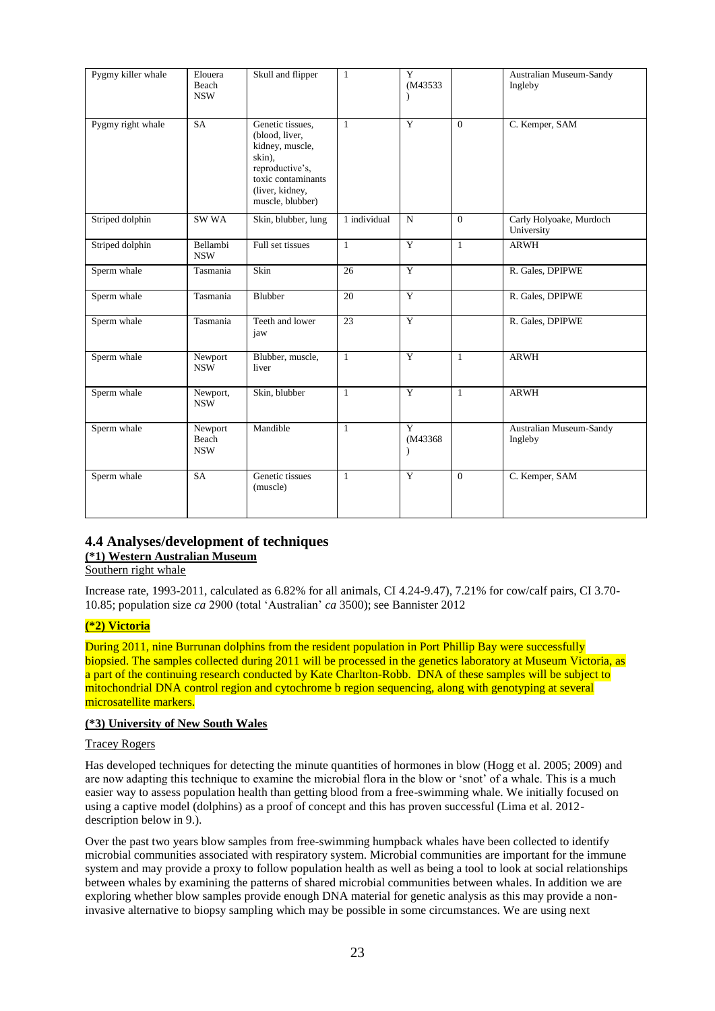| Pygmy killer whale | Elouera<br>Beach<br><b>NSW</b> | Skull and flipper                                                                                                                               | $\mathbf{1}$ | Y<br>(M43533)<br>$\lambda$ |              | Australian Museum-Sandy<br>Ingleby    |
|--------------------|--------------------------------|-------------------------------------------------------------------------------------------------------------------------------------------------|--------------|----------------------------|--------------|---------------------------------------|
| Pygmy right whale  | SA                             | Genetic tissues.<br>(blood, liver,<br>kidney, muscle,<br>skin),<br>reproductive's,<br>toxic contaminants<br>(liver, kidney,<br>muscle, blubber) | $\mathbf{1}$ | Y                          | $\Omega$     | C. Kemper, SAM                        |
| Striped dolphin    | SW WA                          | Skin, blubber, lung                                                                                                                             | 1 individual | $\mathbf N$                | $\theta$     | Carly Holyoake, Murdoch<br>University |
| Striped dolphin    | Bellambi<br><b>NSW</b>         | Full set tissues                                                                                                                                | $\mathbf{1}$ | Y                          | $\mathbf{1}$ | ARWH                                  |
| Sperm whale        | Tasmania                       | Skin                                                                                                                                            | 26           | Y                          |              | R. Gales, DPIPWE                      |
| Sperm whale        | Tasmania                       | Blubber                                                                                                                                         | 20           | Y                          |              | R. Gales, DPIPWE                      |
| Sperm whale        | Tasmania                       | Teeth and lower<br>jaw                                                                                                                          | 23           | $\overline{Y}$             |              | R. Gales, DPIPWE                      |
| Sperm whale        | Newport<br><b>NSW</b>          | Blubber, muscle,<br>liver                                                                                                                       | $\mathbf{1}$ | Y                          | $\mathbf{1}$ | ARWH                                  |
| Sperm whale        | Newport,<br><b>NSW</b>         | Skin, blubber                                                                                                                                   | $\mathbf{1}$ | $\overline{Y}$             | $\mathbf{1}$ | <b>ARWH</b>                           |
| Sperm whale        | Newport<br>Beach<br><b>NSW</b> | Mandible                                                                                                                                        | $\mathbf{1}$ | Y<br>(M43368)<br>$\lambda$ |              | Australian Museum-Sandy<br>Ingleby    |
| Sperm whale        | <b>SA</b>                      | Genetic tissues<br>(muscle)                                                                                                                     | 1            | Y                          | $\mathbf{0}$ | C. Kemper, SAM                        |

# **4.4 Analyses/development of techniques**

# **(\*1) Western Australian Museum**

Southern right whale

Increase rate, 1993-2011, calculated as 6.82% for all animals, CI 4.24-9.47), 7.21% for cow/calf pairs, CI 3.70- 10.85; population size *ca* 2900 (total 'Australian' *ca* 3500); see Bannister 2012

# **(\*2) Victoria**

During 2011, nine Burrunan dolphins from the resident population in Port Phillip Bay were successfully biopsied. The samples collected during 2011 will be processed in the genetics laboratory at Museum Victoria, as a part of the continuing research conducted by Kate Charlton-Robb. DNA of these samples will be subject to mitochondrial DNA control region and cytochrome b region sequencing, along with genotyping at several microsatellite markers.

#### **(\*3) University of New South Wales**

#### Tracey Rogers

Has developed techniques for detecting the minute quantities of hormones in blow (Hogg et al. 2005; 2009) and are now adapting this technique to examine the microbial flora in the blow or 'snot' of a whale. This is a much easier way to assess population health than getting blood from a free-swimming whale. We initially focused on using a captive model (dolphins) as a proof of concept and this has proven successful (Lima et al. 2012 description below in 9.).

Over the past two years blow samples from free-swimming humpback whales have been collected to identify microbial communities associated with respiratory system. Microbial communities are important for the immune system and may provide a proxy to follow population health as well as being a tool to look at social relationships between whales by examining the patterns of shared microbial communities between whales. In addition we are exploring whether blow samples provide enough DNA material for genetic analysis as this may provide a noninvasive alternative to biopsy sampling which may be possible in some circumstances. We are using next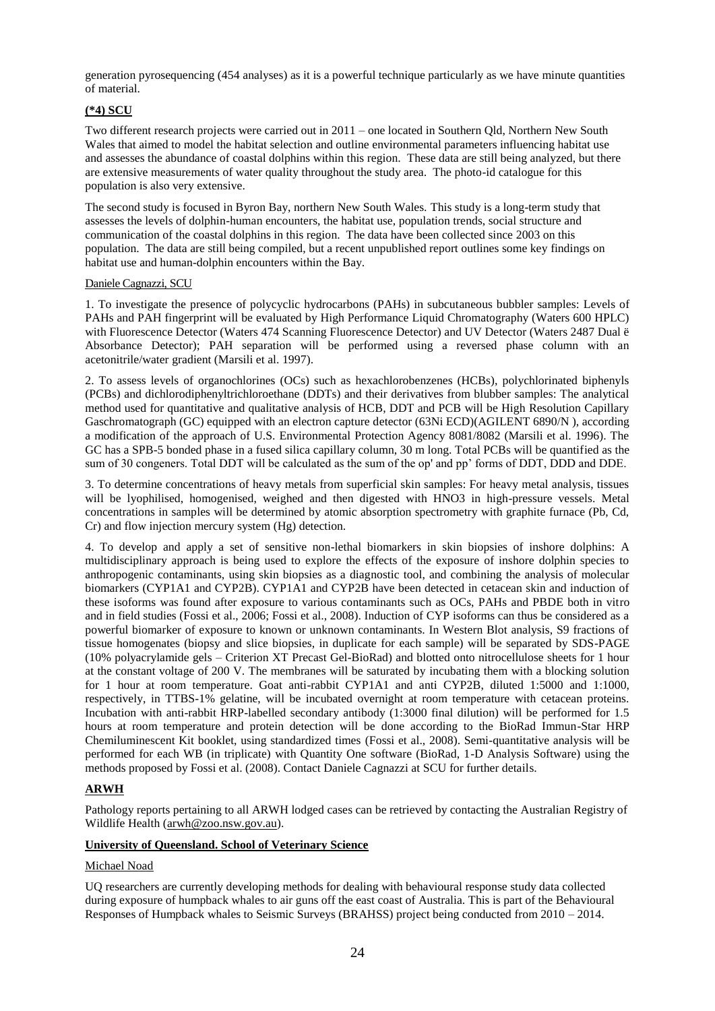generation pyrosequencing (454 analyses) as it is a powerful technique particularly as we have minute quantities of material.

# **(\*4) SCU**

Two different research projects were carried out in 2011 – one located in Southern Qld, Northern New South Wales that aimed to model the habitat selection and outline environmental parameters influencing habitat use and assesses the abundance of coastal dolphins within this region. These data are still being analyzed, but there are extensive measurements of water quality throughout the study area. The photo-id catalogue for this population is also very extensive.

The second study is focused in Byron Bay, northern New South Wales. This study is a long-term study that assesses the levels of dolphin-human encounters, the habitat use, population trends, social structure and communication of the coastal dolphins in this region. The data have been collected since 2003 on this population. The data are still being compiled, but a recent unpublished report outlines some key findings on habitat use and human-dolphin encounters within the Bay.

#### Daniele Cagnazzi, SCU

1. To investigate the presence of polycyclic hydrocarbons (PAHs) in subcutaneous bubbler samples: Levels of PAHs and PAH fingerprint will be evaluated by High Performance Liquid Chromatography (Waters 600 HPLC) with Fluorescence Detector (Waters 474 Scanning Fluorescence Detector) and UV Detector (Waters 2487 Dual ë Absorbance Detector); PAH separation will be performed using a reversed phase column with an acetonitrile/water gradient (Marsili et al. 1997).

2. To assess levels of organochlorines (OCs) such as hexachlorobenzenes (HCBs), polychlorinated biphenyls (PCBs) and dichlorodiphenyltrichloroethane (DDTs) and their derivatives from blubber samples: The analytical method used for quantitative and qualitative analysis of HCB, DDT and PCB will be High Resolution Capillary Gaschromatograph (GC) equipped with an electron capture detector (63Ni ECD)(AGILENT 6890/N ), according a modification of the approach of U.S. Environmental Protection Agency 8081/8082 (Marsili et al. 1996). The GC has a SPB-5 bonded phase in a fused silica capillary column, 30 m long. Total PCBs will be quantified as the sum of 30 congeners. Total DDT will be calculated as the sum of the op' and pp' forms of DDT, DDD and DDE.

3. To determine concentrations of heavy metals from superficial skin samples: For heavy metal analysis, tissues will be lyophilised, homogenised, weighed and then digested with HNO3 in high-pressure vessels. Metal concentrations in samples will be determined by atomic absorption spectrometry with graphite furnace (Pb, Cd, Cr) and flow injection mercury system (Hg) detection.

4. To develop and apply a set of sensitive non-lethal biomarkers in skin biopsies of inshore dolphins: A multidisciplinary approach is being used to explore the effects of the exposure of inshore dolphin species to anthropogenic contaminants, using skin biopsies as a diagnostic tool, and combining the analysis of molecular biomarkers (CYP1A1 and CYP2B). CYP1A1 and CYP2B have been detected in cetacean skin and induction of these isoforms was found after exposure to various contaminants such as OCs, PAHs and PBDE both in vitro and in field studies (Fossi et al., 2006; Fossi et al., 2008). Induction of CYP isoforms can thus be considered as a powerful biomarker of exposure to known or unknown contaminants. In Western Blot analysis, S9 fractions of tissue homogenates (biopsy and slice biopsies, in duplicate for each sample) will be separated by SDS-PAGE (10% polyacrylamide gels – Criterion XT Precast Gel-BioRad) and blotted onto nitrocellulose sheets for 1 hour at the constant voltage of 200 V. The membranes will be saturated by incubating them with a blocking solution for 1 hour at room temperature. Goat anti-rabbit CYP1A1 and anti CYP2B, diluted 1:5000 and 1:1000, respectively, in TTBS-1% gelatine, will be incubated overnight at room temperature with cetacean proteins. Incubation with anti-rabbit HRP-labelled secondary antibody (1:3000 final dilution) will be performed for 1.5 hours at room temperature and protein detection will be done according to the BioRad Immun-Star HRP Chemiluminescent Kit booklet, using standardized times (Fossi et al., 2008). Semi-quantitative analysis will be performed for each WB (in triplicate) with Quantity One software (BioRad, 1-D Analysis Software) using the methods proposed by Fossi et al. (2008). Contact Daniele Cagnazzi at SCU for further details.

# **ARWH**

Pathology reports pertaining to all ARWH lodged cases can be retrieved by contacting the Australian Registry of Wildlife Health [\(arwh@zoo.nsw.gov.au\)](mailto:arwh@zoo.nsw.gov.au).

#### **University of Queensland. School of Veterinary Science**

#### Michael Noad

UQ researchers are currently developing methods for dealing with behavioural response study data collected during exposure of humpback whales to air guns off the east coast of Australia. This is part of the Behavioural Responses of Humpback whales to Seismic Surveys (BRAHSS) project being conducted from 2010 – 2014.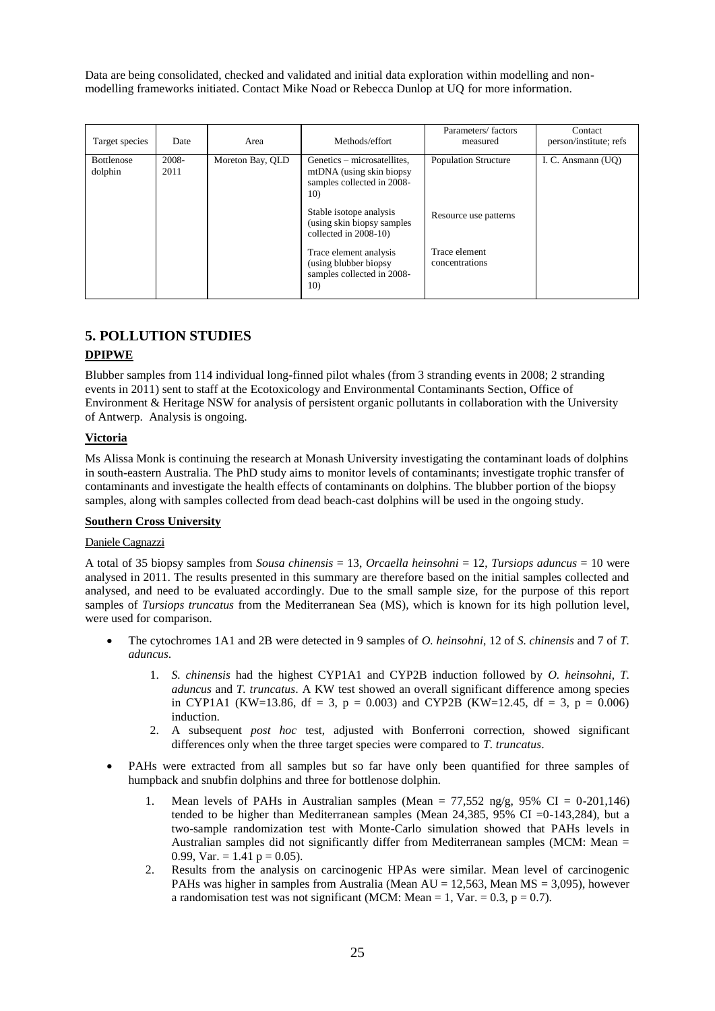Data are being consolidated, checked and validated and initial data exploration within modelling and nonmodelling frameworks initiated. Contact Mike Noad or Rebecca Dunlop at UQ for more information.

| Target species               | Date             | Area             | Methods/effort                                                                                    | Parameters/factors<br>measured  | Contact<br>person/institute; refs |
|------------------------------|------------------|------------------|---------------------------------------------------------------------------------------------------|---------------------------------|-----------------------------------|
| <b>Bottlenose</b><br>dolphin | $2008 -$<br>2011 | Moreton Bay, QLD | Genetics – microsatellites,<br>mtDNA (using skin biopsy<br>samples collected in 2008-<br>10)      | <b>Population Structure</b>     | I. C. Ansmann (UO)                |
|                              |                  |                  | Stable isotope analysis<br>(using skin biopsy samples)<br>collected in 2008-10)                   | Resource use patterns           |                                   |
|                              |                  |                  | Trace element analysis<br>(using blubber biopsy)<br>samples collected in 2008-<br>10 <sub>0</sub> | Trace element<br>concentrations |                                   |

# **5. POLLUTION STUDIES**

# **DPIPWE**

Blubber samples from 114 individual long-finned pilot whales (from 3 stranding events in 2008; 2 stranding events in 2011) sent to staff at the Ecotoxicology and Environmental Contaminants Section, Office of Environment & Heritage NSW for analysis of persistent organic pollutants in collaboration with the University of Antwerp. Analysis is ongoing.

# **Victoria**

Ms Alissa Monk is continuing the research at Monash University investigating the contaminant loads of dolphins in south-eastern Australia. The PhD study aims to monitor levels of contaminants; investigate trophic transfer of contaminants and investigate the health effects of contaminants on dolphins. The blubber portion of the biopsy samples, along with samples collected from dead beach-cast dolphins will be used in the ongoing study.

# **Southern Cross University**

# Daniele Cagnazzi

A total of 35 biopsy samples from *Sousa chinensis* = 13, *Orcaella heinsohni* = 12, *Tursiops aduncus* = 10 were analysed in 2011. The results presented in this summary are therefore based on the initial samples collected and analysed, and need to be evaluated accordingly. Due to the small sample size, for the purpose of this report samples of *Tursiops truncatus* from the Mediterranean Sea (MS), which is known for its high pollution level, were used for comparison.

- The cytochromes 1A1 and 2B were detected in 9 samples of *O. heinsohni*, 12 of *S. chinensis* and 7 of *T. aduncus*.
	- 1. *S. chinensis* had the highest CYP1A1 and CYP2B induction followed by *O. heinsohni*, *T. aduncus* and *T. truncatus*. A KW test showed an overall significant difference among species in CYP1A1 (KW=13.86, df = 3, p = 0.003) and CYP2B (KW=12.45, df = 3, p = 0.006) induction.
	- 2. A subsequent *post hoc* test, adjusted with Bonferroni correction, showed significant differences only when the three target species were compared to *T. truncatus*.
- PAHs were extracted from all samples but so far have only been quantified for three samples of humpback and snubfin dolphins and three for bottlenose dolphin.
	- 1. Mean levels of PAHs in Australian samples (Mean  $= 77,552$  ng/g, 95% CI  $= 0-201,146$ ) tended to be higher than Mediterranean samples (Mean 24,385, 95% CI =0-143,284), but a two-sample randomization test with Monte-Carlo simulation showed that PAHs levels in Australian samples did not significantly differ from Mediterranean samples (MCM: Mean = 0.99, Var. = 1.41  $p = 0.05$ ).
	- 2. Results from the analysis on carcinogenic HPAs were similar. Mean level of carcinogenic PAHs was higher in samples from Australia (Mean  $AU = 12,563$ , Mean  $MS = 3,095$ ), however a randomisation test was not significant (MCM: Mean = 1, Var. =  $0.3$ , p =  $0.7$ ).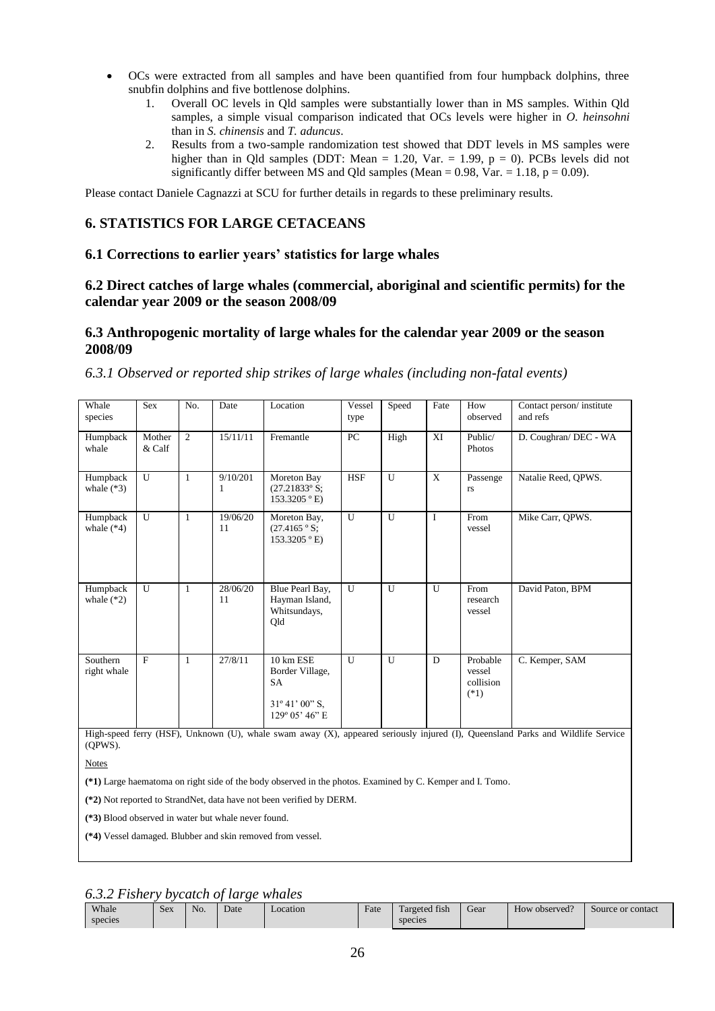- OCs were extracted from all samples and have been quantified from four humpback dolphins, three snubfin dolphins and five bottlenose dolphins.
	- 1. Overall OC levels in Qld samples were substantially lower than in MS samples. Within Qld samples, a simple visual comparison indicated that OCs levels were higher in *O. heinsohni* than in *S. chinensis* and *T. aduncus*.
	- 2. Results from a two-sample randomization test showed that DDT levels in MS samples were higher than in Qld samples (DDT: Mean = 1.20, Var. = 1.99,  $p = 0$ ). PCBs levels did not significantly differ between MS and Qld samples (Mean =  $0.98$ , Var. =  $1.18$ , p =  $0.09$ ).

Please contact Daniele Cagnazzi at SCU for further details in regards to these preliminary results.

# **6. STATISTICS FOR LARGE CETACEANS**

# **6.1 Corrections to earlier years' statistics for large whales**

# **6.2 Direct catches of large whales (commercial, aboriginal and scientific permits) for the calendar year 2009 or the season 2008/09**

# **6.3 Anthropogenic mortality of large whales for the calendar year 2009 or the season 2008/09**

# *6.3.1 Observed or reported ship strikes of large whales (including non-fatal events)*

| Whale<br>species         | <b>Sex</b>       | No.            | Date           | Location                                                                                          | Vessel<br>type | Speed        | Fate         | How<br>observed                           | Contact person/institute<br>and refs                                                                                        |
|--------------------------|------------------|----------------|----------------|---------------------------------------------------------------------------------------------------|----------------|--------------|--------------|-------------------------------------------|-----------------------------------------------------------------------------------------------------------------------------|
| Humpback<br>whale        | Mother<br>& Calf | $\overline{2}$ | 15/11/11       | Fremantle                                                                                         | PC             | High         | XI           | Public/<br>Photos                         | D. Coughran/ DEC - WA                                                                                                       |
| Humpback<br>whale $(*3)$ | $\mathbf{U}$     | $\mathbf{1}$   | 9/10/201       | Moreton Bay<br>$(27.21833^{\circ} S;$<br>$153.3205$ ° E)                                          | <b>HSF</b>     | U            | X            | Passenge<br><b>rs</b>                     | Natalie Reed, QPWS.                                                                                                         |
| Humpback<br>whale $(*4)$ | U                | $\mathbf{1}$   | 19/06/20<br>11 | Moreton Bay,<br>$(27.4165 \degree S)$<br>153.3205 ° E)                                            | U              | $\mathbf{U}$ | I            | From<br>vessel                            | Mike Carr, OPWS.                                                                                                            |
| Humpback<br>whale $(*2)$ | $\mathbf{U}$     | 1              | 28/06/20<br>11 | Blue Pearl Bay,<br>Hayman Island,<br>Whitsundays,<br>Qld                                          | U              | U            | $\mathbf{U}$ | From<br>research<br>vessel                | David Paton, BPM                                                                                                            |
| Southern<br>right whale  | $\mathbf{F}$     | $\mathbf{1}$   | 27/8/11        | 10 km ESE<br>Border Village,<br><b>SA</b><br>$31^{\circ} 41' 00'' S$ ,<br>$129^{\circ}$ 05' 46" E | U              | U            | D            | Probable<br>vessel<br>collision<br>$(*1)$ | C. Kemper, SAM                                                                                                              |
|                          |                  |                |                |                                                                                                   |                |              |              |                                           | High-speed ferry (HSF) Unknown (U) whale swam away (X) appeared seriously injured (D) Queensland Parks and Wildlife Service |

m away (X), appeared seriously injured (I),  $(OPWS)$ .

Notes

**(\*1)** Large haematoma on right side of the body observed in the photos. Examined by C. Kemper and I. Tomo.

**(\*2)** Not reported to StrandNet, data have not been verified by DERM.

**(\*3)** Blood observed in water but whale never found.

**(\*4)** Vessel damaged. Blubber and skin removed from vessel.

*6.3.2 Fishery bycatch of large whales*

| Whale<br>species | Sex | No. | Date | ocation | Fate | $\sim$<br>$\mathbf{r}$<br>l argeted fish<br>species | Gear | 10<br>How observed? | Source or contact |
|------------------|-----|-----|------|---------|------|-----------------------------------------------------|------|---------------------|-------------------|
|                  |     |     |      |         |      |                                                     |      |                     |                   |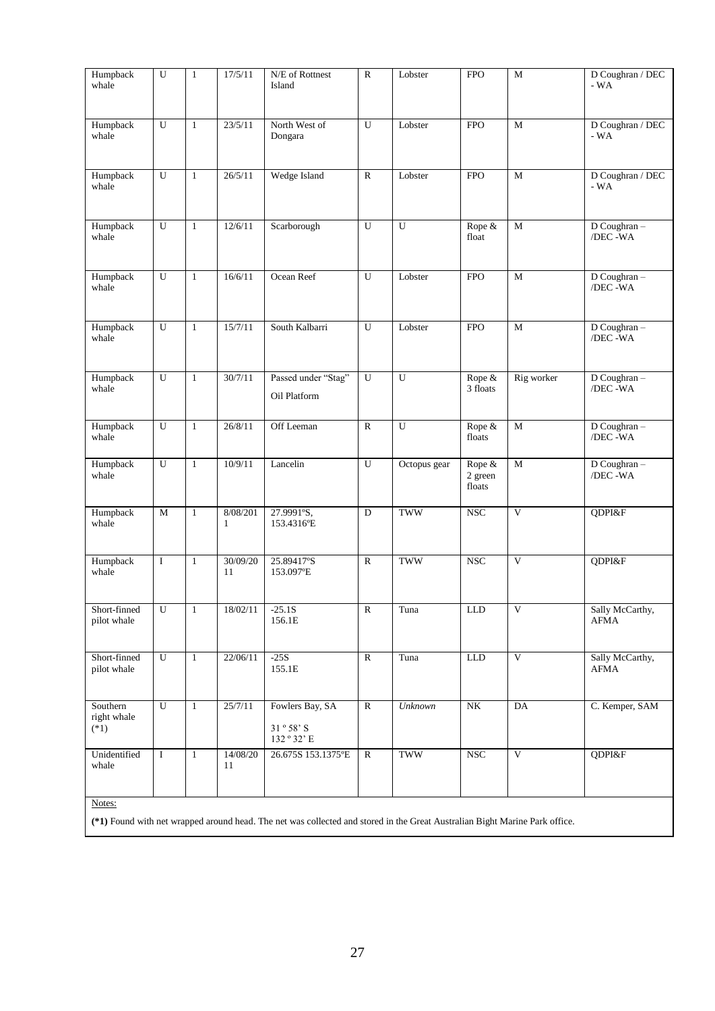| Humpback<br>whale                 | $\overline{\text{U}}$ | $\mathbf{1}$   | 17/5/11                  | N/E of Rottnest<br>Island              | ${\bf R}$      | Lobster        | <b>FPO</b>                    | $\mathbf M$             | $D$ Coughran / $DEC$<br>$-WA$  |
|-----------------------------------|-----------------------|----------------|--------------------------|----------------------------------------|----------------|----------------|-------------------------------|-------------------------|--------------------------------|
|                                   |                       |                |                          |                                        |                |                |                               |                         |                                |
| Humpback<br>whale                 | U                     | $\mathbf{1}$   | 23/5/11                  | North West of<br>Dongara               | U              | Lobster        | <b>FPO</b>                    | $\mathbf M$             | D Coughran / DEC<br>- WA       |
| Humpback<br>whale                 | $\overline{U}$        | $\mathbf{1}$   | 26/5/11                  | Wedge Island                           | ${\bf R}$      | Lobster        | <b>FPO</b>                    | $\mathbf M$             | D Coughran / DEC<br>$-WA$      |
| Humpback<br>whale                 | U                     | $\mathbf{1}$   | 12/6/11                  | Scarborough                            | U              | U              | Rope &<br>float               | $\mathbf M$             | D Coughran-<br>/DEC-WA         |
| Humpback<br>whale                 | ${\bf U}$             | $\mathbf{1}$   | 16/6/11                  | Ocean Reef                             | ${\bf U}$      | Lobster        | <b>FPO</b>                    | $\mathbf M$             | D Coughran-<br>/DEC-WA         |
| Humpback<br>whale                 | U                     | $\mathbf{1}$   | 15/7/11                  | South Kalbarri                         | U              | Lobster        | FPO                           | $\mathbf M$             | D Coughran -<br>/DEC -WA       |
| Humpback<br>whale                 | $\overline{U}$        | $\mathbf{1}$   | 30/7/11                  | Passed under "Stag"<br>Oil Platform    | $\overline{U}$ | $\overline{U}$ | Rope &<br>3 floats            | Rig worker              | D Coughran -<br>/DEC-WA        |
| Humpback<br>whale                 | $\overline{U}$        | $\mathbf{1}$   | 26/8/11                  | Off Leeman                             | $\overline{R}$ | U              | Rope &<br>floats              | $\mathbf M$             | D Coughran -<br>/DEC-WA        |
| Humpback<br>whale                 | ${\bf U}$             | $\mathbf{1}$   | 10/9/11                  | Lancelin                               | ${\bf U}$      | Octopus gear   | Rope &<br>$2$ green<br>floats | $\mathbf M$             | D Coughran-<br>/DEC-WA         |
| Humpback<br>whale                 | M                     | $\mathbf{1}$   | 8/08/201<br>$\mathbf{1}$ | 27.9991°S,<br>153.4316°E               | D              | <b>TWW</b>     | <b>NSC</b>                    | $\overline{\mathbf{V}}$ | QDPI&F                         |
| Humpback<br>whale                 | $\bf I$               | $\mathbf{1}$   | 30/09/20<br>11           | 25.89417°S<br>153.097°E                | $\mathbf R$    | <b>TWW</b>     | <b>NSC</b>                    | $\mathbf{V}$            | QDPI&F                         |
| Short-finned<br>pilot whale       | U                     | 1              | 18/02/11                 | $-25.1S$<br>156.1E                     | R              | Tuna           | <b>LLD</b>                    | V                       | Sally McCarthy,<br><b>AFMA</b> |
| Short-finned<br>pilot whale       | $\overline{U}$        | $\mathbf{1}$   | 22/06/11                 | $-25S$<br>155.1E                       | $\mathbb{R}$   | Tuna           | ${\rm LLD}$                   | $\overline{\mathbf{V}}$ | Sally McCarthy,<br><b>AFMA</b> |
| Southern<br>right whale<br>$(*1)$ | $\overline{U}$        | $\overline{1}$ | 25/7/11                  | Fowlers Bay, SA<br>31°58'S<br>132°32'E | $\overline{R}$ | Unknown        | N <sub>K</sub>                | DA                      | C. Kemper, SAM                 |
| Unidentified<br>whale             | $\bf I$               | $\mathbf{1}$   | 14/08/20<br>11           | 26.675S 153.1375°E                     | $\mathbb{R}$   | TWW            | $_{\rm NSC}$                  | $\mathbf V$             | QDPI&F                         |
| Notes:                            |                       |                |                          |                                        |                |                |                               |                         |                                |

**(\*1)** Found with net wrapped around head. The net was collected and stored in the Great Australian Bight Marine Park office.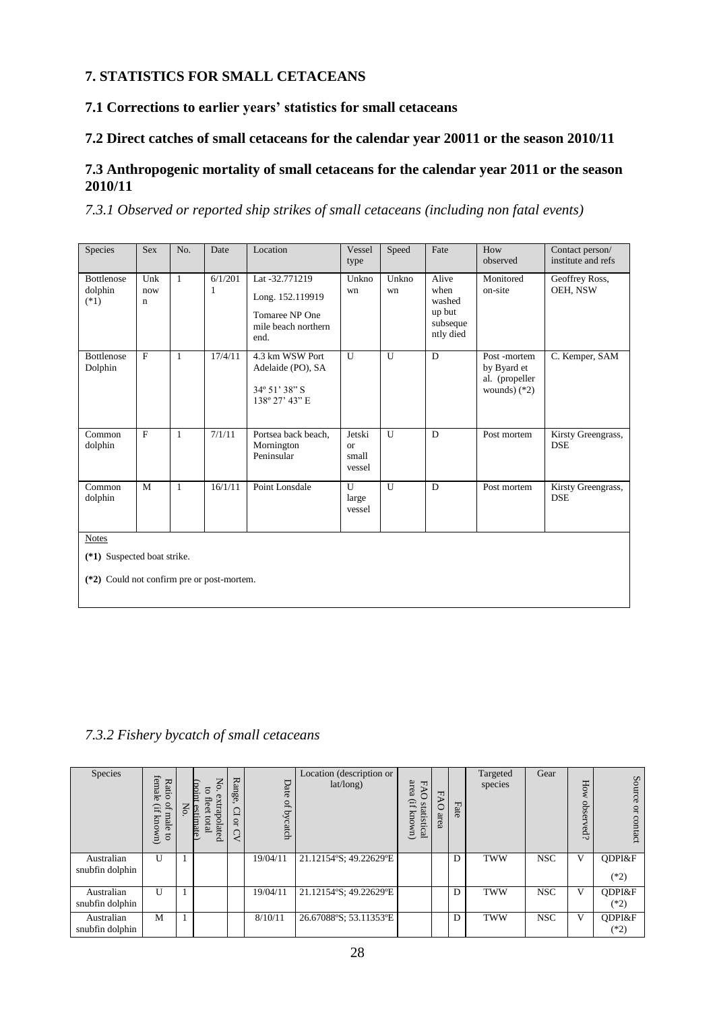# **7. STATISTICS FOR SMALL CETACEANS**

**7.1 Corrections to earlier years' statistics for small cetaceans**

# **7.2 Direct catches of small cetaceans for the calendar year 20011 or the season 2010/11**

# **7.3 Anthropogenic mortality of small cetaceans for the calendar year 2011 or the season 2010/11**

*7.3.1 Observed or reported ship strikes of small cetaceans (including non fatal events)*

| Species                                    | <b>Sex</b>      | No.          | Date         | Location                                                                            | Vessel<br>type                         | Speed       | Fate                                                       | How<br>observed                                                | Contact person/<br>institute and refs |  |  |
|--------------------------------------------|-----------------|--------------|--------------|-------------------------------------------------------------------------------------|----------------------------------------|-------------|------------------------------------------------------------|----------------------------------------------------------------|---------------------------------------|--|--|
| <b>Bottlenose</b><br>dolphin<br>$(*1)$     | Unk<br>now<br>n | $\mathbf{1}$ | 6/1/201<br>1 | Lat -32.771219<br>Long. 152.119919<br>Tomaree NP One<br>mile beach northern<br>end. | Unkno<br>wn                            | Unkno<br>wn | Alive<br>when<br>washed<br>up but<br>subseque<br>ntly died | Monitored<br>on-site                                           | Geoffrey Ross,<br>OEH, NSW            |  |  |
| <b>Bottlenose</b><br>Dolphin               | $\mathbf{F}$    | $\mathbf{1}$ | 17/4/11      | 4.3 km WSW Port<br>Adelaide (PO), SA<br>34° 51' 38" S<br>138° 27' 43" E             | U                                      | U           | D                                                          | Post-mortem<br>by Byard et<br>al. (propeller<br>wounds) $(*2)$ | C. Kemper, SAM                        |  |  |
| Common<br>dolphin                          | $\mathbf{F}$    | $\mathbf{1}$ | 7/1/11       | Portsea back beach.<br>Mornington<br>Peninsular                                     | Jetski<br><b>or</b><br>small<br>vessel | U           | D                                                          | Post mortem                                                    | Kirsty Greengrass,<br><b>DSE</b>      |  |  |
| Common<br>dolphin                          | M               | $\mathbf{1}$ | 16/1/11      | Point Lonsdale                                                                      | U<br>large<br>vessel                   | U           | D                                                          | Post mortem                                                    | Kirsty Greengrass,<br><b>DSE</b>      |  |  |
| <b>Notes</b>                               |                 |              |              |                                                                                     |                                        |             |                                                            |                                                                |                                       |  |  |
| (*1) Suspected boat strike.                |                 |              |              |                                                                                     |                                        |             |                                                            |                                                                |                                       |  |  |
| (*2) Could not confirm pre or post-mortem. |                 |              |              |                                                                                     |                                        |             |                                                            |                                                                |                                       |  |  |

# *7.3.2 Fishery bycatch of small cetaceans*

| Species                       | female<br>Rati<br>Ö<br>ď<br>Ë,<br>male<br>known)<br>$\overline{c}$ | No.<br>игоа)<br>ទ<br>extrapolated<br>flee<br>estimate<br>total | Range<br>$\Box$<br>$\overline{a}$ | Date<br>of bycatch | Location (description or<br>lat/long) | area<br>ᆔ<br>$\rm H$<br>atistical<br>known) | <b>FAO</b><br>area | Fate | Targeted<br>species | Gear       | Ho<br>obser<br>ed? | Source<br>$\overline{a}$<br>contact |
|-------------------------------|--------------------------------------------------------------------|----------------------------------------------------------------|-----------------------------------|--------------------|---------------------------------------|---------------------------------------------|--------------------|------|---------------------|------------|--------------------|-------------------------------------|
| Australian<br>snubfin dolphin | U                                                                  |                                                                |                                   | 19/04/11           | 21.12154°S; 49.22629°E                |                                             |                    | D    | <b>TWW</b>          | <b>NSC</b> | V                  | ODPI&F<br>$(*2)$                    |
| Australian<br>snubfin dolphin | $\mathbf{U}$                                                       |                                                                |                                   | 19/04/11           | 21.12154°S; 49.22629°E                |                                             |                    | D    | <b>TWW</b>          | <b>NSC</b> | V                  | ODPI&F<br>$(*2)$                    |
| Australian<br>snubfin dolphin | M                                                                  |                                                                |                                   | 8/10/11            | 26.67088°S; 53.11353°E                |                                             |                    | D    | <b>TWW</b>          | <b>NSC</b> | V                  | ODPI&F<br>$(*2)$                    |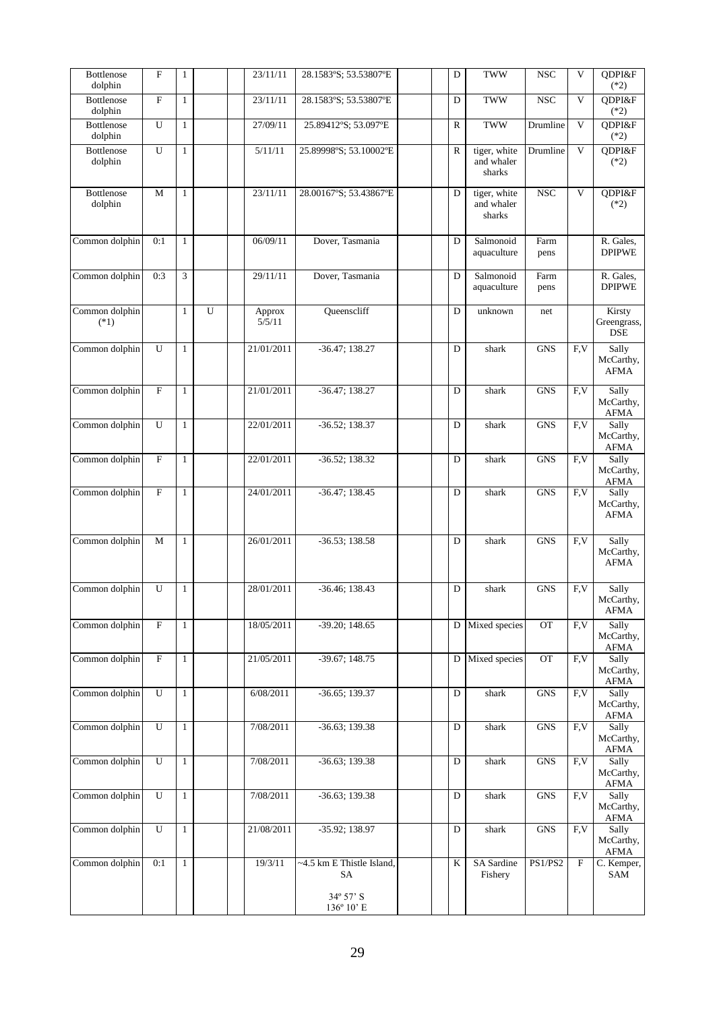| <b>Bottlenose</b><br>dolphin | $\mathbf F$               | 1            |   | 23/11/11         | 28.1583°S; 53.53807°E           | D       | <b>TWW</b>                           | <b>NSC</b>      | V                | QDPI&F<br>$(*2)$                    |
|------------------------------|---------------------------|--------------|---|------------------|---------------------------------|---------|--------------------------------------|-----------------|------------------|-------------------------------------|
| Bottlenose<br>dolphin        | $\overline{F}$            | $\mathbf{1}$ |   | 23/11/11         | 28.1583°S; 53.53807°E           | D       | <b>TWW</b>                           | <b>NSC</b>      | V                | QDPI&F<br>$(*2)$                    |
| Bottlenose<br>dolphin        | $\overline{U}$            | $\mathbf{1}$ |   | 27/09/11         | 25.89412°S; 53.097°E            | R       | <b>TWW</b>                           | Drumline        | V                | QDPI&F<br>$(*2)$                    |
| Bottlenose<br>dolphin        | U                         | $\mathbf{1}$ |   | 5/11/11          | 25.89998°S; 53.10002°E          | R       | tiger, white<br>and whaler<br>sharks | Drumline        | V                | QDPI&F<br>$(*2)$                    |
| <b>Bottlenose</b><br>dolphin | M                         | $\mathbf{1}$ |   | 23/11/11         | 28.00167°S; 53.43867°E          | D       | tiger, white<br>and whaler<br>sharks | <b>NSC</b>      | V                | QDPI&F<br>$(*2)$                    |
| Common dolphin               | 0:1                       | $\mathbf{1}$ |   | 06/09/11         | Dover, Tasmania                 | D       | Salmonoid<br>aquaculture             | Farm<br>pens    |                  | R. Gales,<br><b>DPIPWE</b>          |
| Common dolphin               | 0:3                       | 3            |   | 29/11/11         | Dover, Tasmania                 | D       | Salmonoid<br>aquaculture             | Farm<br>pens    |                  | R. Gales,<br><b>DPIPWE</b>          |
| Common dolphin<br>$(*1)$     |                           | $\mathbf{1}$ | U | Approx<br>5/5/11 | Queenscliff                     | D       | unknown                              | net             |                  | Kirsty<br>Greengrass,<br><b>DSE</b> |
| Common dolphin               | U                         | $\mathbf{1}$ |   | 21/01/2011       | $-36.47; 138.27$                | D       | shark                                | <b>GNS</b>      | F.V              | Sally<br>McCarthy,<br><b>AFMA</b>   |
| Common dolphin               | $\mathbf F$               | $\mathbf{1}$ |   | 21/01/2011       | $-36.47; 138.27$                | D       | shark                                | <b>GNS</b>      | F.V              | Sally<br>McCarthy,<br><b>AFMA</b>   |
| Common dolphin               | U                         | $\mathbf{1}$ |   | 22/01/2011       | $-36.52; 138.37$                | D       | shark                                | <b>GNS</b>      | $\overline{F.V}$ | Sally<br>McCarthy,<br><b>AFMA</b>   |
| Common dolphin               | $\boldsymbol{\mathrm{F}}$ | 1            |   | 22/01/2011       | $-36.52; 138.32$                | D       | shark                                | <b>GNS</b>      | F.V              | Sally<br>McCarthy,<br><b>AFMA</b>   |
| Common dolphin               | $\mathbf F$               | $\mathbf{1}$ |   | 24/01/2011       | $-36.47; 138.45$                | D       | shark                                | <b>GNS</b>      | F.V              | Sally<br>McCarthy,<br><b>AFMA</b>   |
| Common dolphin               | M                         | $\mathbf{1}$ |   | 26/01/2011       | $-36.53; 138.58$                | D       | shark                                | <b>GNS</b>      | F,V              | Sally<br>McCarthy,<br><b>AFMA</b>   |
| Common dolphin               | U                         | $\mathbf{1}$ |   | 28/01/2011       | $-36.46; 138.43$                | D       | shark                                | <b>GNS</b>      | F,V              | Sally<br>McCarthy,<br><b>AFMA</b>   |
| Common dolphin               | $\mathbf F$               | 1            |   | 18/05/2011       | $-39.20; 148.65$                | D       | Mixed species                        | OT              | F.V              | Sally<br>McCarthy,<br><b>AFMA</b>   |
| Common dolphin               | $\overline{\mathrm{F}}$   | $\mathbf{1}$ |   | 21/05/2011       | $-39.67; 148.75$                | D       | Mixed species                        | $\overline{OT}$ | F.V              | Sally<br>McCarthy,<br>AFMA          |
| Common dolphin               | U                         | $\mathbf{1}$ |   | 6/08/2011        | $-36.65; 139.37$                | D       | shark                                | <b>GNS</b>      | F,V              | Sally<br>McCarthy,<br>AFMA          |
| Common dolphin               | U                         | $\mathbf{1}$ |   | 7/08/2011        | $-36.63; 139.38$                | D       | shark                                | <b>GNS</b>      | F.V              | Sally<br>McCarthy,<br><b>AFMA</b>   |
| Common dolphin               | U                         | $\mathbf{1}$ |   | 7/08/2011        | $-36.63; 139.38$                | D       | shark                                | <b>GNS</b>      | F,V              | Sally<br>McCarthy,<br><b>AFMA</b>   |
| Common dolphin               | U                         | $\mathbf{1}$ |   | 7/08/2011        | $-36.63; 139.38$                | D       | shark                                | ${\rm GNS}$     | F,V              | Sally<br>McCarthy,<br>AFMA          |
| Common dolphin               | U                         | $\mathbf{1}$ |   | 21/08/2011       | $-35.92; 138.97$                | D       | shark                                | ${\rm GNS}$     | F, V             | Sally<br>McCarthy,<br>AFMA          |
| Common dolphin               | 0:1                       | $\mathbf{1}$ |   | 19/3/11          | ~4.5 km E Thistle Island,<br>SA | $\bf K$ | SA Sardine<br>Fishery                | PS1/PS2         | $\mathbf{F}$     | C. Kemper,<br>SAM                   |
|                              |                           |              |   |                  | $34^{\circ}57'$ S<br>136° 10' E |         |                                      |                 |                  |                                     |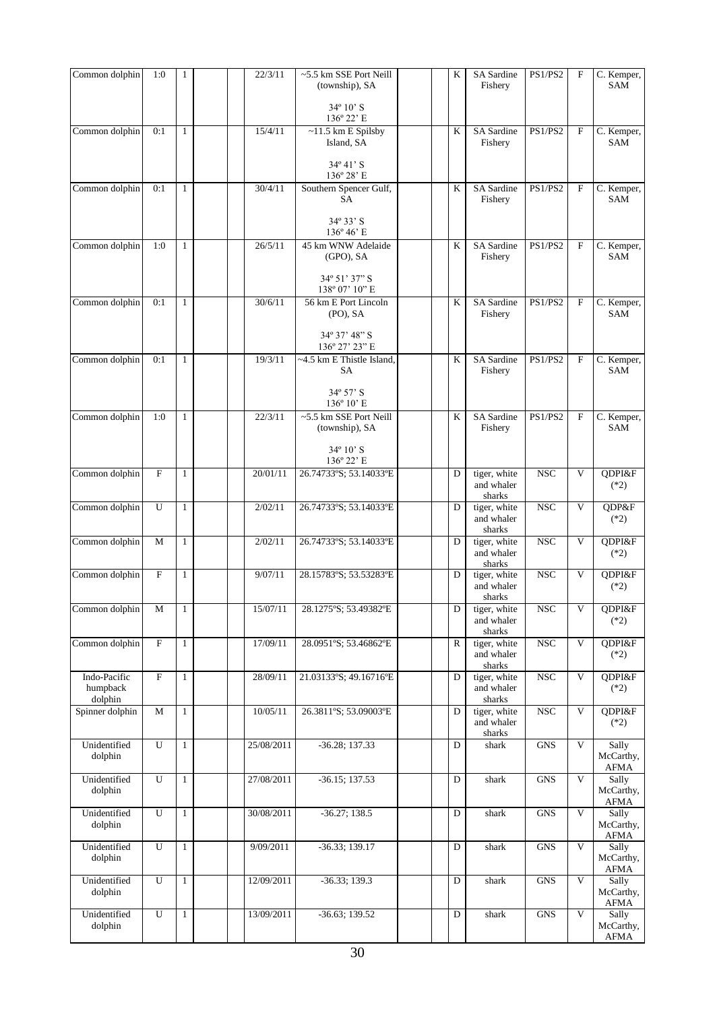| Common dolphin                      | 1:0            | 1            | 22/3/11    | $~5.5$ km SSE Port Neill<br>(township), SA | K              | SA Sardine<br>Fishery                | PS1/PS2        | F                       | C. Kemper,<br>SAM                 |
|-------------------------------------|----------------|--------------|------------|--------------------------------------------|----------------|--------------------------------------|----------------|-------------------------|-----------------------------------|
|                                     |                |              |            | 34° 10' S<br>136° 22' E                    |                |                                      |                |                         |                                   |
| Common dolphin                      | 0:1            | $\mathbf{1}$ | 15/4/11    | $~11.5$ km E Spilsby<br>Island, SA         | K              | SA Sardine<br>Fishery                | PS1/PS2        | $\mathbf F$             | C. Kemper,<br><b>SAM</b>          |
|                                     |                |              |            | $34^{\circ}41'$ S<br>136° 28' E            |                |                                      |                |                         |                                   |
| Common dolphin                      | 0:1            | $\mathbf{1}$ | 30/4/11    | Southern Spencer Gulf,<br>SA               | K              | <b>SA</b> Sardine<br>Fishery         | <b>PS1/PS2</b> | $\mathbf{F}$            | C. Kemper,<br><b>SAM</b>          |
|                                     |                |              |            | 34° 33' S<br>$136^{\circ} 46^{\circ}$ E    |                |                                      |                |                         |                                   |
| Common dolphin                      | 1:0            | $\mathbf{1}$ | 26/5/11    | 45 km WNW Adelaide<br>(GPO), SA            | K              | SA Sardine<br>Fishery                | PS1/PS2        | $\mathbf{F}$            | C. Kemper,<br>SAM                 |
|                                     |                |              |            | 34° 51' 37" S<br>138° 07' 10" E            |                |                                      |                |                         |                                   |
| Common dolphin                      | 0:1            | $\mathbf{1}$ | 30/6/11    | 56 km E Port Lincoln<br>(PO), SA           | $\bf K$        | SA Sardine<br>Fishery                | PS1/PS2        | $\mathbf{F}$            | C. Kemper,<br><b>SAM</b>          |
|                                     |                |              |            | 34° 37' 48" S<br>136° 27' 23" E            |                |                                      |                |                         |                                   |
| Common dolphin                      | 0:1            | 1            | 19/3/11    | ~4.5 km E Thistle Island,<br>SA            | K              | <b>SA</b> Sardine<br>Fishery         | PS1/PS2        | $\mathbf{F}$            | C. Kemper,<br><b>SAM</b>          |
|                                     |                |              |            | 34° 57' S<br>136° 10' E                    |                |                                      |                |                         |                                   |
| Common dolphin                      | 1:0            | 1            | 22/3/11    | ~5.5 km SSE Port Neill<br>(township), SA   | $\bf K$        | SA Sardine<br>Fishery                | PS1/PS2        | $\mathbf{F}$            | C. Kemper,<br>SAM                 |
|                                     |                |              |            | 34° 10' S<br>136° 22' E                    |                |                                      |                |                         |                                   |
| Common dolphin                      | $\mathbf F$    | 1            | 20/01/11   | 26.74733°S; 53.14033°E                     | D              | tiger, white<br>and whaler<br>sharks | <b>NSC</b>     | V                       | QDPI&F<br>$(*2)$                  |
| Common dolphin                      | U              | $\mathbf{1}$ | 2/02/11    | 26.74733°S; 53.14033°E                     | D              | tiger, white<br>and whaler<br>sharks | <b>NSC</b>     | V                       | QDP&F<br>$(*2)$                   |
| Common dolphin                      | M              | $\mathbf{1}$ | 2/02/11    | 26.74733°S; 53.14033°E                     | D              | tiger, white<br>and whaler<br>sharks | NSC            | $\overline{\mathbf{V}}$ | QDPI&F<br>$(*2)$                  |
| Common dolphin                      | $\mathbf F$    | $\mathbf{1}$ | 9/07/11    | 28.15783°S; 53.53283°E                     | D              | tiger, white<br>and whaler<br>sharks | <b>NSC</b>     | V                       | QDPI&F<br>$(*2)$                  |
| Common dolphin                      | $\mathbf M$    | $\mathbf{1}$ | 15/07/11   | 28.1275°S; 53.49382°E                      | $\overline{D}$ | tiger, white<br>and whaler<br>sharks | <b>NSC</b>     | $\overline{V}$          | QDPI&F<br>$(*2)$                  |
| Common dolphin                      | $\overline{F}$ | 1            | 17/09/11   | 28.0951°S; 53.46862°E                      | R              | tiger, white<br>and whaler<br>sharks | <b>NSC</b>     | $\overline{V}$          | QDPI&F<br>$(*2)$                  |
| Indo-Pacific<br>humpback<br>dolphin | $\mathbf{F}$   | $\mathbf{1}$ | 28/09/11   | 21.03133°S; 49.16716°E                     | D              | tiger, white<br>and whaler<br>sharks | $_{\rm NSC}$   | $\mathbf{V}$            | QDPI&F<br>$(*2)$                  |
| Spinner dolphin                     | M              | 1            | 10/05/11   | 26.3811°S; 53.09003°E                      | D              | tiger, white<br>and whaler<br>sharks | $_{\rm NSC}$   | $\mathbf V$             | QDPI&F<br>$(*2)$                  |
| Unidentified<br>dolphin             | U              | $\mathbf{1}$ | 25/08/2011 | $-36.28; 137.33$                           | D              | shark                                | <b>GNS</b>     | V                       | Sally<br>McCarthy,<br>AFMA        |
| Unidentified<br>dolphin             | U              | $\mathbf{1}$ | 27/08/2011 | $-36.15; 137.53$                           | D              | shark                                | <b>GNS</b>     | V                       | Sally<br>McCarthy,<br><b>AFMA</b> |
| Unidentified<br>dolphin             | U              | $\mathbf{1}$ | 30/08/2011 | $-36.27; 138.5$                            | D              | shark                                | <b>GNS</b>     | V                       | Sally<br>McCarthy,<br><b>AFMA</b> |
| Unidentified<br>dolphin             | $\overline{U}$ | $\mathbf{1}$ | 9/09/2011  | $-36.33; 139.17$                           | $\mathbf D$    | shark                                | <b>GNS</b>     | $\overline{\mathbf{V}}$ | Sally<br>McCarthy,<br>AFMA        |
| Unidentified<br>dolphin             | U              | $\mathbf{1}$ | 12/09/2011 | $-36.33; 139.3$                            | D              | shark                                | <b>GNS</b>     | V                       | Sally<br>McCarthy,<br>AFMA        |
| Unidentified<br>dolphin             | U              | $\mathbf{1}$ | 13/09/2011 | $-36.63; 139.52$                           | D              | shark                                | <b>GNS</b>     | $\overline{\mathbf{V}}$ | Sally<br>McCarthy,<br><b>AFMA</b> |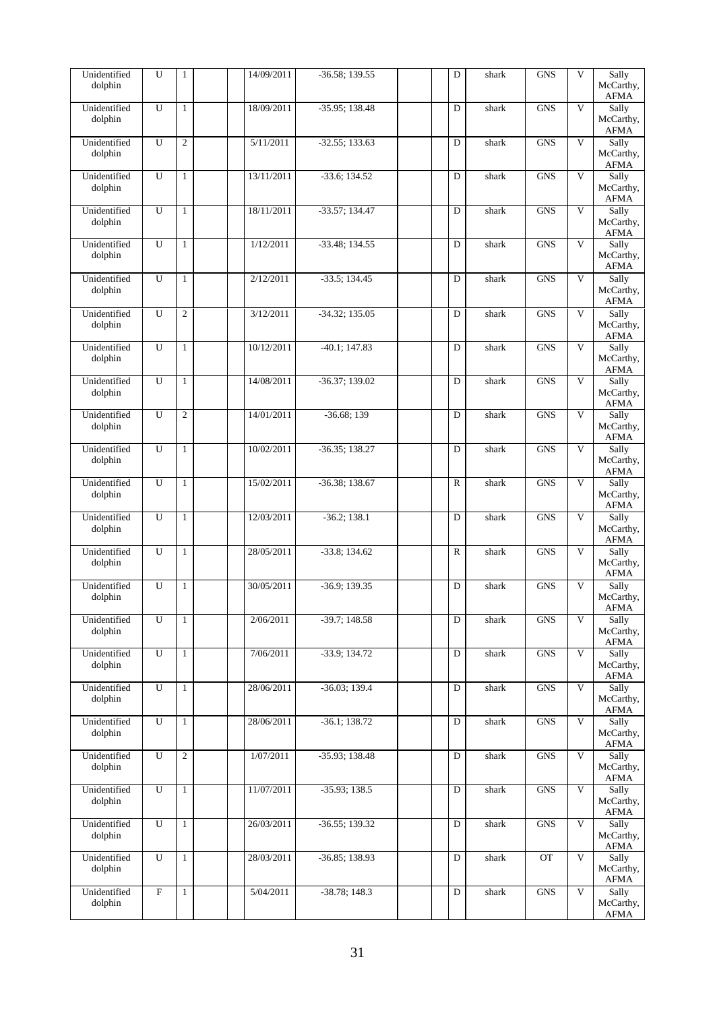| Unidentified<br>dolphin | U              | $\mathbf{1}$   | 14/09/2011 | $-36.58; 139.55$ | D            | shark | <b>GNS</b> | V                       | Sally<br>McCarthy,<br><b>AFMA</b> |
|-------------------------|----------------|----------------|------------|------------------|--------------|-------|------------|-------------------------|-----------------------------------|
| Unidentified<br>dolphin | U              | $\mathbf{1}$   | 18/09/2011 | $-35.95:138.48$  | D            | shark | <b>GNS</b> | V                       | Sally<br>McCarthy,<br><b>AFMA</b> |
| Unidentified<br>dolphin | U              | $\overline{c}$ | 5/11/2011  | $-32.55; 133.63$ | D            | shark | <b>GNS</b> | V                       | Sally<br>McCarthy,<br><b>AFMA</b> |
| Unidentified<br>dolphin | U              | $\mathbf{1}$   | 13/11/2011 | $-33.6; 134.52$  | D            | shark | <b>GNS</b> | $\overline{\mathbf{V}}$ | Sally<br>McCarthy,<br>AFMA        |
| Unidentified<br>dolphin | U              | $\mathbf{1}$   | 18/11/2011 | $-33.57; 134.47$ | D            | shark | <b>GNS</b> | $\overline{\mathsf{V}}$ | Sally<br>McCarthy,<br><b>AFMA</b> |
| Unidentified<br>dolphin | U              | $\mathbf{1}$   | 1/12/2011  | $-33.48; 134.55$ | D            | shark | <b>GNS</b> | $\mathbf{V}$            | Sally<br>McCarthy,<br><b>AFMA</b> |
| Unidentified<br>dolphin | U              | $\mathbf{1}$   | 2/12/2011  | $-33.5; 134.45$  | D            | shark | <b>GNS</b> | $\overline{\mathsf{V}}$ | Sally<br>McCarthy,<br><b>AFMA</b> |
| Unidentified<br>dolphin | U              | $\overline{c}$ | 3/12/2011  | $-34.32; 135.05$ | D            | shark | <b>GNS</b> | V                       | Sally<br>McCarthy,<br>AFMA        |
| Unidentified<br>dolphin | $\overline{U}$ | $\mathbf{1}$   | 10/12/2011 | $-40.1; 147.83$  | D            | shark | <b>GNS</b> | $\overline{\mathsf{V}}$ | Sally<br>McCarthy,<br><b>AFMA</b> |
| Unidentified<br>dolphin | $\overline{U}$ | $\mathbf{1}$   | 14/08/2011 | $-36.37; 139.02$ | D            | shark | <b>GNS</b> | $\overline{\mathsf{V}}$ | Sally<br>McCarthy,<br><b>AFMA</b> |
| Unidentified<br>dolphin | U              | $\overline{c}$ | 14/01/2011 | $-36.68;139$     | D            | shark | <b>GNS</b> | V                       | Sally<br>McCarthy,<br><b>AFMA</b> |
| Unidentified<br>dolphin | U              | $\mathbf{1}$   | 10/02/2011 | $-36.35; 138.27$ | D            | shark | <b>GNS</b> | V                       | Sally<br>McCarthy,<br><b>AFMA</b> |
| Unidentified<br>dolphin | $\overline{U}$ | $\mathbf{1}$   | 15/02/2011 | $-36.38; 138.67$ | ${\bf R}$    | shark | <b>GNS</b> | $\overline{\mathsf{V}}$ | Sally<br>McCarthy,<br><b>AFMA</b> |
| Unidentified<br>dolphin | $\overline{U}$ | $\mathbf{1}$   | 12/03/2011 | $-36.2; 138.1$   | D            | shark | <b>GNS</b> | V                       | Sally<br>McCarthy,<br><b>AFMA</b> |
| Unidentified<br>dolphin | U              | $\mathbf{1}$   | 28/05/2011 | $-33.8; 134.62$  | $\mathbb{R}$ | shark | <b>GNS</b> | V                       | Sally<br>McCarthy,<br><b>AFMA</b> |
| Unidentified<br>dolphin | U              | $\mathbf{1}$   | 30/05/2011 | $-36.9; 139.35$  | D            | shark | <b>GNS</b> | V                       | Sally<br>McCarthy,<br><b>AFMA</b> |
| Unidentified<br>dolphin | U              | $\mathbf{1}$   | 2/06/2011  | $-39.7; 148.58$  | D            | shark | <b>GNS</b> | V                       | Sally<br>McCarthy,<br><b>AFMA</b> |
| Unidentified<br>dolphin | U              | $\mathbf{1}$   | 7/06/2011  | $-33.9; 134.72$  | D            | shark | <b>GNS</b> | V                       | Sally<br>McCarthy,<br><b>AFMA</b> |
| Unidentified<br>dolphin | U              | $\mathbf{1}$   | 28/06/2011 | $-36.03; 139.4$  | D            | shark | <b>GNS</b> | $\mathbf{V}$            | Sally<br>McCarthy,<br>AFMA        |
| Unidentified<br>dolphin | U              | $\mathbf{1}$   | 28/06/2011 | $-36.1; 138.72$  | D            | shark | <b>GNS</b> | V                       | Sally<br>McCarthy,<br><b>AFMA</b> |
| Unidentified<br>dolphin | $\overline{U}$ | $\overline{c}$ | 1/07/2011  | $-35.93; 138.48$ | D            | shark | <b>GNS</b> | $\overline{\mathbf{V}}$ | Sally<br>McCarthy,<br><b>AFMA</b> |
| Unidentified<br>dolphin | U              | $\mathbf{1}$   | 11/07/2011 | $-35.93; 138.5$  | D            | shark | <b>GNS</b> | V                       | Sally<br>McCarthy,<br><b>AFMA</b> |
| Unidentified<br>dolphin | U              | $\mathbf{1}$   | 26/03/2011 | $-36.55; 139.32$ | D            | shark | <b>GNS</b> | V                       | Sally<br>McCarthy,<br><b>AFMA</b> |
| Unidentified<br>dolphin | U              | $\mathbf{1}$   | 28/03/2011 | $-36.85; 138.93$ | D            | shark | OT         | $\overline{\mathbf{V}}$ | Sally<br>McCarthy,<br><b>AFMA</b> |
| Unidentified<br>dolphin | $\overline{F}$ | $\mathbf{1}$   | 5/04/2011  | $-38.78; 148.3$  | D            | shark | <b>GNS</b> | V                       | Sally<br>McCarthy,<br>AFMA        |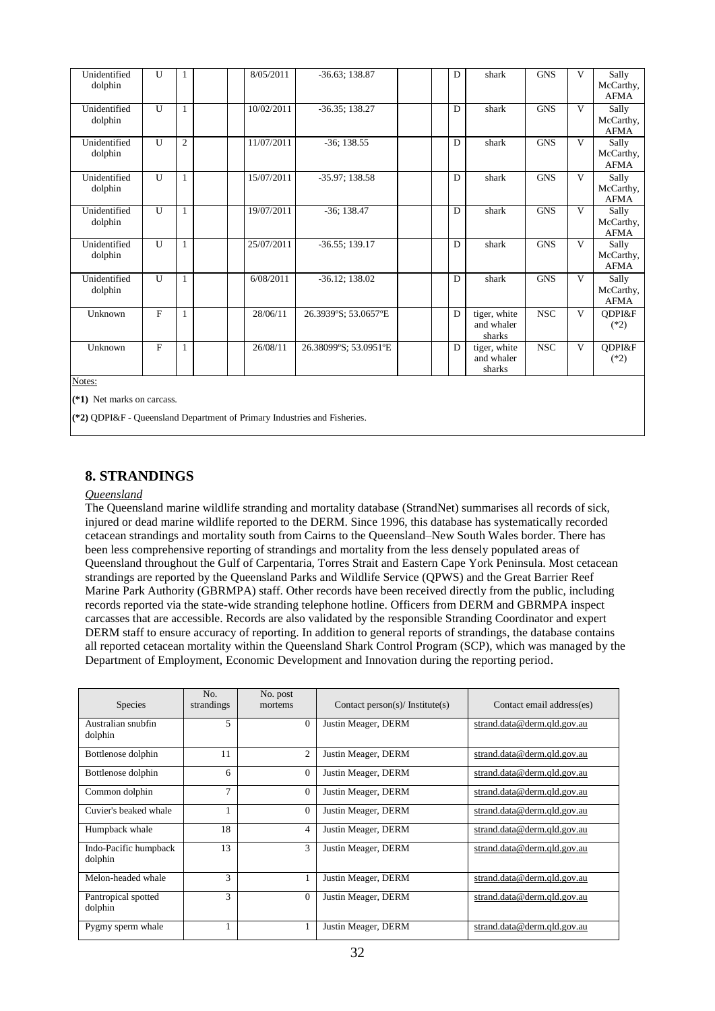| Unidentified<br>dolphin | U            | 1              | 8/05/2011  | $-36.63; 138.87$      | D | shark                                | <b>GNS</b> | $\mathbf{V}$ | Sally<br>McCarthy,<br><b>AFMA</b> |
|-------------------------|--------------|----------------|------------|-----------------------|---|--------------------------------------|------------|--------------|-----------------------------------|
| Unidentified<br>dolphin | U            | $\mathbf{1}$   | 10/02/2011 | $-36.35; 138.27$      | D | shark                                | <b>GNS</b> | V            | Sally<br>McCarthy,<br><b>AFMA</b> |
| Unidentified<br>dolphin | U            | $\overline{2}$ | 11/07/2011 | $-36; 138.55$         | D | shark                                | <b>GNS</b> | $\mathbf{V}$ | Sally<br>McCarthy,<br><b>AFMA</b> |
| Unidentified<br>dolphin | U            | 1              | 15/07/2011 | $-35.97; 138.58$      | D | shark                                | <b>GNS</b> | V            | Sally<br>McCarthy,<br><b>AFMA</b> |
| Unidentified<br>dolphin | U            | $\mathbf{1}$   | 19/07/2011 | $-36$ ; 138.47        | D | shark                                | <b>GNS</b> | V            | Sally<br>McCarthy,<br><b>AFMA</b> |
| Unidentified<br>dolphin | U            | 1              | 25/07/2011 | $-36.55$ ; 139.17     | D | shark                                | <b>GNS</b> | V            | Sally<br>McCarthy,<br><b>AFMA</b> |
| Unidentified<br>dolphin | U            | 1              | 6/08/2011  | $-36.12; 138.02$      | D | shark                                | <b>GNS</b> | V            | Sally<br>McCarthy,<br><b>AFMA</b> |
| Unknown                 | $\mathbf{F}$ | 1              | 28/06/11   | 26.3939°S; 53.0657°E  | D | tiger, white<br>and whaler<br>sharks | <b>NSC</b> | V            | QDPI&F<br>$(*2)$                  |
| Unknown<br>$M$ otosi    | $\mathbf{F}$ | 1              | 26/08/11   | 26.38099°S; 53.0951°E | D | tiger, white<br>and whaler<br>sharks | <b>NSC</b> | V            | QDPI&F<br>$(*2)$                  |

**(\*1)** Net marks on carcass.

**(\*2)** QDPI&F - Queensland Department of Primary Industries and Fisheries.

#### **8. STRANDINGS**

#### *Queensland*

The Queensland marine wildlife stranding and mortality database (StrandNet) summarises all records of sick, injured or dead marine wildlife reported to the DERM. Since 1996, this database has systematically recorded cetacean strandings and mortality south from Cairns to the Queensland–New South Wales border. There has been less comprehensive reporting of strandings and mortality from the less densely populated areas of Queensland throughout the Gulf of Carpentaria, Torres Strait and Eastern Cape York Peninsula. Most cetacean strandings are reported by the Queensland Parks and Wildlife Service (QPWS) and the Great Barrier Reef Marine Park Authority (GBRMPA) staff. Other records have been received directly from the public, including records reported via the state-wide stranding telephone hotline. Officers from DERM and GBRMPA inspect carcasses that are accessible. Records are also validated by the responsible Stranding Coordinator and expert DERM staff to ensure accuracy of reporting. In addition to general reports of strandings, the database contains all reported cetacean mortality within the Queensland Shark Control Program (SCP), which was managed by the Department of Employment, Economic Development and Innovation during the reporting period.

| <b>Species</b>                   | No.<br>strandings | No. post<br>mortems | Contact person(s)/ Institute(s) | Contact email address(es)   |
|----------------------------------|-------------------|---------------------|---------------------------------|-----------------------------|
| Australian snubfin<br>dolphin    | 5                 | $\Omega$            | Justin Meager, DERM             | strand.data@derm.qld.gov.au |
| Bottlenose dolphin               | 11                | $\overline{2}$      | Justin Meager, DERM             | strand.data@derm.qld.gov.au |
| Bottlenose dolphin               | 6                 | $\Omega$            | Justin Meager, DERM             | strand.data@derm.qld.gov.au |
| Common dolphin                   | $\tau$            | $\overline{0}$      | Justin Meager, DERM             | strand.data@derm.qld.gov.au |
| Cuvier's beaked whale            |                   | $\Omega$            | Justin Meager, DERM             | strand.data@derm.qld.gov.au |
| Humpback whale                   | 18                | $\overline{4}$      | Justin Meager, DERM             | strand.data@derm.qld.gov.au |
| Indo-Pacific humpback<br>dolphin | 13                | 3                   | Justin Meager, DERM             | strand.data@derm.qld.gov.au |
| Melon-headed whale               | 3                 |                     | Justin Meager, DERM             | strand.data@derm.qld.gov.au |
| Pantropical spotted<br>dolphin   | 3                 | $\Omega$            | Justin Meager, DERM             | strand.data@derm.qld.gov.au |
| Pygmy sperm whale                |                   |                     | Justin Meager, DERM             | strand.data@derm.qld.gov.au |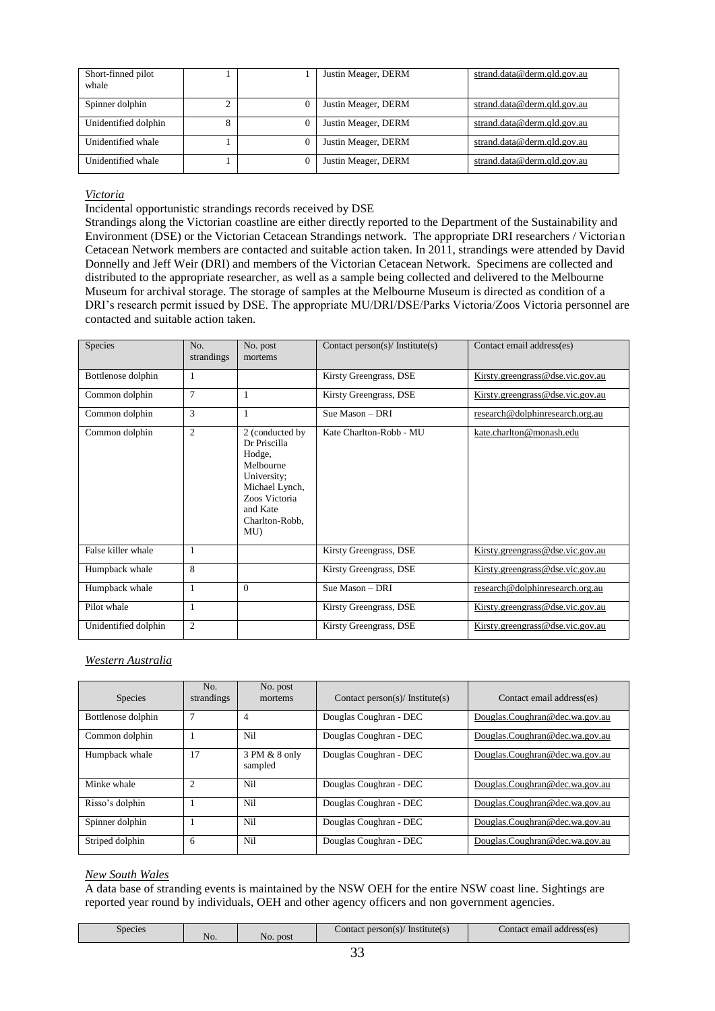| Short-finned pilot<br>whale |  | Justin Meager, DERM | strand.data@derm.qld.gov.au |
|-----------------------------|--|---------------------|-----------------------------|
| Spinner dolphin             |  | Justin Meager, DERM | strand.data@derm.qld.gov.au |
| Unidentified dolphin        |  | Justin Meager, DERM | strand.data@derm.qld.gov.au |
| Unidentified whale          |  | Justin Meager, DERM | strand.data@derm.qld.gov.au |
| Unidentified whale          |  | Justin Meager, DERM | strand.data@derm.qld.gov.au |

#### *Victoria*

Incidental opportunistic strandings records received by DSE

Strandings along the Victorian coastline are either directly reported to the Department of the Sustainability and Environment (DSE) or the Victorian Cetacean Strandings network. The appropriate DRI researchers / Victorian Cetacean Network members are contacted and suitable action taken. In 2011, strandings were attended by David Donnelly and Jeff Weir (DRI) and members of the Victorian Cetacean Network. Specimens are collected and distributed to the appropriate researcher, as well as a sample being collected and delivered to the Melbourne Museum for archival storage. The storage of samples at the Melbourne Museum is directed as condition of a DRI's research permit issued by DSE. The appropriate MU/DRI/DSE/Parks Victoria/Zoos Victoria personnel are contacted and suitable action taken.

| Species              | No.<br>strandings | No. post<br>mortems                                                                                                                          | Contact person(s)/ Institute(s) | Contact email address(es)        |
|----------------------|-------------------|----------------------------------------------------------------------------------------------------------------------------------------------|---------------------------------|----------------------------------|
| Bottlenose dolphin   | 1                 |                                                                                                                                              | Kirsty Greengrass, DSE          | Kirsty.greengrass@dse.vic.gov.au |
| Common dolphin       | $\tau$            | 1                                                                                                                                            | Kirsty Greengrass, DSE          | Kirsty.greengrass@dse.vic.gov.au |
| Common dolphin       | 3                 | 1                                                                                                                                            | Sue Mason - DRI                 | research@dolphinresearch.org.au  |
| Common dolphin       | $\overline{2}$    | 2 (conducted by<br>Dr Priscilla<br>Hodge,<br>Melbourne<br>University;<br>Michael Lynch,<br>Zoos Victoria<br>and Kate<br>Charlton-Robb,<br>MU | Kate Charlton-Robb - MU         | kate.charlton@monash.edu         |
| False killer whale   | 1                 |                                                                                                                                              | Kirsty Greengrass, DSE          | Kirsty.greengrass@dse.vic.gov.au |
| Humpback whale       | 8                 |                                                                                                                                              | Kirsty Greengrass, DSE          | Kirsty.greengrass@dse.vic.gov.au |
| Humpback whale       | 1                 | $\theta$                                                                                                                                     | Sue Mason - DRI                 | research@dolphinresearch.org.au  |
| Pilot whale          |                   |                                                                                                                                              | Kirsty Greengrass, DSE          | Kirsty.greengrass@dse.vic.gov.au |
| Unidentified dolphin | $\overline{2}$    |                                                                                                                                              | Kirsty Greengrass, DSE          | Kirsty.greengrass@dse.vic.gov.au |

#### *Western Australia*

| <b>Species</b>     | No.<br>strandings | No. post<br>mortems      | Contact person(s)/ Institute(s) | Contact email address(es)      |
|--------------------|-------------------|--------------------------|---------------------------------|--------------------------------|
| Bottlenose dolphin |                   | 4                        | Douglas Coughran - DEC          | Douglas.Coughran@dec.wa.gov.au |
| Common dolphin     |                   | Ni1                      | Douglas Coughran - DEC          | Douglas.Coughran@dec.wa.gov.au |
| Humpback whale     | 17                | 3 PM & 8 only<br>sampled | Douglas Coughran - DEC          | Douglas.Coughran@dec.wa.gov.au |
| Minke whale        | $\overline{c}$    | Ni1                      | Douglas Coughran - DEC          | Douglas.Coughran@dec.wa.gov.au |
| Risso's dolphin    |                   | Nil                      | Douglas Coughran - DEC          | Douglas.Coughran@dec.wa.gov.au |
| Spinner dolphin    |                   | Ni1                      | Douglas Coughran - DEC          | Douglas.Coughran@dec.wa.gov.au |
| Striped dolphin    | 6                 | Nil                      | Douglas Coughran - DEC          | Douglas.Coughran@dec.wa.gov.au |

#### *New South Wales*

A data base of stranding events is maintained by the NSW OEH for the entire NSW coast line. Sightings are reported year round by individuals, OEH and other agency officers and non government agencies.

| Species<br>N <sub>O</sub> | No. post | $\angle$ ontact person(s)<br>Institute(s) | Contact email address(es) |
|---------------------------|----------|-------------------------------------------|---------------------------|
|---------------------------|----------|-------------------------------------------|---------------------------|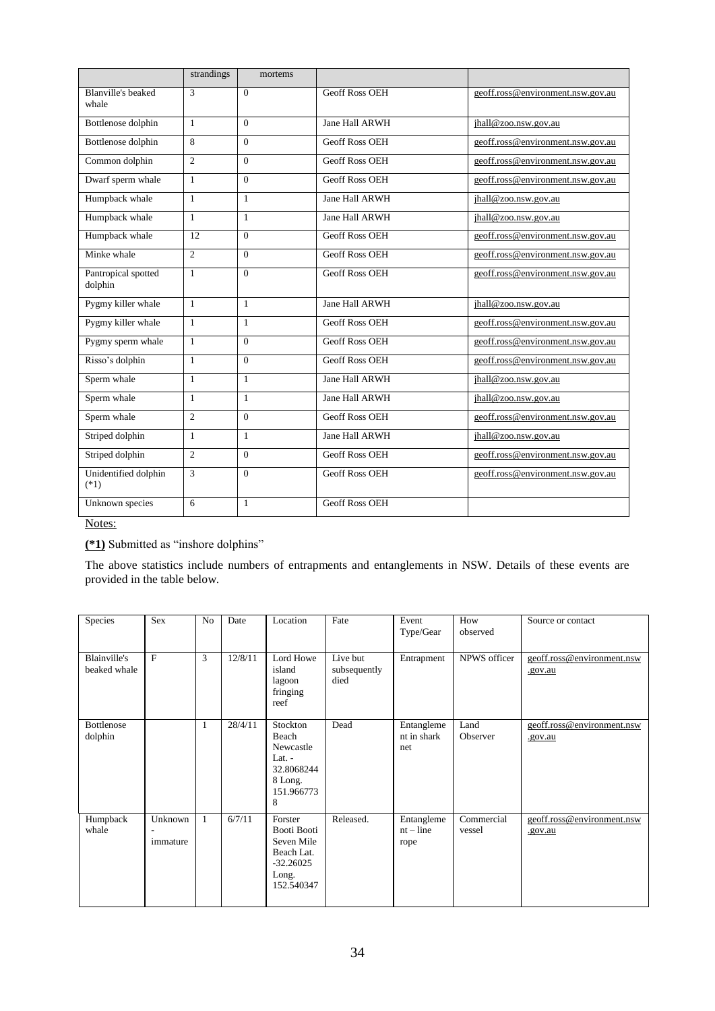|                                    | strandings      | mortems      |                       |                                   |
|------------------------------------|-----------------|--------------|-----------------------|-----------------------------------|
| <b>Blanville's beaked</b><br>whale | 3               | $\Omega$     | <b>Geoff Ross OEH</b> | geoff.ross@environment.nsw.gov.au |
| Bottlenose dolphin                 | 1               | $\Omega$     | Jane Hall ARWH        | jhall@zoo.nsw.gov.au              |
| Bottlenose dolphin                 | 8               | $\Omega$     | <b>Geoff Ross OEH</b> | geoff.ross@environment.nsw.gov.au |
| Common dolphin                     | $\overline{c}$  | $\Omega$     | <b>Geoff Ross OEH</b> | geoff.ross@environment.nsw.gov.au |
| Dwarf sperm whale                  | $\mathbf{1}$    | $\Omega$     | <b>Geoff Ross OEH</b> | geoff.ross@environment.nsw.gov.au |
| Humpback whale                     | $\mathbf{1}$    | $\mathbf{1}$ | Jane Hall ARWH        | jhall@zoo.nsw.gov.au              |
| Humpback whale                     | 1               | $\mathbf{1}$ | Jane Hall ARWH        | jhall@zoo.nsw.gov.au              |
| Humpback whale                     | $\overline{12}$ | $\Omega$     | <b>Geoff Ross OEH</b> | geoff.ross@environment.nsw.gov.au |
| Minke whale                        | $\overline{c}$  | $\Omega$     | <b>Geoff Ross OEH</b> | geoff.ross@environment.nsw.gov.au |
| Pantropical spotted<br>dolphin     | $\mathbf{1}$    | $\Omega$     | <b>Geoff Ross OEH</b> | geoff.ross@environment.nsw.gov.au |
| Pygmy killer whale                 | $\mathbf{1}$    | $\mathbf{1}$ | Jane Hall ARWH        | jhall@zoo.nsw.gov.au              |
| Pygmy killer whale                 | $\mathbf{1}$    | $\mathbf{1}$ | <b>Geoff Ross OEH</b> | geoff.ross@environment.nsw.gov.au |
| Pygmy sperm whale                  | $\mathbf{1}$    | $\Omega$     | <b>Geoff Ross OEH</b> | geoff.ross@environment.nsw.gov.au |
| Risso's dolphin                    | 1               | $\Omega$     | <b>Geoff Ross OEH</b> | geoff.ross@environment.nsw.gov.au |
| Sperm whale                        | $\mathbf{1}$    | $\mathbf{1}$ | Jane Hall ARWH        | jhall@zoo.nsw.gov.au              |
| Sperm whale                        | 1               | $\mathbf{1}$ | Jane Hall ARWH        | jhall@zoo.nsw.gov.au              |
| Sperm whale                        | $\overline{2}$  | $\Omega$     | <b>Geoff Ross OEH</b> | geoff.ross@environment.nsw.gov.au |
| Striped dolphin                    | $\mathbf{1}$    | $\mathbf{1}$ | Jane Hall ARWH        | jhall@zoo.nsw.gov.au              |
| Striped dolphin                    | $\overline{c}$  | $\Omega$     | <b>Geoff Ross OEH</b> | geoff.ross@environment.nsw.gov.au |
| Unidentified dolphin<br>$(*1)$     | 3               | $\Omega$     | <b>Geoff Ross OEH</b> | geoff.ross@environment.nsw.gov.au |
| Unknown species                    | 6               | $\mathbf{1}$ | <b>Geoff Ross OEH</b> |                                   |

**(\*1)** Submitted as "inshore dolphins"

The above statistics include numbers of entrapments and entanglements in NSW. Details of these events are provided in the table below.

| Species                             | <b>Sex</b>          | N <sub>o</sub> | Date    | Location                                                                                 | Fate                             | Event<br>Type/Gear                | How<br>observed      | Source or contact                     |
|-------------------------------------|---------------------|----------------|---------|------------------------------------------------------------------------------------------|----------------------------------|-----------------------------------|----------------------|---------------------------------------|
| <b>Blainville's</b><br>beaked whale | F                   | 3              | 12/8/11 | Lord Howe<br>island<br>lagoon<br>fringing<br>reef                                        | Live but<br>subsequently<br>died | Entrapment                        | NPWS officer         | geoff.ross@environment.nsw<br>.gov.au |
| <b>Bottlenose</b><br>dolphin        |                     | 1              | 28/4/11 | Stockton<br>Beach<br>Newcastle<br>Lat. $-$<br>32.8068244<br>8 Long.<br>151.966773<br>8   | Dead                             | Entangleme<br>nt in shark<br>net  | Land<br>Observer     | geoff.ross@environment.nsw<br>.gov.au |
| Humpback<br>whale                   | Unknown<br>immature | $\mathbf{1}$   | 6/7/11  | Forster<br>Booti Booti<br>Seven Mile<br>Beach Lat.<br>$-32.26025$<br>Long.<br>152.540347 | Released.                        | Entangleme<br>$nt$ – line<br>rope | Commercial<br>vessel | geoff.ross@environment.nsw<br>.gov.au |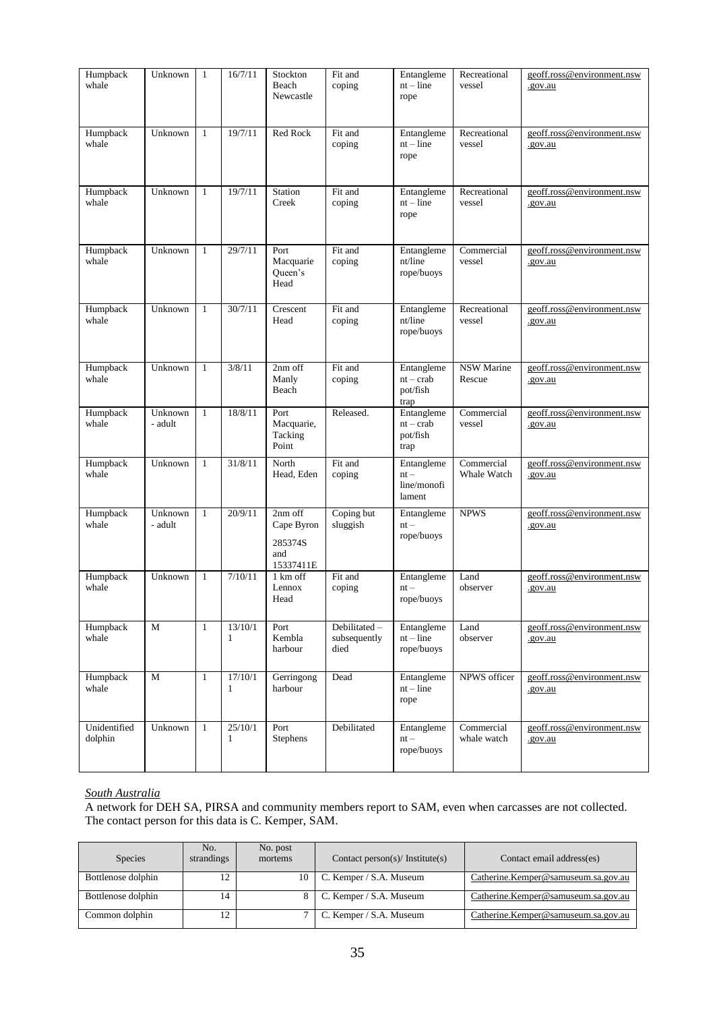| Humpback<br>whale       | Unknown            | $\mathbf{1}$ | 16/7/11                 | Stockton<br>Beach<br>Newcastle                         | Fit and<br>coping                    | Entangleme<br>$nt$ – line<br>rope             | Recreational<br>vessel      | geoff.ross@environment.nsw<br>.gov.au |
|-------------------------|--------------------|--------------|-------------------------|--------------------------------------------------------|--------------------------------------|-----------------------------------------------|-----------------------------|---------------------------------------|
| Humpback<br>whale       | Unknown            | $\mathbf{1}$ | 19/7/11                 | Red Rock                                               | Fit and<br>coping                    | Entangleme<br>$nt$ – line<br>rope             | Recreational<br>vessel      | geoff.ross@environment.nsw<br>.gov.au |
| Humpback<br>whale       | Unknown            | $\mathbf{1}$ | 19/7/11                 | Station<br>Creek                                       | Fit and<br>coping                    | Entangleme<br>$nt$ – line<br>rope             | Recreational<br>vessel      | geoff.ross@environment.nsw<br>.gov.au |
| Humpback<br>whale       | Unknown            | $\mathbf{1}$ | 29/7/11                 | Port<br>Macquarie<br>Queen's<br>Head                   | Fit and<br>coping                    | Entangleme<br>nt/line<br>rope/buoys           | Commercial<br>vessel        | geoff.ross@environment.nsw<br>.gov.au |
| Humpback<br>whale       | Unknown            | $\mathbf{1}$ | 30/7/11                 | Crescent<br>Head                                       | Fit and<br>coping                    | Entangleme<br>nt/line<br>rope/buoys           | Recreational<br>vessel      | geoff.ross@environment.nsw<br>.gov.au |
| Humpback<br>whale       | Unknown            | $\mathbf{1}$ | 3/8/11                  | 2nm off<br>Manly<br>Beach                              | Fit and<br>coping                    | Entangleme<br>$nt - crab$<br>pot/fish<br>trap | <b>NSW Marine</b><br>Rescue | geoff.ross@environment.nsw<br>.gov.au |
| Humpback<br>whale       | Unknown<br>- adult | $\mathbf{1}$ | 18/8/11                 | Port<br>Macquarie,<br>Tacking<br>Point                 | Released.                            | Entangleme<br>$nt - crab$<br>pot/fish<br>trap | Commercial<br>vessel        | geoff.ross@environment.nsw<br>.gov.au |
| Humpback<br>whale       | Unknown            | $\mathbf{1}$ | 31/8/11                 | North<br>Head, Eden                                    | Fit and<br>coping                    | Entangleme<br>$nt -$<br>line/monofi<br>lament | Commercial<br>Whale Watch   | geoff.ross@environment.nsw<br>.gov.au |
| Humpback<br>whale       | Unknown<br>- adult | $\mathbf{1}$ | 20/9/11                 | $2nm$ off<br>Cape Byron<br>285374S<br>and<br>15337411E | Coping but<br>sluggish               | Entangleme<br>$nt -$<br>rope/buoys            | <b>NPWS</b>                 | geoff.ross@environment.nsw<br>.gov.au |
| Humpback<br>whale       | Unknown            | $\mathbf{1}$ | 7/10/11                 | 1 km off<br>Lennox<br>Head                             | Fit and<br>coping                    | Entangleme<br>$nt -$<br>rope/buoys            | Land<br>observer            | geoff.ross@environment.nsw<br>.gov.au |
| Humpback<br>whale       | M                  | $\mathbf{1}$ | 13/10/1<br>$\mathbf{1}$ | Port<br>Kembla<br>harbour                              | Debilitated-<br>subsequently<br>died | Entangleme<br>$nt$ – line<br>rope/buoys       | Land<br>observer            | geoff.ross@environment.nsw<br>.gov.au |
| Humpback<br>whale       | M                  | $\mathbf{1}$ | 17/10/1<br>$\mathbf{1}$ | Gerringong<br>harbour                                  | Dead                                 | Entangleme<br>$nt$ – line<br>rope             | NPWS officer                | geoff.ross@environment.nsw<br>.gov.au |
| Unidentified<br>dolphin | Unknown            | $\mathbf{1}$ | 25/10/1<br>$\mathbf{1}$ | Port<br>Stephens                                       | Debilitated                          | Entangleme<br>$nt -$<br>rope/buoys            | Commercial<br>whale watch   | geoff.ross@environment.nsw<br>.gov.au |

#### *South Australia*

A network for DEH SA, PIRSA and community members report to SAM, even when carcasses are not collected. The contact person for this data is C. Kemper, SAM.

| <b>Species</b>     | No.<br>strandings | No. post<br>mortems | Contact person(s)/ Institute(s) | Contact email address(es)           |
|--------------------|-------------------|---------------------|---------------------------------|-------------------------------------|
| Bottlenose dolphin | 12                | 10                  | C. Kemper / S.A. Museum         | Catherine.Kemper@samuseum.sa.gov.au |
| Bottlenose dolphin | 14                |                     | C. Kemper / S.A. Museum         | Catherine.Kemper@samuseum.sa.gov.au |
| Common dolphin     | 12                |                     | C. Kemper / S.A. Museum         | Catherine.Kemper@samuseum.sa.gov.au |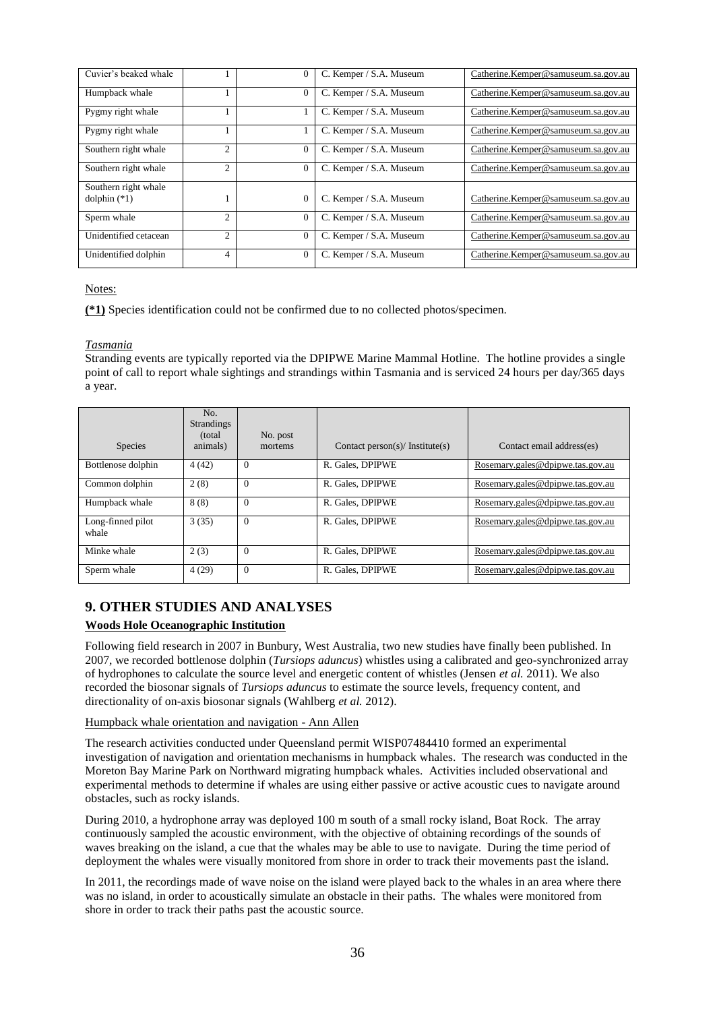| Cuvier's beaked whale |                | $\overline{0}$ | C. Kemper / S.A. Museum | Catherine.Kemper@samuseum.sa.gov.au |
|-----------------------|----------------|----------------|-------------------------|-------------------------------------|
| Humpback whale        |                | $\theta$       | C. Kemper / S.A. Museum | Catherine.Kemper@samuseum.sa.gov.au |
| Pygmy right whale     |                |                | C. Kemper / S.A. Museum | Catherine.Kemper@samuseum.sa.gov.au |
| Pygmy right whale     |                |                | C. Kemper / S.A. Museum | Catherine.Kemper@samuseum.sa.gov.au |
| Southern right whale  | $\overline{2}$ | $\theta$       | C. Kemper / S.A. Museum | Catherine.Kemper@samuseum.sa.gov.au |
| Southern right whale  | 2              | $\overline{0}$ | C. Kemper / S.A. Museum | Catherine.Kemper@samuseum.sa.gov.au |
| Southern right whale  |                |                |                         |                                     |
| dolphin $(*1)$        |                | $\overline{0}$ | C. Kemper / S.A. Museum | Catherine.Kemper@samuseum.sa.gov.au |
| Sperm whale           | 2              | $\theta$       | C. Kemper / S.A. Museum | Catherine.Kemper@samuseum.sa.gov.au |
| Unidentified cetacean | 2              | $\overline{0}$ | C. Kemper / S.A. Museum | Catherine.Kemper@samuseum.sa.gov.au |
| Unidentified dolphin  | 4              | $\theta$       | C. Kemper / S.A. Museum | Catherine.Kemper@samuseum.sa.gov.au |

**(\*1)** Species identification could not be confirmed due to no collected photos/specimen.

# *Tasmania*

Stranding events are typically reported via the DPIPWE Marine Mammal Hotline. The hotline provides a single point of call to report whale sightings and strandings within Tasmania and is serviced 24 hours per day/365 days a year.

| Species                    | No.<br><b>Strandings</b><br>(total)<br>animals) | No. post<br>mortems | Contact person(s)/ Institute(s) | Contact email address(es)        |
|----------------------------|-------------------------------------------------|---------------------|---------------------------------|----------------------------------|
| Bottlenose dolphin         | 4(42)                                           | $\Omega$            | R. Gales, DPIPWE                | Rosemary.gales@dpipwe.tas.gov.au |
| Common dolphin             | 2(8)                                            | $\Omega$            | R. Gales, DPIPWE                | Rosemary.gales@dpipwe.tas.gov.au |
| Humpback whale             | 8(8)                                            | $\Omega$            | R. Gales, DPIPWE                | Rosemary.gales@dpipwe.tas.gov.au |
| Long-finned pilot<br>whale | 3(35)                                           | $\Omega$            | R. Gales, DPIPWE                | Rosemary.gales@dpipwe.tas.gov.au |
| Minke whale                | 2(3)                                            | $\theta$            | R. Gales, DPIPWE                | Rosemary.gales@dpipwe.tas.gov.au |
| Sperm whale                | 4(29)                                           | $\overline{0}$      | R. Gales, DPIPWE                | Rosemary.gales@dpipwe.tas.gov.au |

# **9. OTHER STUDIES AND ANALYSES**

# **Woods Hole Oceanographic Institution**

Following field research in 2007 in Bunbury, West Australia, two new studies have finally been published. In 2007, we recorded bottlenose dolphin (*Tursiops aduncus*) whistles using a calibrated and geo-synchronized array of hydrophones to calculate the source level and energetic content of whistles (Jensen *et al.* 2011). We also recorded the biosonar signals of *Tursiops aduncus* to estimate the source levels, frequency content, and directionality of on-axis biosonar signals (Wahlberg *et al.* 2012).

#### Humpback whale orientation and navigation - Ann Allen

The research activities conducted under Queensland permit WISP07484410 formed an experimental investigation of navigation and orientation mechanisms in humpback whales. The research was conducted in the Moreton Bay Marine Park on Northward migrating humpback whales. Activities included observational and experimental methods to determine if whales are using either passive or active acoustic cues to navigate around obstacles, such as rocky islands.

During 2010, a hydrophone array was deployed 100 m south of a small rocky island, Boat Rock. The array continuously sampled the acoustic environment, with the objective of obtaining recordings of the sounds of waves breaking on the island, a cue that the whales may be able to use to navigate. During the time period of deployment the whales were visually monitored from shore in order to track their movements past the island.

In 2011, the recordings made of wave noise on the island were played back to the whales in an area where there was no island, in order to acoustically simulate an obstacle in their paths. The whales were monitored from shore in order to track their paths past the acoustic source.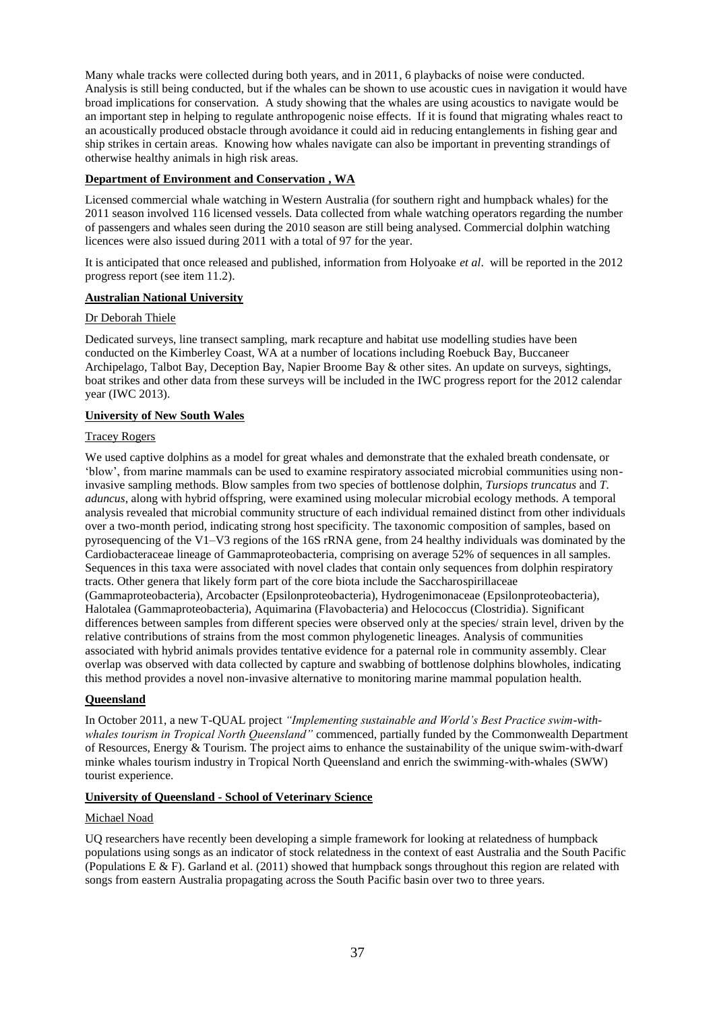Many whale tracks were collected during both years, and in 2011, 6 playbacks of noise were conducted. Analysis is still being conducted, but if the whales can be shown to use acoustic cues in navigation it would have broad implications for conservation. A study showing that the whales are using acoustics to navigate would be an important step in helping to regulate anthropogenic noise effects. If it is found that migrating whales react to an acoustically produced obstacle through avoidance it could aid in reducing entanglements in fishing gear and ship strikes in certain areas. Knowing how whales navigate can also be important in preventing strandings of otherwise healthy animals in high risk areas.

# **Department of Environment and Conservation , WA**

Licensed commercial whale watching in Western Australia (for southern right and humpback whales) for the 2011 season involved 116 licensed vessels. Data collected from whale watching operators regarding the number of passengers and whales seen during the 2010 season are still being analysed. Commercial dolphin watching licences were also issued during 2011 with a total of 97 for the year.

It is anticipated that once released and published, information from Holyoake *et al*. will be reported in the 2012 progress report (see item 11.2).

# **Australian National University**

# Dr Deborah Thiele

Dedicated surveys, line transect sampling, mark recapture and habitat use modelling studies have been conducted on the Kimberley Coast, WA at a number of locations including Roebuck Bay, Buccaneer Archipelago, Talbot Bay, Deception Bay, Napier Broome Bay & other sites. An update on surveys, sightings, boat strikes and other data from these surveys will be included in the IWC progress report for the 2012 calendar year (IWC 2013).

# **University of New South Wales**

# Tracey Rogers

We used captive dolphins as a model for great whales and demonstrate that the exhaled breath condensate, or 'blow', from marine mammals can be used to examine respiratory associated microbial communities using noninvasive sampling methods. Blow samples from two species of bottlenose dolphin, *Tursiops truncatus* and *T. aduncus*, along with hybrid offspring, were examined using molecular microbial ecology methods. A temporal analysis revealed that microbial community structure of each individual remained distinct from other individuals over a two-month period, indicating strong host specificity. The taxonomic composition of samples, based on pyrosequencing of the V1–V3 regions of the 16S rRNA gene, from 24 healthy individuals was dominated by the Cardiobacteraceae lineage of Gammaproteobacteria, comprising on average 52% of sequences in all samples. Sequences in this taxa were associated with novel clades that contain only sequences from dolphin respiratory tracts. Other genera that likely form part of the core biota include the Saccharospirillaceae (Gammaproteobacteria), Arcobacter (Epsilonproteobacteria), Hydrogenimonaceae (Epsilonproteobacteria), Halotalea (Gammaproteobacteria), Aquimarina (Flavobacteria) and Helococcus (Clostridia). Significant differences between samples from different species were observed only at the species/ strain level, driven by the relative contributions of strains from the most common phylogenetic lineages. Analysis of communities associated with hybrid animals provides tentative evidence for a paternal role in community assembly. Clear overlap was observed with data collected by capture and swabbing of bottlenose dolphins blowholes, indicating this method provides a novel non-invasive alternative to monitoring marine mammal population health.

# **Queensland**

In October 2011, a new T-QUAL project *"Implementing sustainable and World's Best Practice swim-withwhales tourism in Tropical North Queensland"* commenced, partially funded by the Commonwealth Department of Resources, Energy & Tourism. The project aims to enhance the sustainability of the unique swim-with-dwarf minke whales tourism industry in Tropical North Queensland and enrich the swimming-with-whales (SWW) tourist experience.

# **University of Queensland - School of Veterinary Science**

#### Michael Noad

UQ researchers have recently been developing a simple framework for looking at relatedness of humpback populations using songs as an indicator of stock relatedness in the context of east Australia and the South Pacific (Populations E & F). Garland et al. (2011) showed that humpback songs throughout this region are related with songs from eastern Australia propagating across the South Pacific basin over two to three years.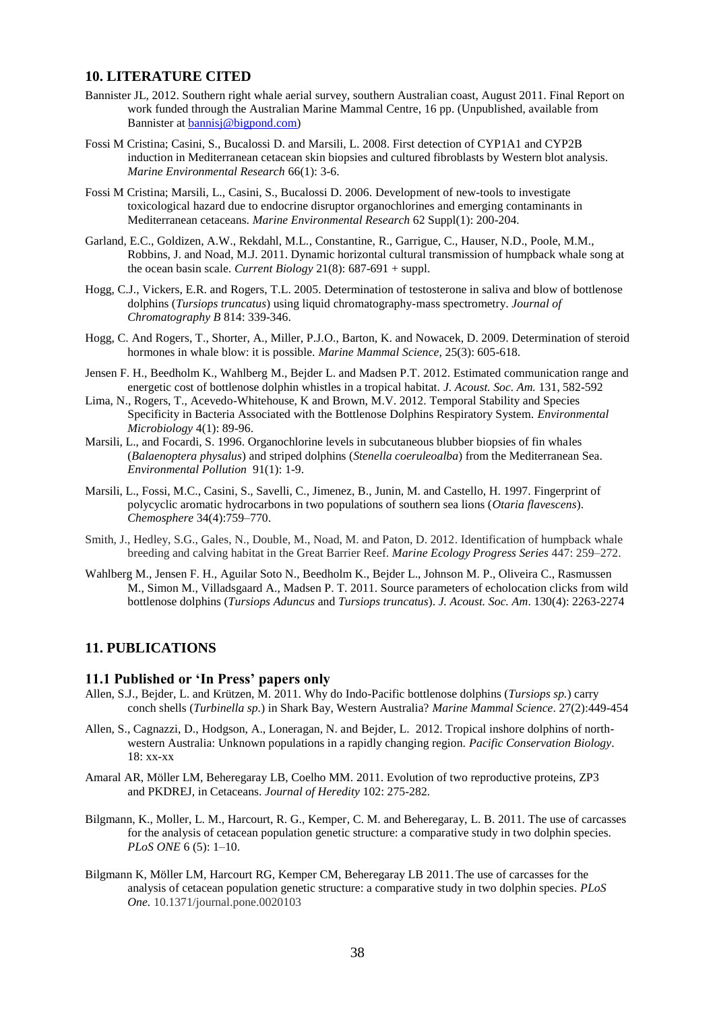# **10. LITERATURE CITED**

- Bannister JL, 2012. Southern right whale aerial survey, southern Australian coast, August 2011. Final Report on work funded through the Australian Marine Mammal Centre, 16 pp. (Unpublished, available from Bannister at [bannisj@bigpond.com\)](mailto:bannisj@bigpond.com)
- Fossi M Cristina; Casini, S., Bucalossi D. and Marsili, L. 2008. First detection of CYP1A1 and CYP2B induction in Mediterranean cetacean skin biopsies and cultured fibroblasts by Western blot analysis. *Marine Environmental Research* 66(1): 3-6.
- Fossi M Cristina; Marsili, L., Casini, S., Bucalossi D. 2006. Development of new-tools to investigate toxicological hazard due to endocrine disruptor organochlorines and emerging contaminants in Mediterranean cetaceans. *Marine Environmental Research* 62 Suppl(1): 200-204.
- Garland, E.C., Goldizen, A.W., Rekdahl, M.L., Constantine, R., Garrigue, C., Hauser, N.D., Poole, M.M., Robbins, J. and Noad, M.J. 2011. Dynamic horizontal cultural transmission of humpback whale song at the ocean basin scale. *Current Biology* 21(8): 687-691 + suppl.
- Hogg, C.J., Vickers, E.R. and Rogers, T.L. 2005. Determination of testosterone in saliva and blow of bottlenose dolphins (*Tursiops truncatus*) using liquid chromatography-mass spectrometry. *Journal of Chromatography B* 814: 339-346.
- Hogg, C. And Rogers, T., Shorter, A., Miller, P.J.O., Barton, K. and Nowacek, D. 2009. Determination of steroid hormones in whale blow: it is possible. *Marine Mammal Science,* 25(3): 605-618.
- Jensen F. H., Beedholm K., Wahlberg M., Bejder L. and Madsen P.T. 2012. Estimated communication range and energetic cost of bottlenose dolphin whistles in a tropical habitat. *J. Acoust. Soc. Am.* 131, 582-592
- Lima, N., Rogers, T., Acevedo-Whitehouse, K and Brown, M.V. 2012. Temporal Stability and Species Specificity in Bacteria Associated with the Bottlenose Dolphins Respiratory System. *Environmental Microbiology* 4(1): 89-96.
- Marsili, L., and Focardi, S. 1996. Organochlorine levels in subcutaneous blubber biopsies of fin whales (*Balaenoptera physalus*) and striped dolphins (*Stenella coeruleoalba*) from the Mediterranean Sea. *Environmental Pollution* 91(1): 1-9.
- Marsili, L., Fossi, M.C., Casini, S., Savelli, C., Jimenez, B., Junin, M. and Castello, H. 1997. Fingerprint of polycyclic aromatic hydrocarbons in two populations of southern sea lions (*Otaria flavescens*). *Chemosphere* 34(4):759–770.
- Smith, J., Hedley, S.G., Gales, N., Double, M., Noad, M. and Paton, D. 2012. Identification of humpback whale breeding and calving habitat in the Great Barrier Reef. *Marine Ecology Progress Series* 447: 259–272.
- Wahlberg M., Jensen F. H., Aguilar Soto N., Beedholm K., Bejder L., Johnson M. P., Oliveira C., Rasmussen M., Simon M., Villadsgaard A., Madsen P. T. 2011. Source parameters of echolocation clicks from wild bottlenose dolphins (*Tursiops Aduncus* and *Tursiops truncatus*). *J. Acoust. Soc. Am*. 130(4): 2263-2274

# **11. PUBLICATIONS**

# **11.1 Published or 'In Press' papers only**

- [Allen, S.J.,](http://mucru.org/group-members/simon-allen/) [Bejder, L.](http://mucru.org/group-members/lars-bejder/) and [Krützen, M.](https://www.uzh.ch/cmsssl/anthro/egg-3/groupmembers/kruetzenmichael.html) 2011[. Why do Indo-Pacific bottlenose dolphins \(](http://mucru.org/wp-content/uploads/2011/07/AllenBejderKrutzen2011Conk.pdf)*Tursiops sp.*) carry conch shells (*Turbinella sp.*[\) in Shark Bay, Western Australia?](http://mucru.org/wp-content/uploads/2011/07/AllenBejderKrutzen2011Conk.pdf) *Marine Mammal Science*. 27(2):449-454
- [Allen, S.,](http://mucru.org/group-members/simon-allen/) Cagnazzi, D., [Hodgson, A.,](http://mucru.org/group-members/amanda-hodgson/) Loneragan, N. and [Bejder, L.](http://mucru.org/group-members/lars-bejder/) 2012. Tropical inshore dolphins of northwestern Australia: Unknown populations in a rapidly changing region. *Pacific Conservation Biology*. 18: xx-xx
- Amaral AR, Möller LM, Beheregaray LB, Coelho MM. 2011. Evolution of two reproductive proteins, ZP3 and PKDREJ, in Cetaceans. *Journal of Heredity* 102: 275-282*.*
- Bilgmann, K., Moller, L. M., Harcourt, R. G., Kemper, C. M. and Beheregaray, L. B. 2011. The use of carcasses for the analysis of cetacean population genetic structure: a comparative study in two dolphin species. *PLoS ONE* 6 (5): 1–10.
- Bilgmann K, Möller LM, Harcourt RG, Kemper CM, Beheregaray LB 2011.The use of carcasses for the analysis of cetacean population genetic structure: a comparative study in two dolphin species*. PLoS One.* 10.1371/journal.pone.0020103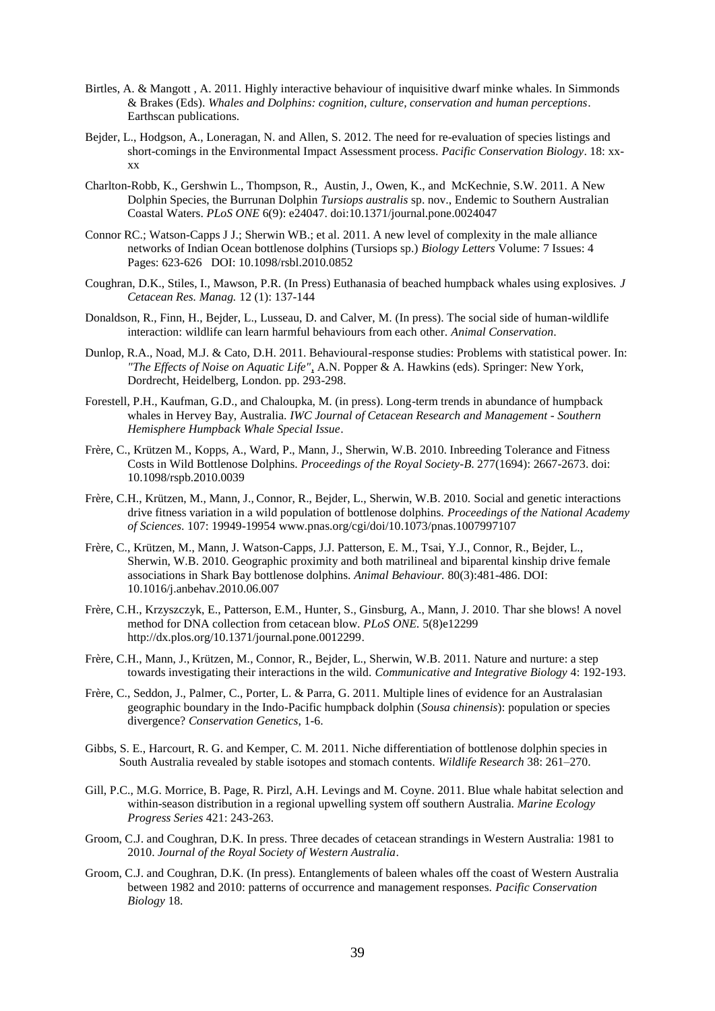- Birtles, A. & Mangott , A. 2011. Highly interactive behaviour of inquisitive dwarf minke whales. In Simmonds & Brakes (Eds). *Whales and Dolphins: cognition, culture, conservation and human perceptions*. Earthscan publications.
- [Bejder, L.](http://mucru.org/group-members/lars-bejder/), [Hodgson, A.,](http://mucru.org/group-members/amanda-hodgson/) Loneragan, N. and [Allen, S.](http://mucru.org/group-members/simon-allen/) 2012. The need for re-evaluation of species listings and short-comings in the Environmental Impact Assessment process. *Pacific Conservation Biology*. 18: xxxx
- Charlton-Robb, K., Gershwin L., Thompson, R., Austin, J., Owen, K., and McKechnie, S.W. 2011. A New Dolphin Species, the Burrunan Dolphin *Tursiops australis* sp. nov., Endemic to Southern Australian Coastal Waters. *PLoS ONE* 6(9): e24047. doi:10.1371/journal.pone.0024047
- Connor RC.; Watson-Capps J J.; Sherwin WB.; et al. 2011. A new level of complexity in the male alliance networks of Indian Ocean bottlenose dolphins (Tursiops sp.) *Biology Letters* Volume: 7 Issues: 4 Pages: 623-626 DOI: 10.1098/rsbl.2010.0852
- Coughran, D.K., Stiles, I., Mawson, P.R. (In Press) Euthanasia of beached humpback whales using explosives. *J Cetacean Res. Manag.* 12 (1): 137-144
- Donaldson, R., Finn, H., [Bejder, L.](http://mucru.org/group-members/lars-bejder/), Lusseau, D. and Calver, M. (In press). The social side of human-wildlife interaction: wildlife can learn harmful behaviours from each other. *Animal Conservation*.
- Dunlop, R.A., Noad, M.J. & Cato, D.H. 2011. Behavioural-response studies: Problems with statistical power. In: *"The Effects of Noise on Aquatic Life"*, A.N. Popper & A. Hawkins (eds). Springer: New York, Dordrecht, Heidelberg, London. pp. 293-298.
- Forestell, P.H., Kaufman, G.D., and Chaloupka, M. (in press). Long-term trends in abundance of humpback whales in Hervey Bay, Australia. *IWC Journal of Cetacean Research and Management - Southern Hemisphere Humpback Whale Special Issue*.
- Frère, C., Krützen M., Kopps, A., Ward, P., Mann, J., Sherwin, W.B. 2010. Inbreeding Tolerance and Fitness Costs in Wild Bottlenose Dolphins. *Proceedings of the Royal Society-B*. 277(1694): 2667-2673. doi: 10.1098/rspb.2010.0039
- Frère, C.H., Krützen, M., Mann, J., Connor, R., Bejder, L., Sherwin, W.B. 2010. Social and genetic interactions drive fitness variation in a wild population of bottlenose dolphins. *Proceedings of the National Academy of Sciences*. 107: 19949-19954 [www.pnas.org/cgi/doi/10.1073/pnas.1007997107](http://www.pnas.org/cgi/doi/10.1073/pnas.1007997107)
- Frère, C., Krützen, M., Mann, J. Watson-Capps, J.J. Patterson, E. M., Tsai, Y.J., Connor, R., Bejder, L., Sherwin, W.B. 2010. Geographic proximity and both matrilineal and biparental kinship drive female associations in Shark Bay bottlenose dolphins. *Animal Behaviour.* 80(3):481-486. DOI: 10.1016/j.anbehav.2010.06.007
- Frère, C.H., Krzyszczyk, E., Patterson, E.M., Hunter, S., Ginsburg, A., Mann, J. 2010. Thar she blows! A novel method for DNA collection from cetacean blow. *PLoS ONE.* 5(8)e12299 [http://dx.plos.org/10.1371/journal.pone.0012299.](http://dx.plos.org/10.1371/journal.pone.0012299)
- Frère, C.H., Mann, J., Krützen, M., Connor, R., Bejder, L., Sherwin, W.B. 2011. Nature and nurture: a step towards investigating their interactions in the wild. *Communicative and Integrative Biology* 4: 192-193.
- Frère, C., Seddon, J., Palmer, C., Porter, L. & Parra, G. 2011. Multiple lines of evidence for an Australasian geographic boundary in the Indo-Pacific humpback dolphin (*Sousa chinensis*): population or species divergence? *Conservation Genetics*, 1-6.
- Gibbs, S. E., Harcourt, R. G. and Kemper, C. M. 2011. Niche differentiation of bottlenose dolphin species in South Australia revealed by stable isotopes and stomach contents. *Wildlife Research* 38: 261–270.
- Gill, P.C., M.G. Morrice, B. Page, R. Pirzl, A.H. Levings and M. Coyne. 2011. Blue whale habitat selection and within-season distribution in a regional upwelling system off southern Australia. *Marine Ecology Progress Series* 421: 243-263.
- Groom, C.J. and Coughran, D.K. In press. Three decades of cetacean strandings in Western Australia: 1981 to 2010. *Journal of the Royal Society of Western Australia*.
- Groom, C.J. and Coughran, D.K. (In press). Entanglements of baleen whales off the coast of Western Australia between 1982 and 2010: patterns of occurrence and management responses. *Pacific Conservation Biology* 18.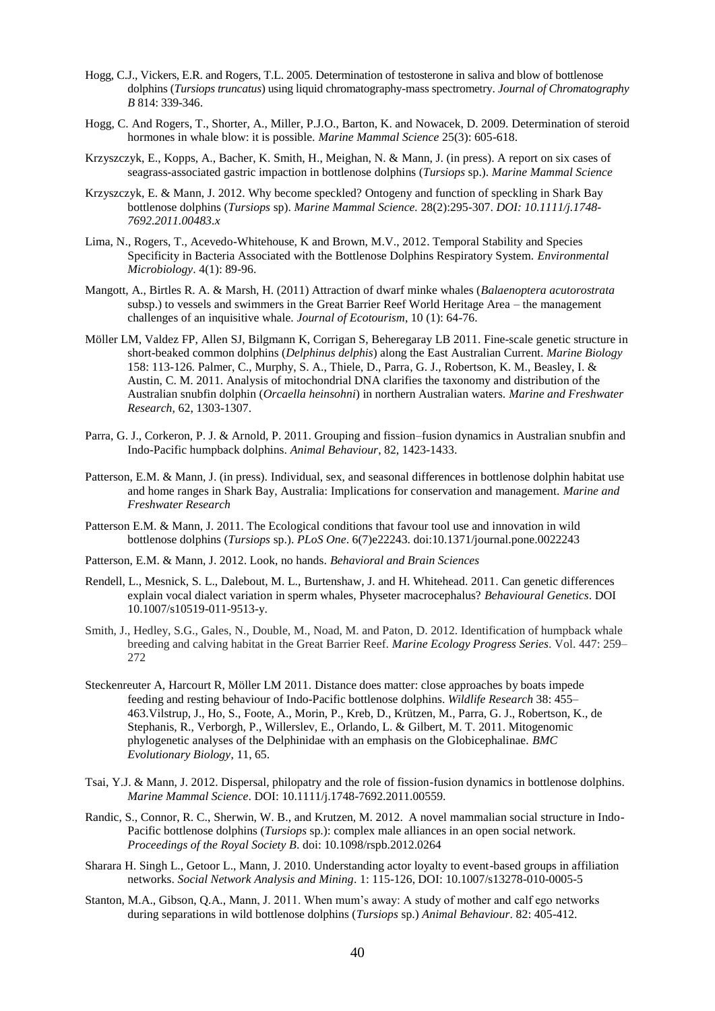- Hogg, C.J., Vickers, E.R. and Rogers, T.L. 2005. Determination of testosterone in saliva and blow of bottlenose dolphins (*Tursiops truncatus*) using liquid chromatography-mass spectrometry. *Journal of Chromatography B* 814: 339-346.
- Hogg, C. And Rogers, T., Shorter, A., Miller, P.J.O., Barton, K. and Nowacek, D. 2009. Determination of steroid hormones in whale blow: it is possible. *Marine Mammal Science* 25(3): 605-618.
- Krzyszczyk, E., Kopps, A., Bacher, K. Smith, H., Meighan, N. & Mann, J. (in press). A report on six cases of seagrass-associated gastric impaction in bottlenose dolphins (*Tursiops* sp.). *Marine Mammal Science*
- Krzyszczyk, E. & Mann, J. 2012. Why become speckled? Ontogeny and function of speckling in Shark Bay bottlenose dolphins (*Tursiops* sp). *Marine Mammal Science.* 28(2):295-307. *DOI: 10.1111/j.1748- 7692.2011.00483.x*
- Lima, N., Rogers, T., Acevedo-Whitehouse, K and Brown, M.V., 2012. Temporal Stability and Species Specificity in Bacteria Associated with the Bottlenose Dolphins Respiratory System. *Environmental Microbiology*. 4(1): 89-96.
- Mangott, A., Birtles R. A. & Marsh, H. (2011) Attraction of dwarf minke whales (*Balaenoptera acutorostrata* subsp.) to vessels and swimmers in the Great Barrier Reef World Heritage Area – the management challenges of an inquisitive whale. *Journal of Ecotourism*, 10 (1): 64-76.
- Möller LM, Valdez FP, Allen SJ, Bilgmann K, Corrigan S, Beheregaray LB 2011. Fine-scale genetic structure in short-beaked common dolphins (*Delphinus delphis*) along the East Australian Current. *Marine Biology*  158: 113-126*.* Palmer, C., Murphy, S. A., Thiele, D., Parra, G. J., Robertson, K. M., Beasley, I. & Austin, C. M. 2011. Analysis of mitochondrial DNA clarifies the taxonomy and distribution of the Australian snubfin dolphin (*Orcaella heinsohni*) in northern Australian waters. *Marine and Freshwater Research*, 62, 1303-1307.
- Parra, G. J., Corkeron, P. J. & Arnold, P. 2011. Grouping and fission–fusion dynamics in Australian snubfin and Indo-Pacific humpback dolphins. *Animal Behaviour*, 82, 1423-1433.
- Patterson, E.M. & Mann, J. (in press). Individual, sex, and seasonal differences in bottlenose dolphin habitat use and home ranges in Shark Bay, Australia: Implications for conservation and management. *Marine and Freshwater Research*
- Patterson E.M. & Mann, J. 2011. The Ecological conditions that favour tool use and innovation in wild bottlenose dolphins (*Tursiops* sp.). *PLoS One*. 6(7)e22243. doi:10.1371/journal.pone.0022243
- Patterson, E.M. & Mann, J. 2012. Look, no hands. *Behavioral and Brain Sciences*
- Rendell, L., Mesnick, S. L., Dalebout, M. L., Burtenshaw, J. and H. Whitehead. 2011. Can genetic differences explain vocal dialect variation in sperm whales, Physeter macrocephalus? *Behavioural Genetics*. DOI 10.1007/s10519-011-9513-y.
- Smith, J., Hedley, S.G., Gales, N., Double, M., Noad, M. and Paton, D. 2012. Identification of humpback whale breeding and calving habitat in the Great Barrier Reef. *Marine Ecology Progress Series*. Vol. 447: 259– 272
- Steckenreuter A, Harcourt R, Möller LM 2011. Distance does matter: close approaches by boats impede feeding and resting behaviour of Indo-Pacific bottlenose dolphins. *Wildlife Research* 38: 455– 463.Vilstrup, J., Ho, S., Foote, A., Morin, P., Kreb, D., Krützen, M., Parra, G. J., Robertson, K., de Stephanis, R., Verborgh, P., Willerslev, E., Orlando, L. & Gilbert, M. T. 2011. Mitogenomic phylogenetic analyses of the Delphinidae with an emphasis on the Globicephalinae. *BMC Evolutionary Biology*, 11, 65.
- Tsai, Y.J. & Mann, J. 2012. Dispersal, philopatry and the role of fission-fusion dynamics in bottlenose dolphins. *Marine Mammal Science*. DOI: 10.1111/j.1748-7692.2011.00559.
- Randic, S., Connor, R. C., Sherwin, W. B., and Krutzen, M. 2012. A novel mammalian social structure in Indo-Pacific bottlenose dolphins (*Tursiops* sp.): complex male alliances in an open social network. *Proceedings of the Royal Society B*. doi: 10.1098/rspb.2012.0264
- Sharara H. Singh L., Getoor L., Mann, J. 2010. Understanding actor loyalty to event-based groups in affiliation networks. *Social Network Analysis and Mining*. 1: 115-126, DOI: 10.1007/s13278-010-0005-5
- Stanton, M.A., Gibson, Q.A., Mann, J. 2011. When mum's away: A study of mother and calf ego networks during separations in wild bottlenose dolphins (*Tursiops* sp.) *Animal Behaviour*. 82: 405-412.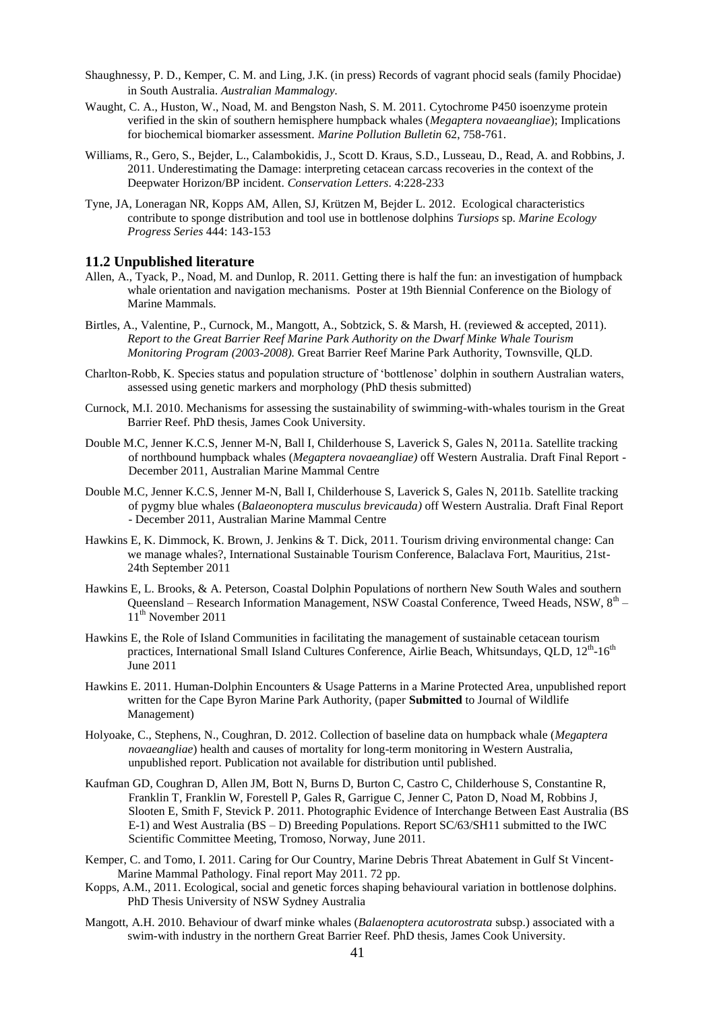- Shaughnessy, P. D., Kemper, C. M. and Ling, J.K. (in press) Records of vagrant phocid seals (family Phocidae) in South Australia. *Australian Mammalogy.*
- Waught, C. A., Huston, W., Noad, M. and Bengston Nash, S. M. 2011. Cytochrome P450 isoenzyme protein verified in the skin of southern hemisphere humpback whales (*Megaptera novaeangliae*); Implications for biochemical biomarker assessment. *Marine Pollution Bulletin* 62, 758-761.
- Williams, R., Gero, S., [Bejder, L.,](http://mucru.org/group-members/lars-bejder/) Calambokidis, J., Scott D. Kraus, S.D., Lusseau, D., Read, A. and Robbins, J. 2011. [Underestimating the Damage: interpreting cetacean carcass recoveries in the context of the](http://onlinelibrary.wiley.com/doi/10.1111/j.1755-263X.2011.00168.x/pdf)  [Deepwater Horizon/BP incident.](http://onlinelibrary.wiley.com/doi/10.1111/j.1755-263X.2011.00168.x/pdf) *Conservation Letters*. 4:228-233
- [Tyne, JA,](http://mucru.org/group-members/julian-tyne/) Loneragan NR, Kopps AM, [Allen, SJ,](http://mucru.org/group-members/simon-allen/) [Krützen M,](https://www.uzh.ch/cmsssl/anthro/egg-3/groupmembers/kruetzenmichael.html) [Bejder L.](http://mucru.org/group-members/lars-bejder/) 2012. Ecological characteristics contribute to sponge distribution and tool use in bottlenose dolphins *Tursiops* sp. *Marine Ecology Progress Series* 444: 143-153

#### **11.2 Unpublished literature**

- Allen, A., Tyack, P., Noad, M. and Dunlop, R. 2011. Getting there is half the fun: an investigation of humpback whale orientation and navigation mechanisms. Poster at 19th Biennial Conference on the Biology of Marine Mammals.
- Birtles, A., Valentine, P., Curnock, M., Mangott, A., Sobtzick, S. & Marsh, H. (reviewed & accepted, 2011). *Report to the Great Barrier Reef Marine Park Authority on the Dwarf Minke Whale Tourism Monitoring Program (2003-2008).* Great Barrier Reef Marine Park Authority, Townsville, QLD.
- Charlton-Robb, K. Species status and population structure of 'bottlenose' dolphin in southern Australian waters, assessed using genetic markers and morphology (PhD thesis submitted)
- Curnock, M.I. 2010. Mechanisms for assessing the sustainability of swimming-with-whales tourism in the Great Barrier Reef. PhD thesis, James Cook University.
- Double M.C, Jenner K.C.S, Jenner M-N, Ball I, Childerhouse S, Laverick S, Gales N, 2011a. Satellite tracking of northbound humpback whales (*Megaptera novaeangliae)* off Western Australia. Draft Final Report - December 2011, Australian Marine Mammal Centre
- Double M.C, Jenner K.C.S, Jenner M-N, Ball I, Childerhouse S, Laverick S, Gales N, 2011b. Satellite tracking of pygmy blue whales (*Balaeonoptera musculus brevicauda)* off Western Australia. Draft Final Report - December 2011, Australian Marine Mammal Centre
- Hawkins E, K. Dimmock, K. Brown, J. Jenkins & T. Dick, 2011. Tourism driving environmental change: Can we manage whales?, International Sustainable Tourism Conference, Balaclava Fort, Mauritius, 21st-24th September 2011
- Hawkins E, L. Brooks, & A. Peterson, Coastal Dolphin Populations of northern New South Wales and southern Queensland – Research Information Management, NSW Coastal Conference, Tweed Heads, NSW, 8th – 11<sup>th</sup> November 2011
- Hawkins E, the Role of Island Communities in facilitating the management of sustainable cetacean tourism practices, International Small Island Cultures Conference, Airlie Beach, Whitsundays, QLD, 12<sup>th</sup>-16<sup>th</sup> June 2011
- Hawkins E. 2011. Human-Dolphin Encounters & Usage Patterns in a Marine Protected Area*,* unpublished report written for the Cape Byron Marine Park Authority, (paper **Submitted** to Journal of Wildlife Management)
- Holyoake, C., Stephens, N., Coughran, D. 2012. Collection of baseline data on humpback whale (*Megaptera novaeangliae*) health and causes of mortality for long-term monitoring in Western Australia, unpublished report. Publication not available for distribution until published.
- Kaufman GD, Coughran D, Allen JM, Bott N, Burns D, Burton C, Castro C, Childerhouse S, Constantine R, Franklin T, Franklin W, Forestell P, Gales R, Garrigue C, Jenner C, Paton D, Noad M, Robbins J, Slooten E, Smith F, Stevick P. 2011. Photographic Evidence of Interchange Between East Australia (BS E-1) and West Australia (BS – D) Breeding Populations. Report SC/63/SH11 submitted to the IWC Scientific Committee Meeting, Tromoso, Norway, June 2011.
- Kemper, C. and Tomo, I. 2011. Caring for Our Country, Marine Debris Threat Abatement in Gulf St Vincent-Marine Mammal Pathology. Final report May 2011. 72 pp.
- Kopps, A.M., 2011. Ecological, social and genetic forces shaping behavioural variation in bottlenose dolphins. PhD Thesis University of NSW Sydney Australia
- Mangott, A.H. 2010. Behaviour of dwarf minke whales (*Balaenoptera acutorostrata* subsp.) associated with a swim-with industry in the northern Great Barrier Reef. PhD thesis, James Cook University.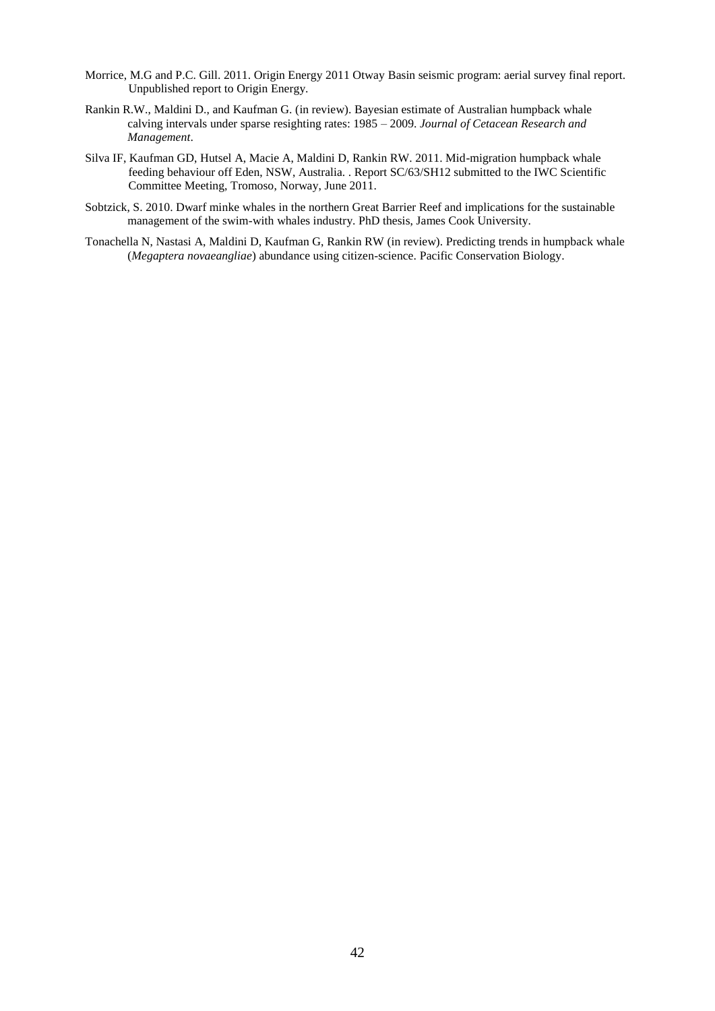- Morrice, M.G and P.C. Gill. 2011. Origin Energy 2011 Otway Basin seismic program: aerial survey final report. Unpublished report to Origin Energy.
- Rankin R.W., Maldini D., and Kaufman G. (in review). Bayesian estimate of Australian humpback whale calving intervals under sparse resighting rates: 1985 – 2009. *Journal of Cetacean Research and Management*.
- Silva IF, Kaufman GD, Hutsel A, Macie A, Maldini D, Rankin RW. 2011. Mid-migration humpback whale feeding behaviour off Eden, NSW, Australia. . Report SC/63/SH12 submitted to the IWC Scientific Committee Meeting, Tromoso, Norway, June 2011.
- Sobtzick, S. 2010. Dwarf minke whales in the northern Great Barrier Reef and implications for the sustainable management of the swim-with whales industry. PhD thesis, James Cook University.
- Tonachella N, Nastasi A, Maldini D, Kaufman G, Rankin RW (in review). Predicting trends in humpback whale (*Megaptera novaeangliae*) abundance using citizen-science. Pacific Conservation Biology.